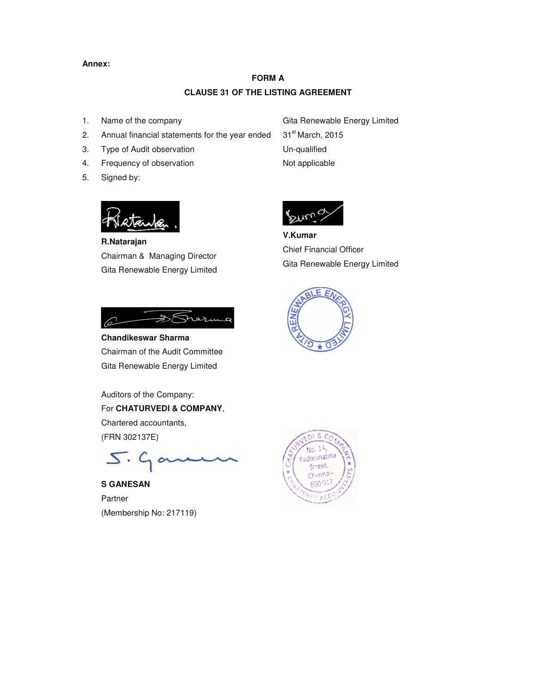#### **Annex:**

### **FORM A CLAUSE 31 OF THE LISTING AGREEMENT**

- 1. Name of the company Gita Renewable Energy Limited
- 2. Annual financial statements for the year ended
- 3. Type of Audit observation **Example 20** Un-qualified
- 4. Frequency of observation Not applicable
- 5. Signed by:



**R.Natarajan**  Chairman & Managing Director Gita Renewable Energy Limited



31<sup>st</sup> March, 2015

**V.Kumar**  Chief Financial Officer Gita Renewable Energy Limited



**Chandikeswar Sharma**  Chairman of the Audit Committee Gita Renewable Energy Limited

Auditors of the Company: For **CHATURVEDI & COMPANY**, Chartered accountants, (FRN 302137E)

 $5.9m$ 

**S GANESAN**  Partner (Membership No: 217119)



F

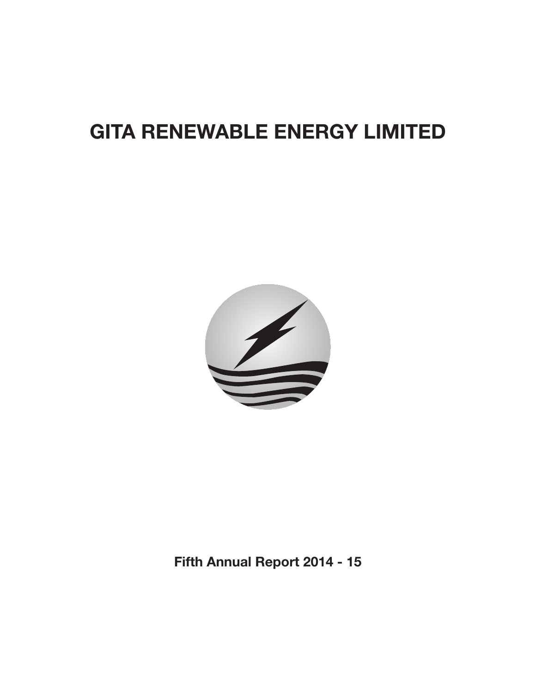# GITA RENEWABLE ENERGY LIMITED



Fifth Annual Report 2014 - 15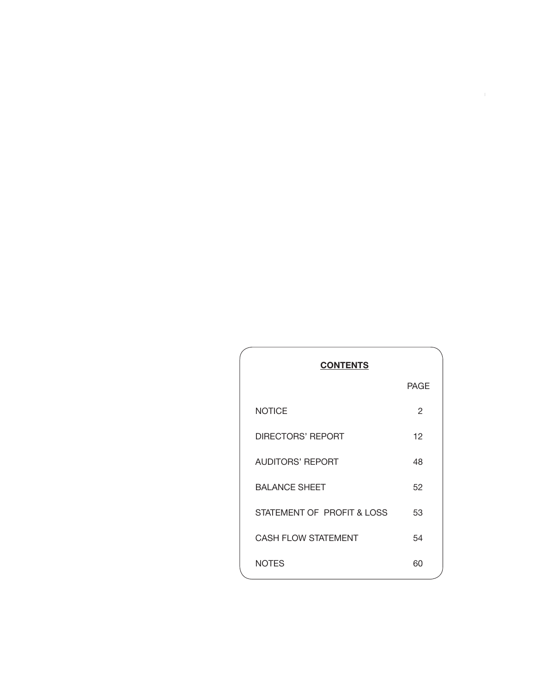| <b>CONTENTS</b>            |             |
|----------------------------|-------------|
|                            | <b>PAGE</b> |
| <b>NOTICE</b>              | 2           |
| DIRECTORS' REPORT          | 12          |
| <b>AUDITORS' REPORT</b>    | 48          |
| <b>BALANCE SHEET</b>       | 52          |
| STATEMENT OF PROFIT & LOSS | 53          |
| <b>CASH FLOW STATEMENT</b> | 54          |
| <b>NOTES</b>               | 60          |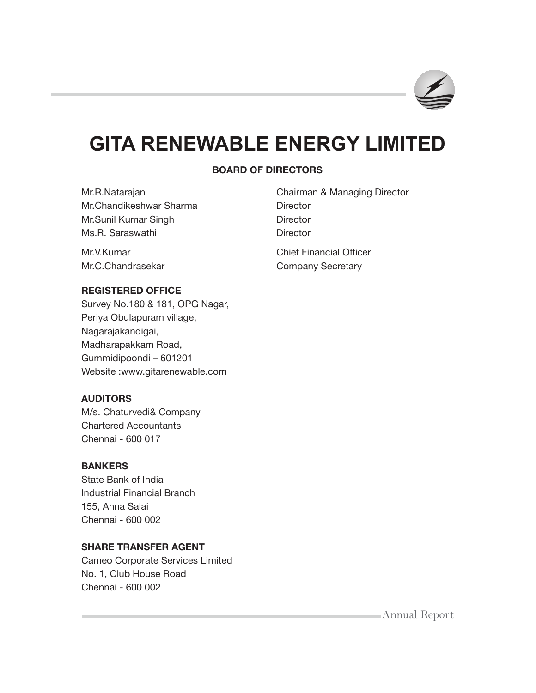

## **GITA RENEWABLE ENERGY LIMITED**

### BOARD OF DIRECTORS

Mr.Chandikeshwar Sharma Director Mr.Sunil Kumar Singh Director Ms.R. Saraswathi Director

### REGISTERED OFFICE

Survey No.180 & 181, OPG Nagar, Periya Obulapuram village, Nagarajakandigai, Madharapakkam Road, Gummidipoondi – 601201 Website :www.gitarenewable.com

### AUDITORS

M/s. Chaturvedi& Company Chartered Accountants Chennai - 600 017

### **BANKERS**

State Bank of India Industrial Financial Branch 155, Anna Salai Chennai - 600 002

### SHARE TRANSFER AGENT

Cameo Corporate Services Limited No. 1, Club House Road Chennai - 600 002

Mr.R.Natarajan Chairman & Managing Director

Mr.V.Kumar Chief Financial Officer Mr.C.Chandrasekar Company Secretary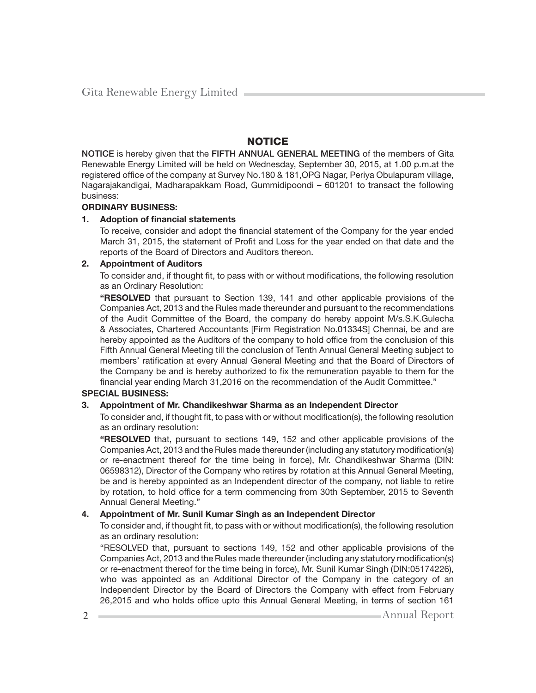### NOTICE

NOTICE is hereby given that the FIFTH ANNUAL GENERAL MEETING of the members of Gita Renewable Energy Limited will be held on Wednesday, September 30, 2015, at 1.00 p.m.at the registered office of the company at Survey No.180 & 181, OPG Nagar, Periya Obulapuram village, Nagarajakandigai, Madharapakkam Road, Gummidipoondi – 601201 to transact the following business:

### ORDINARY BUSINESS:

### 1. Adoption of financial statements

To receive, consider and adopt the financial statement of the Company for the year ended March 31, 2015, the statement of Profit and Loss for the year ended on that date and the reports of the Board of Directors and Auditors thereon.

### 2. Appointment of Auditors

To consider and, if thought fit, to pass with or without modifications, the following resolution as an Ordinary Resolution:

 "RESOLVED that pursuant to Section 139, 141 and other applicable provisions of the Companies Act, 2013 and the Rules made thereunder and pursuant to the recommendations of the Audit Committee of the Board, the company do hereby appoint M/s.S.K.Gulecha & Associates, Chartered Accountants [Firm Registration No.01334S] Chennai, be and are hereby appointed as the Auditors of the company to hold office from the conclusion of this Fifth Annual General Meeting till the conclusion of Tenth Annual General Meeting subject to members' ratification at every Annual General Meeting and that the Board of Directors of the Company be and is hereby authorized to fix the remuneration payable to them for the financial year ending March 31,2016 on the recommendation of the Audit Committee."

### SPECIAL BUSINESS:

### 3. Appointment of Mr. Chandikeshwar Sharma as an Independent Director

To consider and, if thought fit, to pass with or without modification(s), the following resolution as an ordinary resolution:

 "RESOLVED that, pursuant to sections 149, 152 and other applicable provisions of the Companies Act, 2013 and the Rules made thereunder (including any statutory modification(s) or re-enactment thereof for the time being in force), Mr. Chandikeshwar Sharma (DIN: 06598312), Director of the Company who retires by rotation at this Annual General Meeting, be and is hereby appointed as an Independent director of the company, not liable to retire by rotation, to hold office for a term commencing from 30th September, 2015 to Seventh Annual General Meeting."

### 4. Appointment of Mr. Sunil Kumar Singh as an Independent Director

To consider and, if thought fit, to pass with or without modification(s), the following resolution as an ordinary resolution:

 "RESOLVED that, pursuant to sections 149, 152 and other applicable provisions of the Companies Act, 2013 and the Rules made thereunder (including any statutory modification(s) or re-enactment thereof for the time being in force), Mr. Sunil Kumar Singh (DIN:05174226), who was appointed as an Additional Director of the Company in the category of an Independent Director by the Board of Directors the Company with effect from February 26,2015 and who holds office upto this Annual General Meeting, in terms of section 161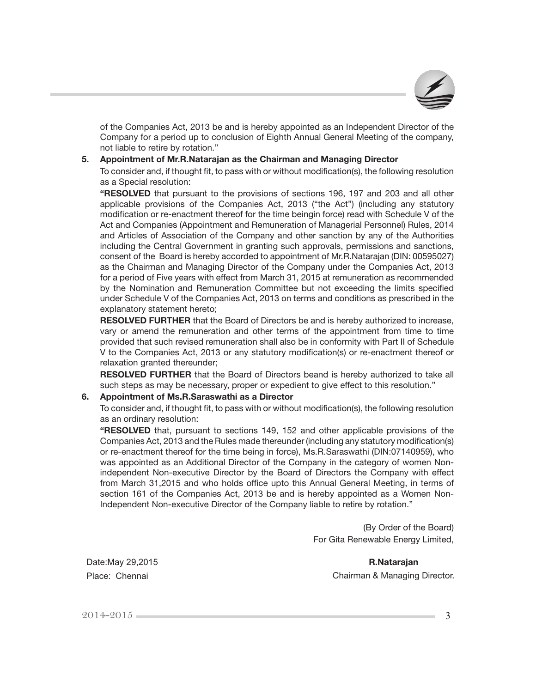

of the Companies Act, 2013 be and is hereby appointed as an Independent Director of the Company for a period up to conclusion of Eighth Annual General Meeting of the company, not liable to retire by rotation."

### 5. Appointment of Mr.R.Natarajan as the Chairman and Managing Director

To consider and, if thought fit, to pass with or without modification(s), the following resolution as a Special resolution:

"RESOLVED that pursuant to the provisions of sections 196, 197 and 203 and all other applicable provisions of the Companies Act, 2013 ("the Act") (including any statutory modification or re-enactment thereof for the time beingin force) read with Schedule V of the Act and Companies (Appointment and Remuneration of Managerial Personnel) Rules, 2014 and Articles of Association of the Company and other sanction by any of the Authorities including the Central Government in granting such approvals, permissions and sanctions, consent of the Board is hereby accorded to appointment of Mr.R.Natarajan (DIN: 00595027) as the Chairman and Managing Director of the Company under the Companies Act, 2013 for a period of Five years with effect from March 31, 2015 at remuneration as recommended by the Nomination and Remuneration Committee but not exceeding the limits specified under Schedule V of the Companies Act, 2013 on terms and conditions as prescribed in the explanatory statement hereto;

 RESOLVED FURTHER that the Board of Directors be and is hereby authorized to increase, vary or amend the remuneration and other terms of the appointment from time to time provided that such revised remuneration shall also be in conformity with Part II of Schedule V to the Companies Act, 2013 or any statutory modification(s) or re-enactment thereof or relaxation granted thereunder:

 RESOLVED FURTHER that the Board of Directors beand is hereby authorized to take all such steps as may be necessary, proper or expedient to give effect to this resolution."

#### 6. Appointment of Ms.R.Saraswathi as a Director

To consider and, if thought fit, to pass with or without modification(s), the following resolution as an ordinary resolution:

 "RESOLVED that, pursuant to sections 149, 152 and other applicable provisions of the Companies Act, 2013 and the Rules made thereunder (including any statutory modification(s) or re-enactment thereof for the time being in force), Ms.R.Saraswathi (DIN:07140959), who was appointed as an Additional Director of the Company in the category of women Nonindependent Non-executive Director by the Board of Directors the Company with effect from March 31,2015 and who holds office upto this Annual General Meeting, in terms of section 161 of the Companies Act, 2013 be and is hereby appointed as a Women Non-Independent Non-executive Director of the Company liable to retire by rotation."

> (By Order of the Board) For Gita Renewable Energy Limited,

Date:May 29,2015 **R.Natarajan** 

Place: Chennai **Chairman & Managing Director.** 

2014-2015 3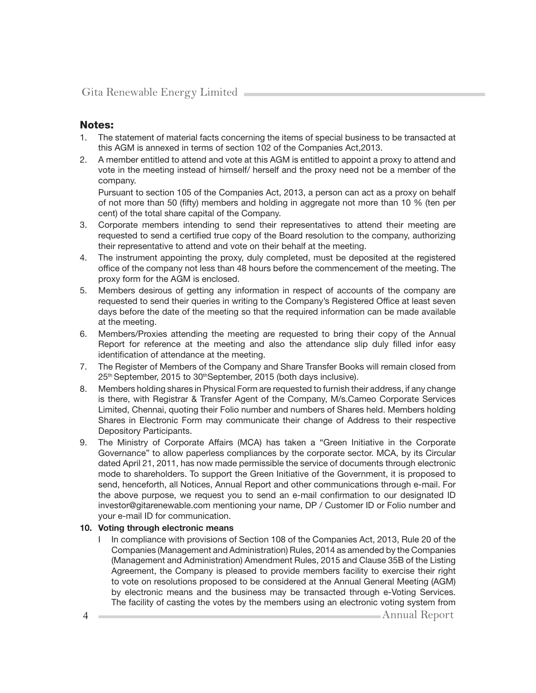### Notes:

- 1. The statement of material facts concerning the items of special business to be transacted at this AGM is annexed in terms of section 102 of the Companies Act,2013.
- 2. A member entitled to attend and vote at this AGM is entitled to appoint a proxy to attend and vote in the meeting instead of himself/ herself and the proxy need not be a member of the company.

 Pursuant to section 105 of the Companies Act, 2013, a person can act as a proxy on behalf of not more than 50 (fifty) members and holding in aggregate not more than 10 % (ten per cent) of the total share capital of the Company.

- 3. Corporate members intending to send their representatives to attend their meeting are requested to send a certified true copy of the Board resolution to the company, authorizing their representative to attend and vote on their behalf at the meeting.
- 4. The instrument appointing the proxy, duly completed, must be deposited at the registered office of the company not less than 48 hours before the commencement of the meeting. The proxy form for the AGM is enclosed.
- 5. Members desirous of getting any information in respect of accounts of the company are requested to send their queries in writing to the Company's Registered Office at least seven days before the date of the meeting so that the required information can be made available at the meeting.
- 6. Members/Proxies attending the meeting are requested to bring their copy of the Annual Report for reference at the meeting and also the attendance slip duly filled infor easy identification of attendance at the meeting.
- 7. The Register of Members of the Company and Share Transfer Books will remain closed from 25<sup>th</sup> September, 2015 to 30<sup>th</sup> September, 2015 (both days inclusive).
- 8. Members holding shares in Physical Form are requested to furnish their address, if any change is there, with Registrar & Transfer Agent of the Company, M/s.Cameo Corporate Services Limited, Chennai, quoting their Folio number and numbers of Shares held. Members holding Shares in Electronic Form may communicate their change of Address to their respective Depository Participants.
- 9. The Ministry of Corporate Affairs (MCA) has taken a "Green Initiative in the Corporate Governance" to allow paperless compliances by the corporate sector. MCA, by its Circular dated April 21, 2011, has now made permissible the service of documents through electronic mode to shareholders. To support the Green Initiative of the Government, it is proposed to send, henceforth, all Notices, Annual Report and other communications through e-mail. For the above purpose, we request you to send an e-mail confirmation to our designated ID investor@gitarenewable.com mentioning your name, DP / Customer ID or Folio number and your e-mail ID for communication.

### 10. Voting through electronic means

In compliance with provisions of Section 108 of the Companies Act, 2013, Rule 20 of the Companies (Management and Administration) Rules, 2014 as amended by the Companies (Management and Administration) Amendment Rules, 2015 and Clause 35B of the Listing Agreement, the Company is pleased to provide members facility to exercise their right to vote on resolutions proposed to be considered at the Annual General Meeting (AGM) by electronic means and the business may be transacted through e-Voting Services. The facility of casting the votes by the members using an electronic voting system from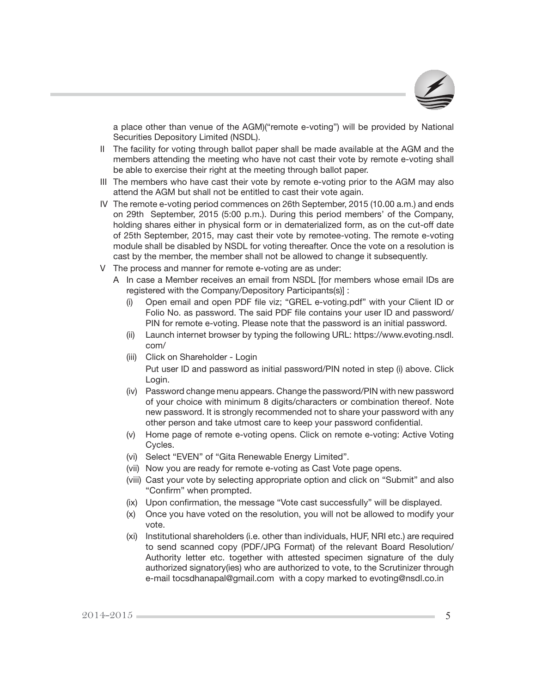

a place other than venue of the AGM)("remote e-voting") will be provided by National Securities Depository Limited (NSDL).

- II The facility for voting through ballot paper shall be made available at the AGM and the members attending the meeting who have not cast their vote by remote e-voting shall be able to exercise their right at the meeting through ballot paper.
- III The members who have cast their vote by remote e-voting prior to the AGM may also attend the AGM but shall not be entitled to cast their vote again.
- IV The remote e-voting period commences on 26th September, 2015 (10.00 a.m.) and ends on 29th September, 2015 (5:00 p.m.). During this period members' of the Company, holding shares either in physical form or in dematerialized form, as on the cut-off date of 25th September, 2015, may cast their vote by remotee-voting. The remote e-voting module shall be disabled by NSDL for voting thereafter. Once the vote on a resolution is cast by the member, the member shall not be allowed to change it subsequently.
- V The process and manner for remote e-voting are as under:
	- A In case a Member receives an email from NSDL [for members whose email IDs are registered with the Company/Depository Participants(s)] :
		- Open email and open PDF file viz; "GREL e-voting.pdf" with your Client ID or Folio No. as password. The said PDF file contains your user ID and password/ PIN for remote e-voting. Please note that the password is an initial password.
		- (ii) Launch internet browser by typing the following URL: https://www.evoting.nsdl. com/
		- (iii) Click on Shareholder Login Put user ID and password as initial password/PIN noted in step (i) above. Click Login.
		- (iv) Password change menu appears. Change the password/PIN with new password of your choice with minimum 8 digits/characters or combination thereof. Note new password. It is strongly recommended not to share your password with any other person and take utmost care to keep your password confidential.
		- (v) Home page of remote e-voting opens. Click on remote e-voting: Active Voting Cycles.
		- (vi) Select "EVEN" of "Gita Renewable Energy Limited".
		- (vii) Now you are ready for remote e-voting as Cast Vote page opens.
		- (viii) Cast your vote by selecting appropriate option and click on "Submit" and also "Confirm" when prompted.
		- $(ix)$  Upon confirmation, the message "Vote cast successfully" will be displayed.
		- (x) Once you have voted on the resolution, you will not be allowed to modify your vote.
		- (xi) Institutional shareholders (i.e. other than individuals, HUF, NRI etc.) are required to send scanned copy (PDF/JPG Format) of the relevant Board Resolution/ Authority letter etc. together with attested specimen signature of the duly authorized signatory(ies) who are authorized to vote, to the Scrutinizer through e-mail tocsdhanapal@gmail.com with a copy marked to evoting@nsdl.co.in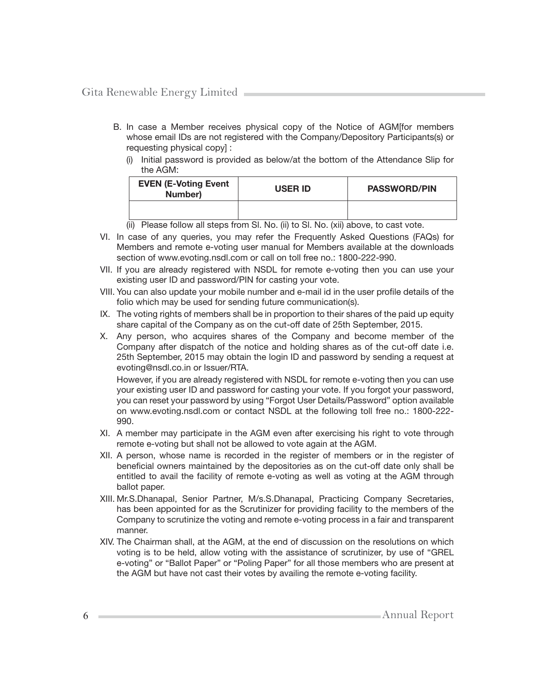- B. In case a Member receives physical copy of the Notice of AGM[for members whose email IDs are not registered with the Company/Depository Participants(s) or requesting physical copy] :
	- (i) Initial password is provided as below/at the bottom of the Attendance Slip for the AGM:

| <b>EVEN (E-Voting Event</b><br>Number) | <b>USER ID</b> | <b>PASSWORD/PIN</b> |
|----------------------------------------|----------------|---------------------|
|                                        |                |                     |

(ii) Please follow all steps from Sl. No. (ii) to Sl. No. (xii) above, to cast vote.

- VI. In case of any queries, you may refer the Frequently Asked Questions (FAQs) for Members and remote e-voting user manual for Members available at the downloads section of www.evoting.nsdl.com or call on toll free no.: 1800-222-990.
- VII. If you are already registered with NSDL for remote e-voting then you can use your existing user ID and password/PIN for casting your vote.
- VIII. You can also update your mobile number and e-mail id in the user profile details of the folio which may be used for sending future communication(s).
- IX. The voting rights of members shall be in proportion to their shares of the paid up equity share capital of the Company as on the cut-off date of 25th September, 2015.
- X. Any person, who acquires shares of the Company and become member of the Company after dispatch of the notice and holding shares as of the cut-off date i.e. 25th September, 2015 may obtain the login ID and password by sending a request at evoting@nsdl.co.in or Issuer/RTA.

 However, if you are already registered with NSDL for remote e-voting then you can use your existing user ID and password for casting your vote. If you forgot your password, you can reset your password by using "Forgot User Details/Password" option available on www.evoting.nsdl.com or contact NSDL at the following toll free no.: 1800-222- 990.

- XI. A member may participate in the AGM even after exercising his right to vote through remote e-voting but shall not be allowed to vote again at the AGM.
- XII. A person, whose name is recorded in the register of members or in the register of beneficial owners maintained by the depositories as on the cut-off date only shall be entitled to avail the facility of remote e-voting as well as voting at the AGM through ballot paper.
- XIII. Mr.S.Dhanapal, Senior Partner, M/s.S.Dhanapal, Practicing Company Secretaries, has been appointed for as the Scrutinizer for providing facility to the members of the Company to scrutinize the voting and remote e-voting process in a fair and transparent manner.
- XIV. The Chairman shall, at the AGM, at the end of discussion on the resolutions on which voting is to be held, allow voting with the assistance of scrutinizer, by use of "GREL e-voting" or "Ballot Paper" or "Poling Paper" for all those members who are present at the AGM but have not cast their votes by availing the remote e-voting facility.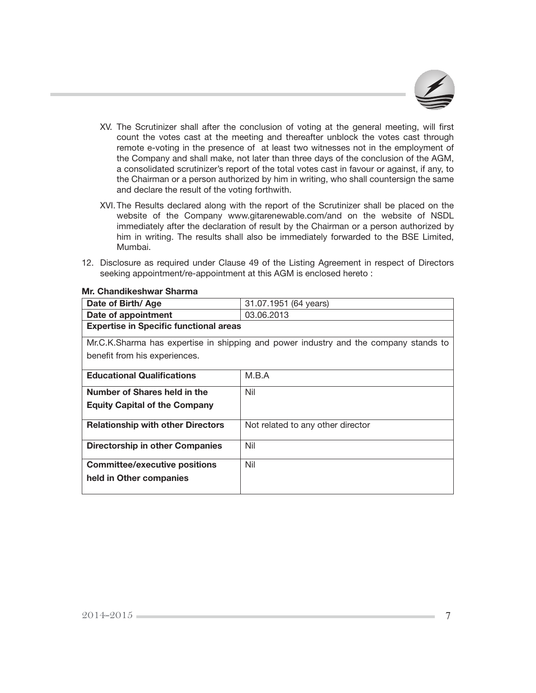

- XV. The Scrutinizer shall after the conclusion of voting at the general meeting, will first count the votes cast at the meeting and thereafter unblock the votes cast through remote e-voting in the presence of at least two witnesses not in the employment of the Company and shall make, not later than three days of the conclusion of the AGM, a consolidated scrutinizer's report of the total votes cast in favour or against, if any, to the Chairman or a person authorized by him in writing, who shall countersign the same and declare the result of the voting forthwith.
- XVI. The Results declared along with the report of the Scrutinizer shall be placed on the website of the Company www.gitarenewable.com/and on the website of NSDL immediately after the declaration of result by the Chairman or a person authorized by him in writing. The results shall also be immediately forwarded to the BSE Limited, Mumbai.
- 12. Disclosure as required under Clause 49 of the Listing Agreement in respect of Directors seeking appointment/re-appointment at this AGM is enclosed hereto :

| Date of Birth/ Age                            | 31.07.1951 (64 years)                                                                |  |  |
|-----------------------------------------------|--------------------------------------------------------------------------------------|--|--|
|                                               | 03.06.2013                                                                           |  |  |
| Date of appointment                           |                                                                                      |  |  |
| <b>Expertise in Specific functional areas</b> |                                                                                      |  |  |
|                                               | Mr.C.K.Sharma has expertise in shipping and power industry and the company stands to |  |  |
| benefit from his experiences.                 |                                                                                      |  |  |
|                                               |                                                                                      |  |  |
| <b>Educational Qualifications</b>             | M.B.A                                                                                |  |  |
| Number of Shares held in the                  | Nil                                                                                  |  |  |
| <b>Equity Capital of the Company</b>          |                                                                                      |  |  |
|                                               |                                                                                      |  |  |
| <b>Relationship with other Directors</b>      | Not related to any other director                                                    |  |  |
|                                               |                                                                                      |  |  |
| Directorship in other Companies               | Nil                                                                                  |  |  |
|                                               |                                                                                      |  |  |
| <b>Committee/executive positions</b>          | Nil                                                                                  |  |  |
| held in Other companies                       |                                                                                      |  |  |
|                                               |                                                                                      |  |  |

### Mr. Chandikeshwar Sharma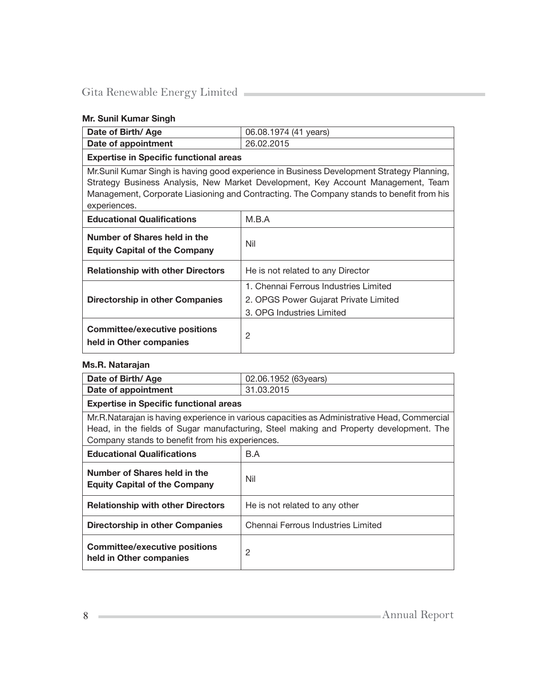### Mr. Sunil Kumar Singh

| Date of Birth/Age                                                    | 06.08.1974 (41 years)                                                                     |  |  |
|----------------------------------------------------------------------|-------------------------------------------------------------------------------------------|--|--|
| Date of appointment                                                  | 26.02.2015                                                                                |  |  |
|                                                                      |                                                                                           |  |  |
| <b>Expertise in Specific functional areas</b>                        |                                                                                           |  |  |
|                                                                      | Mr.Sunil Kumar Singh is having good experience in Business Development Strategy Planning, |  |  |
|                                                                      | Strategy Business Analysis, New Market Development, Key Account Management, Team          |  |  |
|                                                                      | Management, Corporate Liasioning and Contracting. The Company stands to benefit from his  |  |  |
| experiences.                                                         |                                                                                           |  |  |
| <b>Educational Qualifications</b>                                    | M.B.A                                                                                     |  |  |
| Number of Shares held in the<br><b>Equity Capital of the Company</b> | Nil                                                                                       |  |  |
| <b>Relationship with other Directors</b>                             | He is not related to any Director                                                         |  |  |
|                                                                      | 1. Chennai Ferrous Industries Limited                                                     |  |  |
| Directorship in other Companies                                      | 2. OPGS Power Gujarat Private Limited                                                     |  |  |
|                                                                      | 3. OPG Industries Limited                                                                 |  |  |
| <b>Committee/executive positions</b><br>held in Other companies      | $\overline{2}$                                                                            |  |  |

### Ms.R. Natarajan

| Date of Birth/Age                                                                                                                                                                                                                           | 02.06.1952 (63years)               |  |
|---------------------------------------------------------------------------------------------------------------------------------------------------------------------------------------------------------------------------------------------|------------------------------------|--|
| Date of appointment                                                                                                                                                                                                                         | 31.03.2015                         |  |
| <b>Expertise in Specific functional areas</b>                                                                                                                                                                                               |                                    |  |
| Mr. R. Natarajan is having experience in various capacities as Administrative Head, Commercial<br>Head, in the fields of Sugar manufacturing, Steel making and Property development. The<br>Company stands to benefit from his experiences. |                                    |  |
| <b>Educational Qualifications</b>                                                                                                                                                                                                           | B.A                                |  |
| Number of Shares held in the<br><b>Equity Capital of the Company</b>                                                                                                                                                                        | Nil                                |  |
| <b>Relationship with other Directors</b>                                                                                                                                                                                                    | He is not related to any other     |  |
| Directorship in other Companies                                                                                                                                                                                                             | Chennai Ferrous Industries Limited |  |
| <b>Committee/executive positions</b><br>held in Other companies                                                                                                                                                                             | 2                                  |  |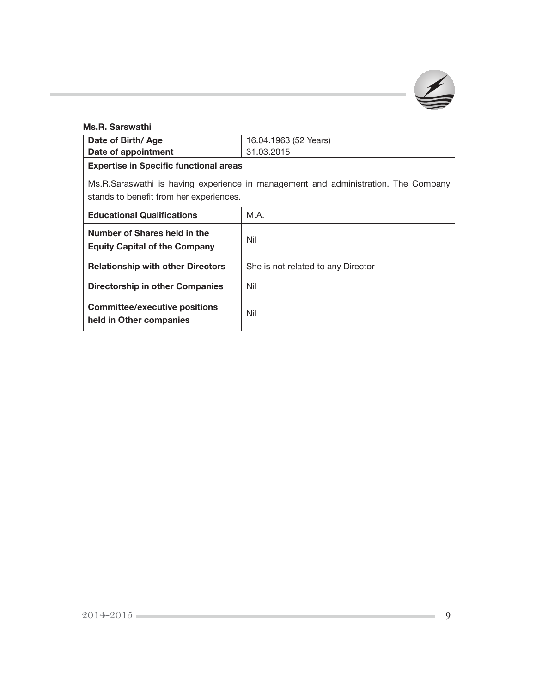

### Ms.R. Sarswathi

| Date of Birth/Age                                                    | 16.04.1963 (52 Years)                                                              |
|----------------------------------------------------------------------|------------------------------------------------------------------------------------|
| Date of appointment                                                  | 31.03.2015                                                                         |
| <b>Expertise in Specific functional areas</b>                        |                                                                                    |
| stands to benefit from her experiences.                              | Ms.R.Saraswathi is having experience in management and administration. The Company |
| <b>Educational Qualifications</b>                                    | M.A.                                                                               |
| Number of Shares held in the<br><b>Equity Capital of the Company</b> | Nil                                                                                |
| <b>Relationship with other Directors</b>                             | She is not related to any Director                                                 |
| Directorship in other Companies                                      | Nil                                                                                |
| <b>Committee/executive positions</b><br>held in Other companies      | Nil                                                                                |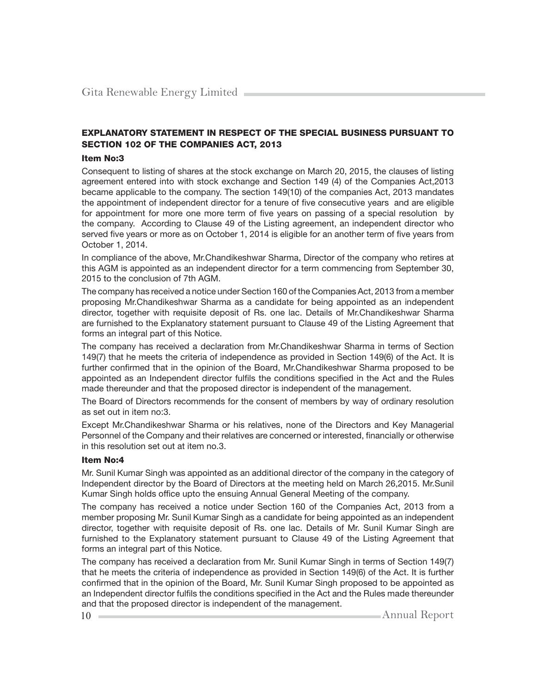### EXPLANATORY STATEMENT IN RESPECT OF THE SPECIAL BUSINESS PURSUANT TO SECTION 102 OF THE COMPANIES ACT, 2013

### Item No:3

Consequent to listing of shares at the stock exchange on March 20, 2015, the clauses of listing agreement entered into with stock exchange and Section 149 (4) of the Companies Act,2013 became applicable to the company. The section 149(10) of the companies Act, 2013 mandates the appointment of independent director for a tenure of five consecutive years and are eligible for appointment for more one more term of five years on passing of a special resolution by the company. According to Clause 49 of the Listing agreement, an independent director who served five years or more as on October 1, 2014 is eligible for an another term of five years from October 1, 2014.

In compliance of the above, Mr.Chandikeshwar Sharma, Director of the company who retires at this AGM is appointed as an independent director for a term commencing from September 30, 2015 to the conclusion of 7th AGM.

The company has received a notice under Section 160 of the Companies Act, 2013 from a member proposing Mr.Chandikeshwar Sharma as a candidate for being appointed as an independent director, together with requisite deposit of Rs. one lac. Details of Mr.Chandikeshwar Sharma are furnished to the Explanatory statement pursuant to Clause 49 of the Listing Agreement that forms an integral part of this Notice.

The company has received a declaration from Mr.Chandikeshwar Sharma in terms of Section 149(7) that he meets the criteria of independence as provided in Section 149(6) of the Act. It is further confirmed that in the opinion of the Board, Mr.Chandikeshwar Sharma proposed to be appointed as an Independent director fulfils the conditions specified in the Act and the Rules made thereunder and that the proposed director is independent of the management.

The Board of Directors recommends for the consent of members by way of ordinary resolution as set out in item no:3.

Except Mr.Chandikeshwar Sharma or his relatives, none of the Directors and Key Managerial Personnel of the Company and their relatives are concerned or interested, financially or otherwise in this resolution set out at item no.3.

#### Item No:4

Mr. Sunil Kumar Singh was appointed as an additional director of the company in the category of Independent director by the Board of Directors at the meeting held on March 26,2015. Mr.Sunil Kumar Singh holds office upto the ensuing Annual General Meeting of the company.

The company has received a notice under Section 160 of the Companies Act, 2013 from a member proposing Mr. Sunil Kumar Singh as a candidate for being appointed as an independent director, together with requisite deposit of Rs. one lac. Details of Mr. Sunil Kumar Singh are furnished to the Explanatory statement pursuant to Clause 49 of the Listing Agreement that forms an integral part of this Notice.

The company has received a declaration from Mr. Sunil Kumar Singh in terms of Section 149(7) that he meets the criteria of independence as provided in Section 149(6) of the Act. It is further confirmed that in the opinion of the Board, Mr. Sunil Kumar Singh proposed to be appointed as an Independent director fulfils the conditions specified in the Act and the Rules made thereunder and that the proposed director is independent of the management.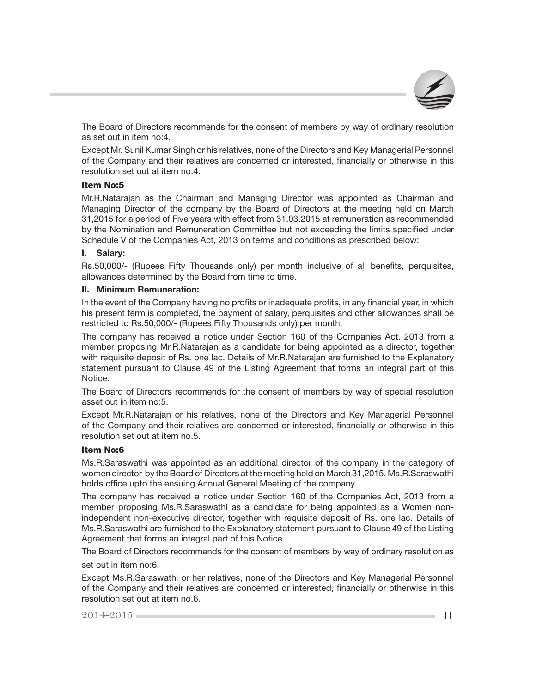

The Board of Directors recommends for the consent of members by way of ordinary resolution as set out in item no:4.

Except Mr. Sunil Kumar Singh or his relatives, none of the Directors and Key Managerial Personnel of the Company and their relatives are concerned or interested, financially or otherwise in this resolution set out at item no.4.

### Item No:5

Mr.R.Natarajan as the Chairman and Managing Director was appointed as Chairman and Managing Director of the company by the Board of Directors at the meeting held on March 31,2015 for a period of Five years with effect from 31.03.2015 at remuneration as recommended by the Nomination and Remuneration Committee but not exceeding the limits specified under Schedule V of the Companies Act, 2013 on terms and conditions as prescribed below:

#### I. Salary:

Rs.50,000/- (Rupees Fifty Thousands only) per month inclusive of all benefits, perquisites, allowances determined by the Board from time to time.

#### II. Minimum Remuneration:

In the event of the Company having no profits or inadequate profits, in any financial year, in which his present term is completed, the payment of salary, perquisites and other allowances shall be restricted to Rs.50,000/- (Rupees Fifty Thousands only) per month.

The company has received a notice under Section 160 of the Companies Act, 2013 from a member proposing Mr.R.Natarajan as a candidate for being appointed as a director, together with requisite deposit of Rs. one lac. Details of Mr.R.Natarajan are furnished to the Explanatory statement pursuant to Clause 49 of the Listing Agreement that forms an integral part of this Notice.

The Board of Directors recommends for the consent of members by way of special resolution asset out in item no:5.

Except Mr.R.Natarajan or his relatives, none of the Directors and Key Managerial Personnel of the Company and their relatives are concerned or interested, financially or otherwise in this resolution set out at item no.5.

### Item No:6

Ms.R.Saraswathi was appointed as an additional director of the company in the category of women director by the Board of Directors at the meeting held on March 31,2015. Ms.R.Saraswathi holds office upto the ensuing Annual General Meeting of the company.

The company has received a notice under Section 160 of the Companies Act, 2013 from a member proposing Ms.R.Saraswathi as a candidate for being appointed as a Women nonindependent non-executive director, together with requisite deposit of Rs. one lac. Details of Ms.R.Saraswathi are furnished to the Explanatory statement pursuant to Clause 49 of the Listing Agreement that forms an integral part of this Notice.

The Board of Directors recommends for the consent of members by way of ordinary resolution as set out in item no:6.

Except Ms.R.Saraswathi or her relatives, none of the Directors and Key Managerial Personnel of the Company and their relatives are concerned or interested, financially or otherwise in this resolution set out at item no.6.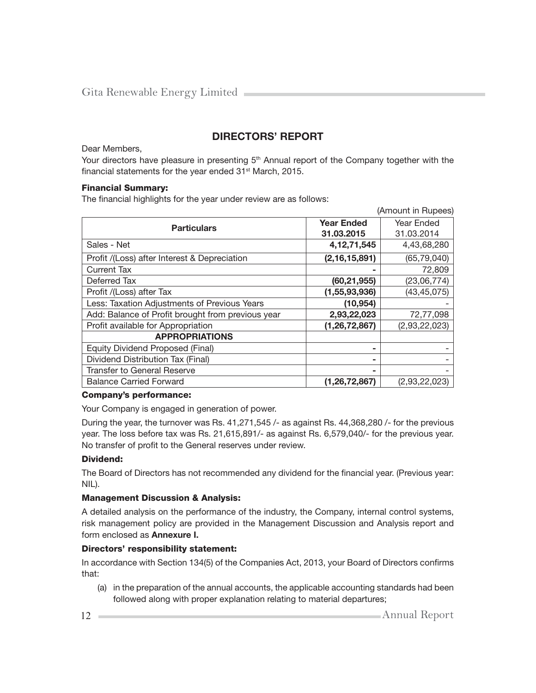### DIRECTORS' REPORT

Dear Members,

Your directors have pleasure in presenting  $5<sup>th</sup>$  Annual report of the Company together with the financial statements for the year ended  $31<sup>st</sup>$  March, 2015.

### Financial Summary:

The financial highlights for the year under review are as follows:

|                                                   |                   | (Amount in Rupees) |
|---------------------------------------------------|-------------------|--------------------|
| <b>Particulars</b>                                | <b>Year Ended</b> | Year Ended         |
|                                                   | 31.03.2015        | 31.03.2014         |
| Sales - Net                                       | 4, 12, 71, 545    | 4,43,68,280        |
| Profit /(Loss) after Interest & Depreciation      | (2, 16, 15, 891)  | (65, 79, 040)      |
| <b>Current Tax</b>                                |                   | 72,809             |
| Deferred Tax                                      | (60, 21, 955)     | (23,06,774)        |
| Profit /(Loss) after Tax                          | (1, 55, 93, 936)  | (43, 45, 075)      |
| Less: Taxation Adjustments of Previous Years      | (10, 954)         |                    |
| Add: Balance of Profit brought from previous year | 2,93,22,023       | 72,77,098          |
| Profit available for Appropriation                | (1, 26, 72, 867)  | (2,93,22,023)      |
| <b>APPROPRIATIONS</b>                             |                   |                    |
| <b>Equity Dividend Proposed (Final)</b>           | ۰                 |                    |
| Dividend Distribution Tax (Final)                 | ۰                 |                    |
| Transfer to General Reserve                       | ۰                 |                    |
| <b>Balance Carried Forward</b>                    | (1, 26, 72, 867)  | (2,93,22,023)      |

#### Company's performance:

Your Company is engaged in generation of power.

During the year, the turnover was Rs. 41,271,545 /- as against Rs. 44,368,280 /- for the previous year. The loss before tax was Rs. 21,615,891/- as against Rs. 6,579,040/- for the previous year. No transfer of profit to the General reserves under review.

### Dividend:

The Board of Directors has not recommended any dividend for the financial year. (Previous year: NIL).

### Management Discussion & Analysis:

A detailed analysis on the performance of the industry, the Company, internal control systems, risk management policy are provided in the Management Discussion and Analysis report and form enclosed as Annexure I.

### Directors' responsibility statement:

In accordance with Section 134(5) of the Companies Act, 2013, your Board of Directors confirms that:

(a) in the preparation of the annual accounts, the applicable accounting standards had been followed along with proper explanation relating to material departures;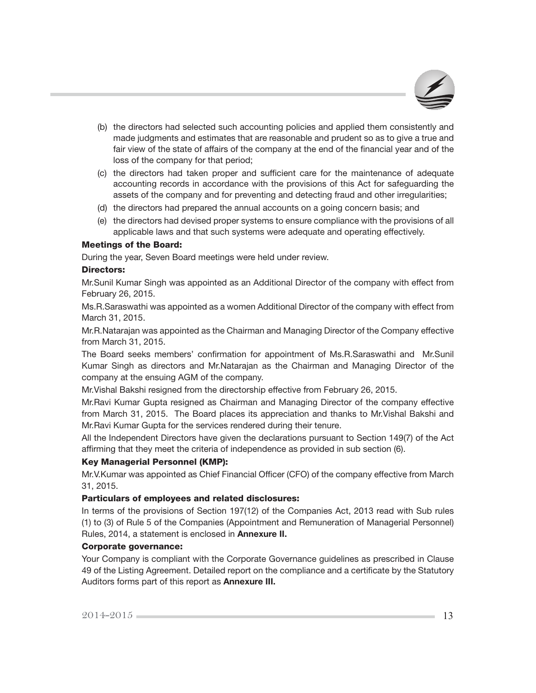

- (b) the directors had selected such accounting policies and applied them consistently and made judgments and estimates that are reasonable and prudent so as to give a true and fair view of the state of affairs of the company at the end of the financial year and of the loss of the company for that period;
- (c) the directors had taken proper and sufficient care for the maintenance of adequate accounting records in accordance with the provisions of this Act for safeguarding the assets of the company and for preventing and detecting fraud and other irregularities;
- (d) the directors had prepared the annual accounts on a going concern basis; and
- (e) the directors had devised proper systems to ensure compliance with the provisions of all applicable laws and that such systems were adequate and operating effectively.

### Meetings of the Board:

During the year, Seven Board meetings were held under review.

### Directors:

Mr.Sunil Kumar Singh was appointed as an Additional Director of the company with effect from February 26, 2015.

Ms.R.Saraswathi was appointed as a women Additional Director of the company with effect from March 31, 2015.

Mr.R.Natarajan was appointed as the Chairman and Managing Director of the Company effective from March 31, 2015.

The Board seeks members' confirmation for appointment of Ms.R.Saraswathi and Mr.Sunil Kumar Singh as directors and Mr.Natarajan as the Chairman and Managing Director of the company at the ensuing AGM of the company.

Mr.Vishal Bakshi resigned from the directorship effective from February 26, 2015.

Mr.Ravi Kumar Gupta resigned as Chairman and Managing Director of the company effective from March 31, 2015. The Board places its appreciation and thanks to Mr.Vishal Bakshi and Mr.Ravi Kumar Gupta for the services rendered during their tenure.

All the Independent Directors have given the declarations pursuant to Section 149(7) of the Act affirming that they meet the criteria of independence as provided in sub section (6).

### Key Managerial Personnel (KMP):

Mr. V. Kumar was appointed as Chief Financial Officer (CFO) of the company effective from March 31, 2015.

### Particulars of employees and related disclosures:

In terms of the provisions of Section 197(12) of the Companies Act, 2013 read with Sub rules (1) to (3) of Rule 5 of the Companies (Appointment and Remuneration of Managerial Personnel) Rules, 2014, a statement is enclosed in Annexure II.

#### Corporate governance:

Your Company is compliant with the Corporate Governance guidelines as prescribed in Clause 49 of the Listing Agreement. Detailed report on the compliance and a certificate by the Statutory Auditors forms part of this report as **Annexure III.**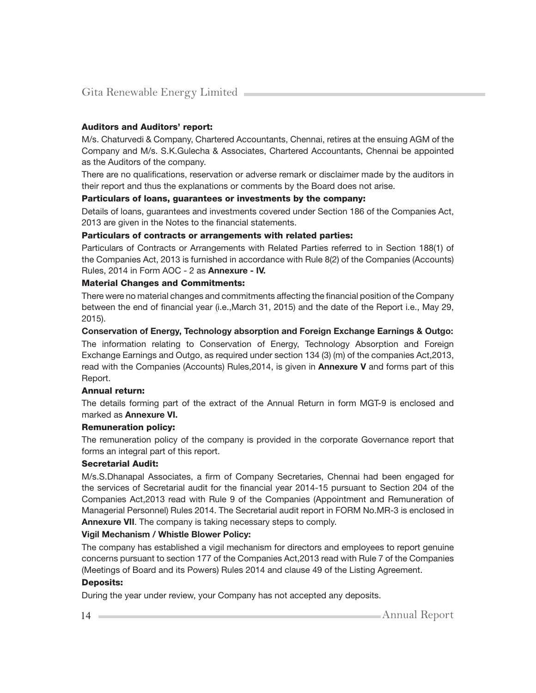### Auditors and Auditors' report:

M/s. Chaturvedi & Company, Chartered Accountants, Chennai, retires at the ensuing AGM of the Company and M/s. S.K.Gulecha & Associates, Chartered Accountants, Chennai be appointed as the Auditors of the company.

There are no qualifications, reservation or adverse remark or disclaimer made by the auditors in their report and thus the explanations or comments by the Board does not arise.

### Particulars of loans, guarantees or investments by the company:

Details of loans, guarantees and investments covered under Section 186 of the Companies Act, 2013 are given in the Notes to the financial statements.

### Particulars of contracts or arrangements with related parties:

Particulars of Contracts or Arrangements with Related Parties referred to in Section 188(1) of the Companies Act, 2013 is furnished in accordance with Rule 8(2) of the Companies (Accounts) Rules, 2014 in Form AOC - 2 as Annexure - IV.

### Material Changes and Commitments:

There were no material changes and commitments affecting the financial position of the Company between the end of financial year (i.e.,March 31, 2015) and the date of the Report i.e., May 29, 2015).

Conservation of Energy, Technology absorption and Foreign Exchange Earnings & Outgo: The information relating to Conservation of Energy, Technology Absorption and Foreign Exchange Earnings and Outgo, as required under section 134 (3) (m) of the companies Act,2013, read with the Companies (Accounts) Rules, 2014, is given in **Annexure V** and forms part of this Report.

### Annual return:

The details forming part of the extract of the Annual Return in form MGT-9 is enclosed and marked as Annexure VI.

#### Remuneration policy:

The remuneration policy of the company is provided in the corporate Governance report that forms an integral part of this report.

### Secretarial Audit:

M/s.S.Dhanapal Associates, a firm of Company Secretaries, Chennai had been engaged for the services of Secretarial audit for the financial year 2014-15 pursuant to Section 204 of the Companies Act,2013 read with Rule 9 of the Companies (Appointment and Remuneration of Managerial Personnel) Rules 2014. The Secretarial audit report in FORM No.MR-3 is enclosed in Annexure VII. The company is taking necessary steps to comply.

### Vigil Mechanism / Whistle Blower Policy:

The company has established a vigil mechanism for directors and employees to report genuine concerns pursuant to section 177 of the Companies Act,2013 read with Rule 7 of the Companies (Meetings of Board and its Powers) Rules 2014 and clause 49 of the Listing Agreement.

### Deposits:

During the year under review, your Company has not accepted any deposits.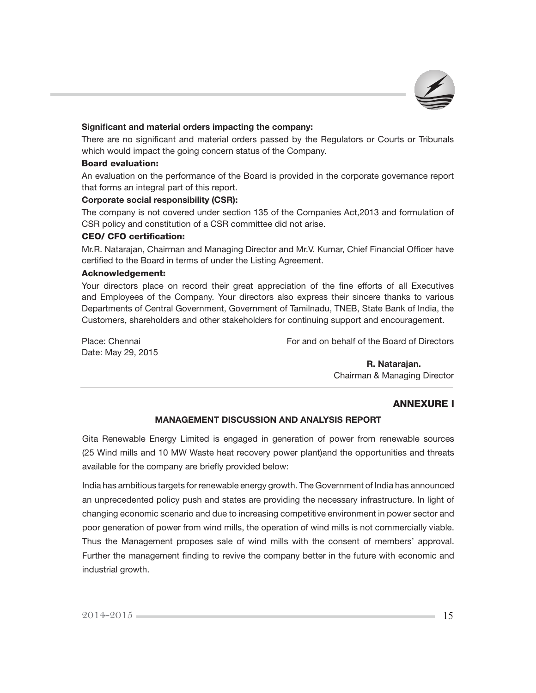

### Significant and material orders impacting the company:

There are no significant and material orders passed by the Regulators or Courts or Tribunals which would impact the going concern status of the Company.

#### Board evaluation:

An evaluation on the performance of the Board is provided in the corporate governance report that forms an integral part of this report.

### Corporate social responsibility (CSR):

The company is not covered under section 135 of the Companies Act,2013 and formulation of CSR policy and constitution of a CSR committee did not arise.

### CEO/ CFO certification:

Mr.R. Natarajan, Chairman and Managing Director and Mr.V. Kumar, Chief Financial Officer have certified to the Board in terms of under the Listing Agreement.

### Acknowledgement:

Your directors place on record their great appreciation of the fine efforts of all Executives and Employees of the Company. Your directors also express their sincere thanks to various Departments of Central Government, Government of Tamilnadu, TNEB, State Bank of India, the Customers, shareholders and other stakeholders for continuing support and encouragement.

Date: May 29, 2015

Place: Chennai **For and on behalf of the Board of Directors** 

R. Natarajan. Chairman & Managing Director

### ANNEXURE I

### MANAGEMENT DISCUSSION AND ANALYSIS REPORT

Gita Renewable Energy Limited is engaged in generation of power from renewable sources (25 Wind mills and 10 MW Waste heat recovery power plant)and the opportunities and threats available for the company are briefly provided below:

India has ambitious targets for renewable energy growth. The Government of India has announced an unprecedented policy push and states are providing the necessary infrastructure. In light of changing economic scenario and due to increasing competitive environment in power sector and poor generation of power from wind mills, the operation of wind mills is not commercially viable. Thus the Management proposes sale of wind mills with the consent of members' approval. Further the management finding to revive the company better in the future with economic and industrial growth.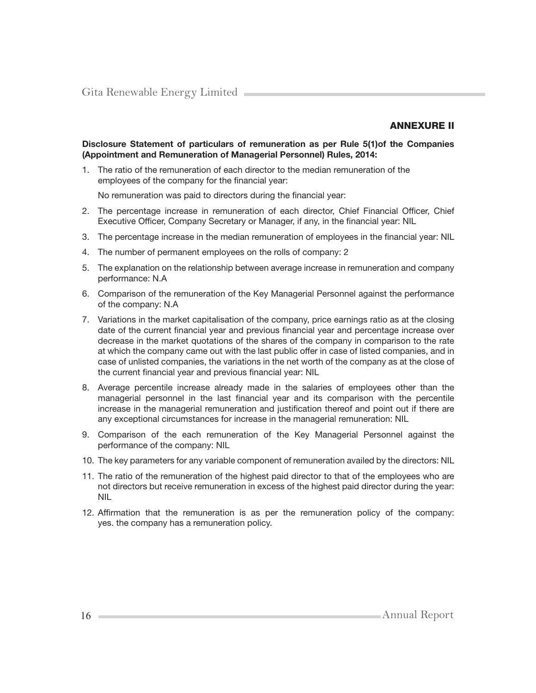### ANNEXURE II

### Disclosure Statement of particulars of remuneration as per Rule 5(1)of the Companies (Appointment and Remuneration of Managerial Personnel) Rules, 2014:

1. The ratio of the remuneration of each director to the median remuneration of the employees of the company for the financial year:

No remuneration was paid to directors during the financial year:

- 2. The percentage increase in remuneration of each director, Chief Financial Officer, Chief Executive Officer, Company Secretary or Manager, if any, in the financial year: NIL
- 3. The percentage increase in the median remuneration of employees in the financial year: NIL
- 4. The number of permanent employees on the rolls of company: 2
- 5. The explanation on the relationship between average increase in remuneration and company performance: N.A
- 6. Comparison of the remuneration of the Key Managerial Personnel against the performance of the company: N.A
- 7. Variations in the market capitalisation of the company, price earnings ratio as at the closing date of the current financial year and previous financial year and percentage increase over decrease in the market quotations of the shares of the company in comparison to the rate at which the company came out with the last public offer in case of listed companies, and in case of unlisted companies, the variations in the net worth of the company as at the close of the current financial year and previous financial year: NIL
- 8. Average percentile increase already made in the salaries of employees other than the managerial personnel in the last financial year and its comparison with the percentile increase in the managerial remuneration and justification thereof and point out if there are any exceptional circumstances for increase in the managerial remuneration: NIL
- 9. Comparison of the each remuneration of the Key Managerial Personnel against the performance of the company: NIL
- 10. The key parameters for any variable component of remuneration availed by the directors: NIL
- 11. The ratio of the remuneration of the highest paid director to that of the employees who are not directors but receive remuneration in excess of the highest paid director during the year: NIL
- 12. Affirmation that the remuneration is as per the remuneration policy of the company: yes. the company has a remuneration policy.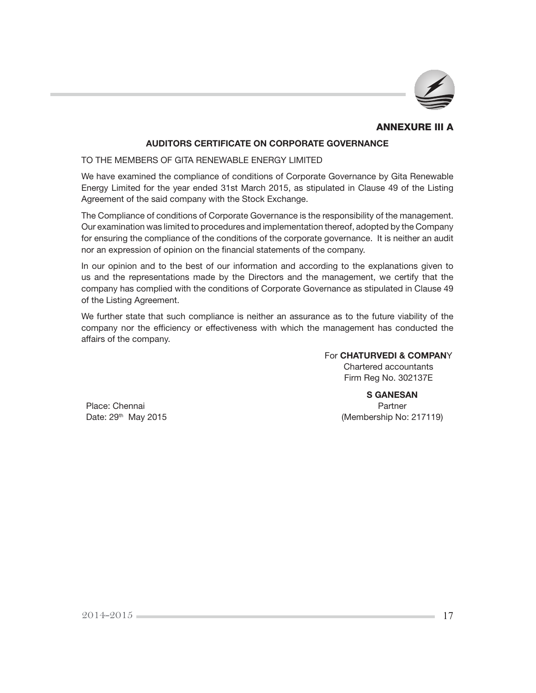

### ANNEXURE III A

### AUDITORS CERTIFICATE ON CORPORATE GOVERNANCE

TO THE MEMBERS OF GITA RENEWABLE ENERGY LIMITED

We have examined the compliance of conditions of Corporate Governance by Gita Renewable Energy Limited for the year ended 31st March 2015, as stipulated in Clause 49 of the Listing Agreement of the said company with the Stock Exchange.

The Compliance of conditions of Corporate Governance is the responsibility of the management. Our examination was limited to procedures and implementation thereof, adopted by the Company for ensuring the compliance of the conditions of the corporate governance. It is neither an audit nor an expression of opinion on the financial statements of the company.

In our opinion and to the best of our information and according to the explanations given to us and the representations made by the Directors and the management, we certify that the company has complied with the conditions of Corporate Governance as stipulated in Clause 49 of the Listing Agreement.

We further state that such compliance is neither an assurance as to the future viability of the company nor the efficiency or effectiveness with which the management has conducted the affairs of the company.

### For CHATURVEDI & COMPANY

Chartered accountants Firm Reg No. 302137E

Place: Chennai Partner Place: Chennai Partner Place: Partner Partner Partner Partner

S GANESAN Date:  $29<sup>th</sup>$  May 2015 (Membership No: 217119)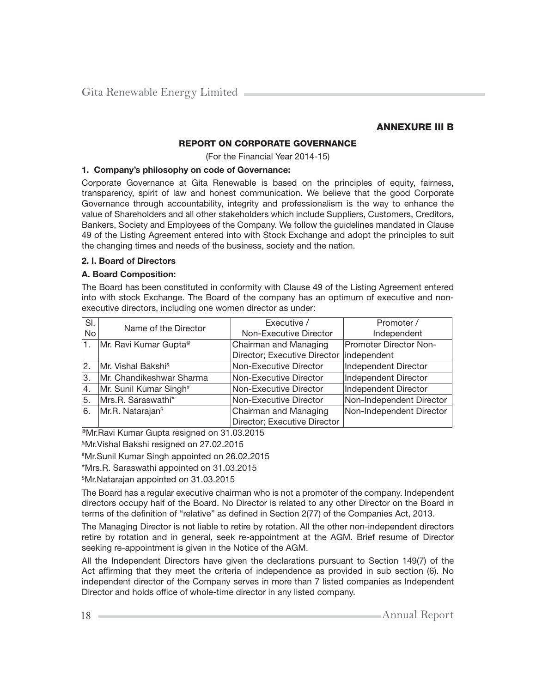### ANNEXURE III B

### REPORT ON CORPORATE GOVERNANCE

(For the Financial Year 2014-15)

### 1. Company's philosophy on code of Governance:

Corporate Governance at Gita Renewable is based on the principles of equity, fairness, transparency, spirit of law and honest communication. We believe that the good Corporate Governance through accountability, integrity and professionalism is the way to enhance the value of Shareholders and all other stakeholders which include Suppliers, Customers, Creditors, Bankers, Society and Employees of the Company. We follow the guidelines mandated in Clause 49 of the Listing Agreement entered into with Stock Exchange and adopt the principles to suit the changing times and needs of the business, society and the nation.

### 2. I. Board of Directors

### A. Board Composition:

The Board has been constituted in conformity with Clause 49 of the Listing Agreement entered into with stock Exchange. The Board of the company has an optimum of executive and nonexecutive directors, including one women director as under:

| SI. | Name of the Director               | Executive /                  | Promoter /               |
|-----|------------------------------------|------------------------------|--------------------------|
| No  |                                    | Non-Executive Director       | Independent              |
|     | Mr. Ravi Kumar Gupta <sup>®</sup>  | Chairman and Managing        | Promoter Director Non-   |
|     |                                    | Director; Executive Director | independent              |
| 2.  | Mr. Vishal Bakshi <sup>&amp;</sup> | Non-Executive Director       | Independent Director     |
| 13. | Mr. Chandikeshwar Sharma           | Non-Executive Director       | Independent Director     |
| 4.  | Mr. Sunil Kumar Singh#             | Non-Executive Director       | Independent Director     |
| 5.  | Mrs.R. Saraswathi*                 | Non-Executive Director       | Non-Independent Director |
| 16. | Mr.R. Natarajan <sup>\$</sup>      | Chairman and Managing        | Non-Independent Director |
|     |                                    | Director; Executive Director |                          |

@Mr.Ravi Kumar Gupta resigned on 31.03.2015

&Mr.Vishal Bakshi resigned on 27.02.2015

#Mr.Sunil Kumar Singh appointed on 26.02.2015

\*Mrs.R. Saraswathi appointed on 31.03.2015

\$Mr.Natarajan appointed on 31.03.2015

The Board has a regular executive chairman who is not a promoter of the company. Independent directors occupy half of the Board. No Director is related to any other Director on the Board in terms of the definition of "relative" as defined in Section 2(77) of the Companies Act, 2013.

The Managing Director is not liable to retire by rotation. All the other non-independent directors retire by rotation and in general, seek re-appointment at the AGM. Brief resume of Director seeking re-appointment is given in the Notice of the AGM.

All the Independent Directors have given the declarations pursuant to Section 149(7) of the Act affirming that they meet the criteria of independence as provided in sub section (6). No independent director of the Company serves in more than 7 listed companies as Independent Director and holds office of whole-time director in any listed company.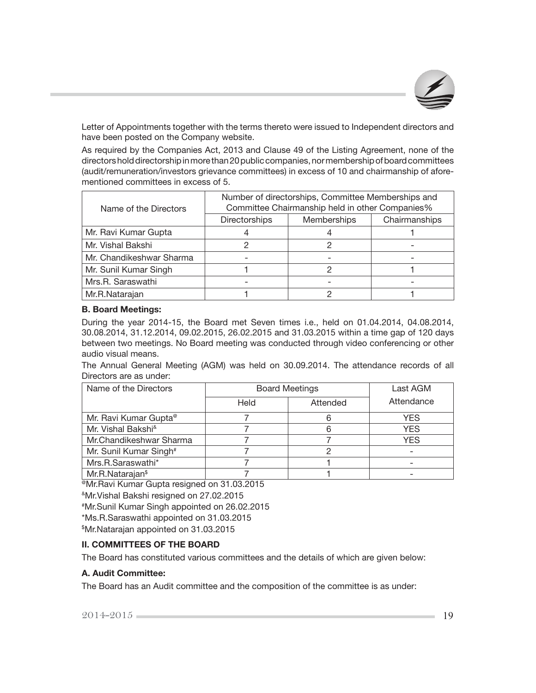

Letter of Appointments together with the terms thereto were issued to Independent directors and have been posted on the Company website.

As required by the Companies Act, 2013 and Clause 49 of the Listing Agreement, none of the directors hold directorship in more than 20 public companies, nor membership of board committees (audit/remuneration/investors grievance committees) in excess of 10 and chairmanship of aforementioned committees in excess of 5.

| Name of the Directors    | Number of directorships, Committee Memberships and<br>Committee Chairmanship held in other Companies% |             |               |
|--------------------------|-------------------------------------------------------------------------------------------------------|-------------|---------------|
|                          | <b>Directorships</b>                                                                                  | Memberships | Chairmanships |
| Mr. Ravi Kumar Gupta     |                                                                                                       |             |               |
| Mr. Vishal Bakshi        |                                                                                                       |             |               |
| Mr. Chandikeshwar Sharma |                                                                                                       |             |               |
| Mr. Sunil Kumar Singh    |                                                                                                       |             |               |
| Mrs.R. Saraswathi        |                                                                                                       |             |               |
| Mr.R.Natarajan           |                                                                                                       |             |               |

#### B. Board Meetings:

During the year 2014-15, the Board met Seven times i.e., held on 01.04.2014, 04.08.2014, 30.08.2014, 31.12.2014, 09.02.2015, 26.02.2015 and 31.03.2015 within a time gap of 120 days between two meetings. No Board meeting was conducted through video conferencing or other audio visual means.

The Annual General Meeting (AGM) was held on 30.09.2014. The attendance records of all Directors are as under:

| Name of the Directors              | <b>Board Meetings</b> |          | Last AGM   |
|------------------------------------|-----------------------|----------|------------|
|                                    | Held                  | Attended | Attendance |
| Mr. Ravi Kumar Gupta <sup>®</sup>  |                       |          | YES.       |
| Mr. Vishal Bakshi <sup>&amp;</sup> |                       | ิค       | <b>YES</b> |
| Mr.Chandikeshwar Sharma            |                       |          | <b>YES</b> |
| Mr. Sunil Kumar Singh#             |                       |          |            |
| Mrs.R.Saraswathi*                  |                       |          |            |
| Mr.R.Natarajan <sup>\$</sup>       |                       |          |            |

@Mr.Ravi Kumar Gupta resigned on 31.03.2015

&Mr.Vishal Bakshi resigned on 27.02.2015

#Mr.Sunil Kumar Singh appointed on 26.02.2015

\*Ms.R.Saraswathi appointed on 31.03.2015

\$Mr.Natarajan appointed on 31.03.2015

### II. COMMITTEES OF THE BOARD

The Board has constituted various committees and the details of which are given below:

### A. Audit Committee:

The Board has an Audit committee and the composition of the committee is as under: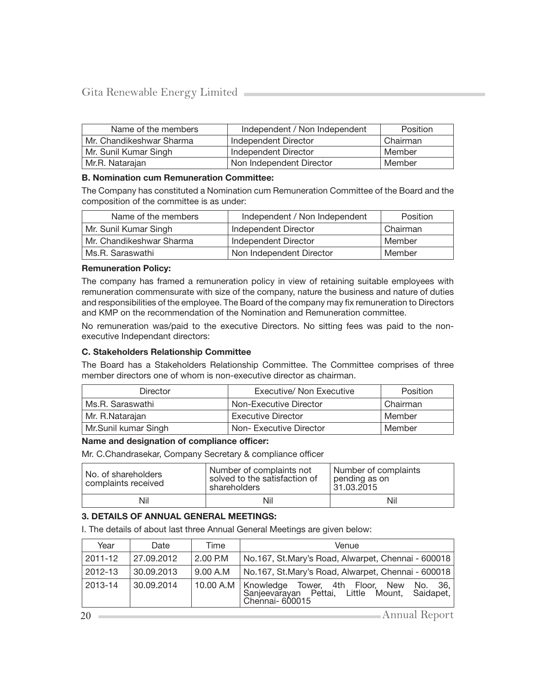| Name of the members      | Independent / Non Independent | Position |
|--------------------------|-------------------------------|----------|
| Mr. Chandikeshwar Sharma | Independent Director          | Chairman |
| Mr. Sunil Kumar Singh    | Independent Director          | Member   |
| Mr.R. Natarajan          | Non Independent Director      | Member   |

### B. Nomination cum Remuneration Committee:

The Company has constituted a Nomination cum Remuneration Committee of the Board and the composition of the committee is as under:

| Name of the members      | Independent / Non Independent | Position |
|--------------------------|-------------------------------|----------|
| Mr. Sunil Kumar Singh    | Independent Director          | Chairman |
| Mr. Chandikeshwar Sharma | Independent Director          | Member   |
| Ms.R. Saraswathi         | Non Independent Director      | Member   |

### Remuneration Policy:

The company has framed a remuneration policy in view of retaining suitable employees with remuneration commensurate with size of the company, nature the business and nature of duties and responsibilities of the employee. The Board of the company may fix remuneration to Directors and KMP on the recommendation of the Nomination and Remuneration committee.

No remuneration was/paid to the executive Directors. No sitting fees was paid to the nonexecutive Independant directors:

### C. Stakeholders Relationship Committee

The Board has a Stakeholders Relationship Committee. The Committee comprises of three member directors one of whom is non-executive director as chairman.

| Director             | Executive/ Non Executive  | Position |
|----------------------|---------------------------|----------|
| Ms.R. Saraswathi     | Non-Executive Director    | Chairman |
| Mr. R.Natarajan      | <b>Executive Director</b> | Member   |
| Mr.Sunil kumar Singh | Non-Executive Director    | Member   |

#### Name and designation of compliance officer:

Mr. C.Chandrasekar, Company Secretary & compliance officer

| No. of shareholders<br>complaints received | Number of complaints not<br>solved to the satisfaction of<br>shareholders | Number of complaints<br>pending as on<br>31.03.2015 |
|--------------------------------------------|---------------------------------------------------------------------------|-----------------------------------------------------|
| Nil                                        | Nil                                                                       | Nil                                                 |

### 3. DETAILS OF ANNUAL GENERAL MEETINGS:

I. The details of about last three Annual General Meetings are given below:

| $2011 - 12$<br>$2.00$ P.M<br>27.09.2012<br>9.00 A.M<br>2012-13<br>30.09.2013<br>2013-14<br>10.00 A.M<br>30.09.2014 | Year | Date | Time | Venue                                                                                                       |
|--------------------------------------------------------------------------------------------------------------------|------|------|------|-------------------------------------------------------------------------------------------------------------|
|                                                                                                                    |      |      |      | No.167, St.Mary's Road, Alwarpet, Chennai - 600018                                                          |
|                                                                                                                    |      |      |      | No.167, St.Mary's Road, Alwarpet, Chennai - 600018                                                          |
|                                                                                                                    |      |      |      | Knowledge Tower, 4th Floor, New No. 36,<br>Sanjeevarayan Pettai, Little Mount, Saidapet,<br>Chennai- 600015 |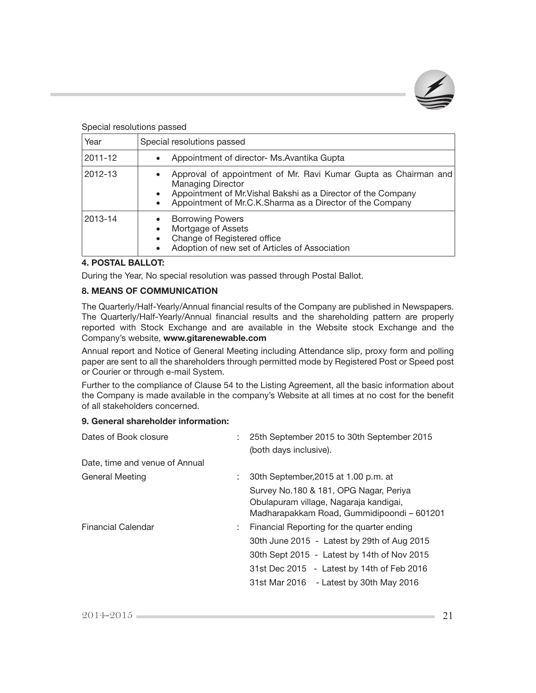

#### Special resolutions passed

| Year    | Special resolutions passed                                                                                                                                                                                                                                       |
|---------|------------------------------------------------------------------------------------------------------------------------------------------------------------------------------------------------------------------------------------------------------------------|
| 2011-12 | Appointment of director- Ms. Avantika Gupta<br>$\bullet$                                                                                                                                                                                                         |
| 2012-13 | Approval of appointment of Mr. Ravi Kumar Gupta as Chairman and<br>$\bullet$<br><b>Managing Director</b><br>Appointment of Mr. Vishal Bakshi as a Director of the Company<br>$\bullet$<br>Appointment of Mr.C.K.Sharma as a Director of the Company<br>$\bullet$ |
| 2013-14 | <b>Borrowing Powers</b><br>$\bullet$<br>Mortgage of Assets<br>$\bullet$<br>Change of Registered office<br>$\bullet$<br>Adoption of new set of Articles of Association                                                                                            |

### 4. POSTAL BALLOT:

During the Year, No special resolution was passed through Postal Ballot.

### 8. MEANS OF COMMUNICATION

The Quarterly/Half-Yearly/Annual financial results of the Company are published in Newspapers. The Quarterly/Half-Yearly/Annual financial results and the shareholding pattern are properly reported with Stock Exchange and are available in the Website stock Exchange and the Company's website, www.gitarenewable.com

Annual report and Notice of General Meeting including Attendance slip, proxy form and polling paper are sent to all the shareholders through permitted mode by Registered Post or Speed post or Courier or through e-mail System.

Further to the compliance of Clause 54 to the Listing Agreement, all the basic information about the Company is made available in the company's Website at all times at no cost for the benefit of all stakeholders concerned.

### 9. General shareholder information:

| Dates of Book closure          | 25th September 2015 to 30th September 2015<br>(both days inclusive).                                                           |  |
|--------------------------------|--------------------------------------------------------------------------------------------------------------------------------|--|
| Date, time and venue of Annual |                                                                                                                                |  |
| <b>General Meeting</b>         | 30th September, 2015 at 1.00 p.m. at                                                                                           |  |
|                                | Survey No.180 & 181, OPG Nagar, Periya<br>Obulapuram village, Nagaraja kandigai,<br>Madharapakkam Road, Gummidipoondi - 601201 |  |
| <b>Financial Calendar</b>      | Financial Reporting for the quarter ending                                                                                     |  |
|                                | 30th June 2015 - Latest by 29th of Aug 2015                                                                                    |  |
|                                | 30th Sept 2015 - Latest by 14th of Nov 2015                                                                                    |  |
|                                | 31st Dec 2015 - Latest by 14th of Feb 2016                                                                                     |  |
|                                | 31st Mar 2016 - Latest by 30th May 2016                                                                                        |  |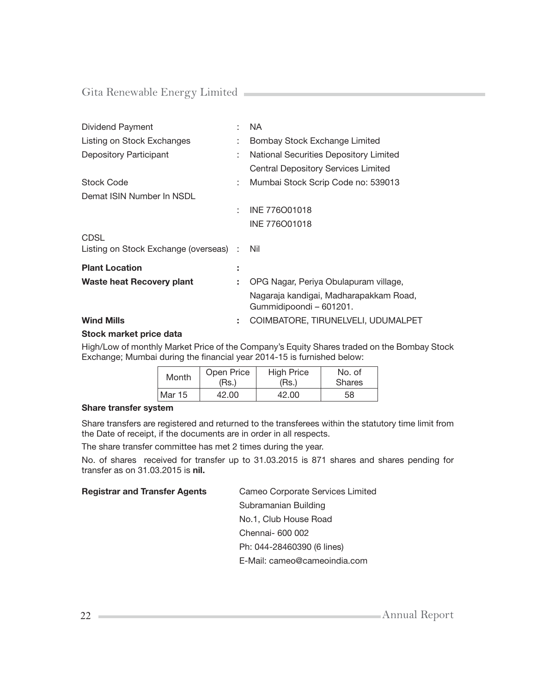| Dividend Payment                       |   | NA.                                    |
|----------------------------------------|---|----------------------------------------|
| Listing on Stock Exchanges             |   | Bombay Stock Exchange Limited          |
| Depository Participant                 | ÷ | National Securities Depository Limited |
|                                        |   | Central Depository Services Limited    |
| <b>Stock Code</b>                      |   | Mumbai Stock Scrip Code no: 539013     |
| Demat ISIN Number In NSDL              |   |                                        |
|                                        | ٠ | INE 776001018                          |
|                                        |   | INE 776001018                          |
| <b>CDSL</b>                            |   |                                        |
| Listing on Stock Exchange (overseas) : |   | Nil                                    |
| <b>Plant Location</b>                  | ÷ |                                        |
| Waste heat Recovery plant              | ÷ | OPG Nagar, Periya Obulapuram village,  |
|                                        |   | Nagaraja kandigai, Madharapakkam Road, |
|                                        |   | Gummidipoondi – 601201.                |
| <b>Wind Mills</b>                      |   | COIMBATORE, TIRUNELVELI, UDUMALPET     |
|                                        |   |                                        |

### Stock market price data

High/Low of monthly Market Price of the Company's Equity Shares traded on the Bombay Stock Exchange; Mumbai during the financial year 2014-15 is furnished below:

| Month  | Open Price | <b>High Price</b> | No. of |
|--------|------------|-------------------|--------|
|        | (Rs.)      | .Rs.)             | Shares |
| Mar 15 | 42.00      | 42.00             | 58     |

#### Share transfer system

Share transfers are registered and returned to the transferees within the statutory time limit from the Date of receipt, if the documents are in order in all respects.

The share transfer committee has met 2 times during the year.

No. of shares received for transfer up to 31.03.2015 is 871 shares and shares pending for transfer as on 31.03.2015 is nil.

Registrar and Transfer Agents Cameo Corporate Services Limited Subramanian Building No.1, Club House Road Chennai- 600 002 Ph: 044-28460390 (6 lines) E-Mail: cameo@cameoindia.com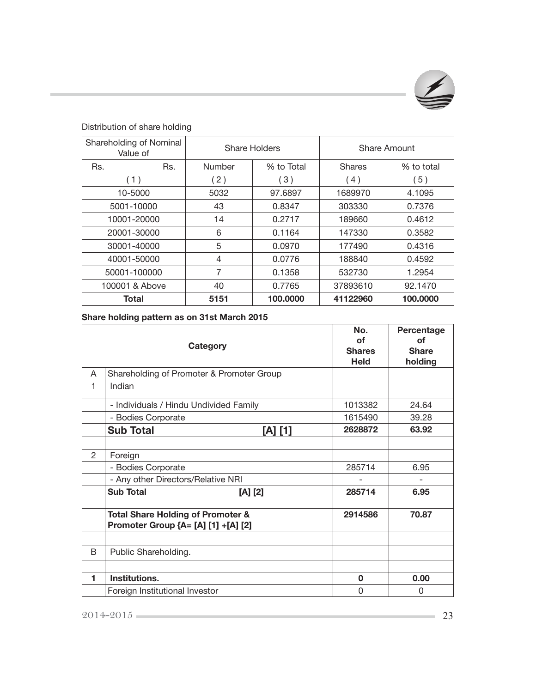

| Shareholding of Nominal<br>Value of | <b>Share Holders</b> |            | Share Amount  |            |
|-------------------------------------|----------------------|------------|---------------|------------|
| Rs.<br>Rs.                          | Number               | % to Total | <b>Shares</b> | % to total |
| (1)                                 | (2)                  | (3)        | (4)           | (5)        |
| 10-5000                             | 5032                 | 97.6897    | 1689970       | 4.1095     |
| 5001-10000                          | 43                   | 0.8347     | 303330        | 0.7376     |
| 10001-20000                         | 14                   | 0.2717     | 189660        | 0.4612     |
| 20001-30000                         | 6                    | 0.1164     | 147330        | 0.3582     |
| 30001-40000                         | 5                    | 0.0970     | 177490        | 0.4316     |
| 40001-50000                         | 4                    | 0.0776     | 188840        | 0.4592     |
| 50001-100000                        | 7                    | 0.1358     | 532730        | 1.2954     |
| 100001 & Above                      | 40                   | 0.7765     | 37893610      | 92.1470    |
| Total                               | 5151                 | 100.0000   | 41122960      | 100.0000   |

### Distribution of share holding

### Share holding pattern as on 31st March 2015

|                | Category                                                                            |           | No.<br><b>of</b><br><b>Shares</b><br><b>Held</b> | Percentage<br>οf<br><b>Share</b><br>holding |
|----------------|-------------------------------------------------------------------------------------|-----------|--------------------------------------------------|---------------------------------------------|
| A              | Shareholding of Promoter & Promoter Group                                           |           |                                                  |                                             |
| 1              | Indian                                                                              |           |                                                  |                                             |
|                | - Individuals / Hindu Undivided Family                                              |           | 1013382                                          | 24.64                                       |
|                | - Bodies Corporate                                                                  |           | 1615490                                          | 39.28                                       |
|                | <b>Sub Total</b>                                                                    | $[A]$ [1] | 2628872                                          | 63.92                                       |
|                |                                                                                     |           |                                                  |                                             |
| $\overline{2}$ | Foreign                                                                             |           |                                                  |                                             |
|                | - Bodies Corporate                                                                  |           | 285714                                           | 6.95                                        |
|                | - Any other Directors/Relative NRI                                                  |           |                                                  |                                             |
|                | <b>Sub Total</b><br>$[A] [2]$                                                       |           | 285714                                           | 6.95                                        |
|                | <b>Total Share Holding of Promoter &amp;</b><br>Promoter Group {A= [A] [1] +[A] [2] |           | 2914586                                          | 70.87                                       |
|                |                                                                                     |           |                                                  |                                             |
| B              | Public Shareholding.                                                                |           |                                                  |                                             |
|                |                                                                                     |           |                                                  |                                             |
| 1              | Institutions.                                                                       |           | $\mathbf 0$                                      | 0.00                                        |
|                | Foreign Institutional Investor                                                      |           | 0                                                | 0                                           |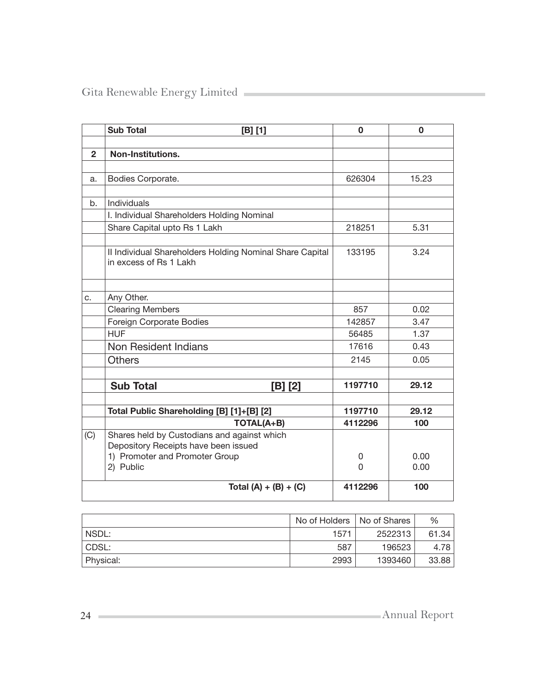|                | <b>Sub Total</b><br>[B] [1]                                                         | 0        | $\mathbf 0$ |
|----------------|-------------------------------------------------------------------------------------|----------|-------------|
|                |                                                                                     |          |             |
| $\overline{2}$ | Non-Institutions.                                                                   |          |             |
|                |                                                                                     |          |             |
| a.             | Bodies Corporate.                                                                   | 626304   | 15.23       |
|                |                                                                                     |          |             |
| b.             | Individuals                                                                         |          |             |
|                | I. Individual Shareholders Holding Nominal                                          |          |             |
|                | Share Capital upto Rs 1 Lakh                                                        | 218251   | 5.31        |
|                |                                                                                     |          |             |
|                | II Individual Shareholders Holding Nominal Share Capital<br>in excess of Rs 1 Lakh  | 133195   | 3.24        |
|                |                                                                                     |          |             |
|                |                                                                                     |          |             |
| C.             | Any Other.                                                                          |          |             |
|                | <b>Clearing Members</b>                                                             | 857      | 0.02        |
|                | Foreign Corporate Bodies                                                            | 142857   | 3.47        |
|                | <b>HUF</b>                                                                          | 56485    | 1.37        |
|                | Non Resident Indians                                                                | 17616    | 0.43        |
|                | <b>Others</b>                                                                       | 2145     | 0.05        |
|                |                                                                                     |          |             |
|                | <b>Sub Total</b><br>[B] [2]                                                         | 1197710  | 29.12       |
|                |                                                                                     |          |             |
|                | Total Public Shareholding [B] [1]+[B] [2]                                           | 1197710  | 29.12       |
|                | TOTAL(A+B)                                                                          | 4112296  | 100         |
| (C)            | Shares held by Custodians and against which<br>Depository Receipts have been issued |          |             |
|                | 1) Promoter and Promoter Group                                                      | 0        | 0.00        |
|                | 2) Public                                                                           | $\Omega$ | 0.00        |
|                | Total $(A) + (B) + (C)$                                                             | 4112296  | 100         |

|           | No of Holders   No of Shares |         | %     |
|-----------|------------------------------|---------|-------|
| NSDL:     | 1571                         | 2522313 | 61.34 |
| CDSL:     | 587                          | 196523  | 4.78  |
| Physical: | 2993                         | 1393460 | 33.88 |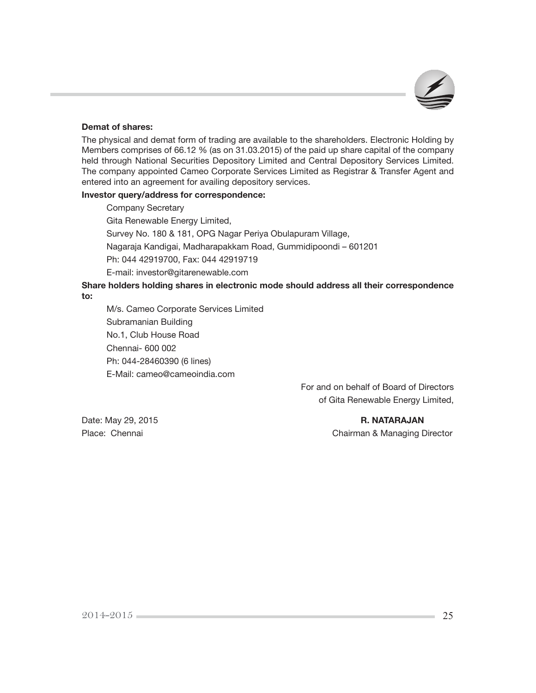

#### Demat of shares:

The physical and demat form of trading are available to the shareholders. Electronic Holding by Members comprises of 66.12 % (as on 31.03.2015) of the paid up share capital of the company held through National Securities Depository Limited and Central Depository Services Limited. The company appointed Cameo Corporate Services Limited as Registrar & Transfer Agent and entered into an agreement for availing depository services.

### Investor query/address for correspondence:

Company Secretary Gita Renewable Energy Limited, Survey No. 180 & 181, OPG Nagar Periya Obulapuram Village, Nagaraja Kandigai, Madharapakkam Road, Gummidipoondi – 601201 Ph: 044 42919700, Fax: 044 42919719 E-mail: investor@gitarenewable.com

### Share holders holding shares in electronic mode should address all their correspondence to:

M/s. Cameo Corporate Services Limited Subramanian Building No.1, Club House Road Chennai- 600 002 Ph: 044-28460390 (6 lines) E-Mail: cameo@cameoindia.com

> For and on behalf of Board of Directors of Gita Renewable Energy Limited,

Date: May 29, 2015 **R. NATARAJAN** 

Place: Chennai Chairman & Managing Director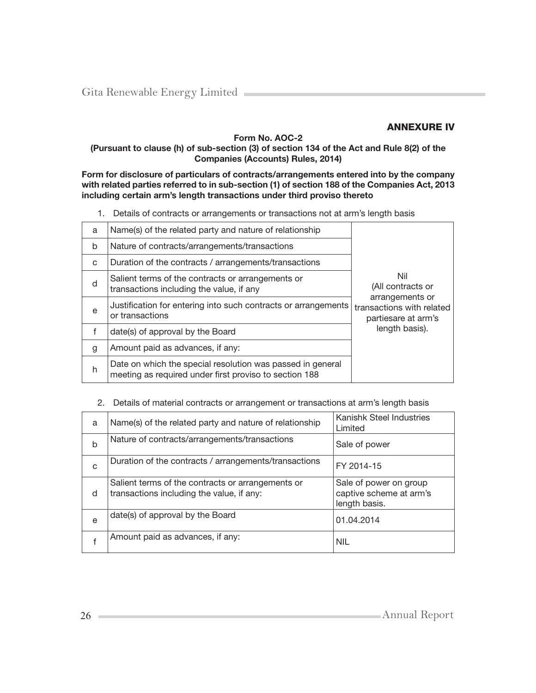### ANNEXURE IV

### Form No. AOC-2

### (Pursuant to clause (h) of sub-section (3) of section 134 of the Act and Rule 8(2) of the Companies (Accounts) Rules, 2014)

Form for disclosure of particulars of contracts/arrangements entered into by the company with related parties referred to in sub-section (1) of section 188 of the Companies Act, 2013 including certain arm's length transactions under third proviso thereto

1. Details of contracts or arrangements or transactions not at arm's length basis

| a<br>b | Name(s) of the related party and nature of relationship<br>Nature of contracts/arrangements/transactions             |                                                                     |
|--------|----------------------------------------------------------------------------------------------------------------------|---------------------------------------------------------------------|
| C      | Duration of the contracts / arrangements/transactions                                                                |                                                                     |
| d      | Salient terms of the contracts or arrangements or<br>transactions including the value, if any                        | Nil<br>(All contracts or                                            |
| e      | Justification for entering into such contracts or arrangements<br>or transactions                                    | arrangements or<br>transactions with related<br>partiesare at arm's |
| f      | date(s) of approval by the Board                                                                                     | length basis).                                                      |
| g      | Amount paid as advances, if any:                                                                                     |                                                                     |
| h      | Date on which the special resolution was passed in general<br>meeting as required under first proviso to section 188 |                                                                     |

#### 2. Details of material contracts or arrangement or transactions at arm's length basis

| a | Name(s) of the related party and nature of relationship                                        | Kanishk Steel Industries<br>Limited                                |
|---|------------------------------------------------------------------------------------------------|--------------------------------------------------------------------|
| b | Nature of contracts/arrangements/transactions                                                  | Sale of power                                                      |
| C | Duration of the contracts / arrangements/transactions                                          | FY 2014-15                                                         |
| d | Salient terms of the contracts or arrangements or<br>transactions including the value, if any: | Sale of power on group<br>captive scheme at arm's<br>length basis. |
| e | date(s) of approval by the Board                                                               | 01.04.2014                                                         |
|   | Amount paid as advances, if any:                                                               | <b>NIL</b>                                                         |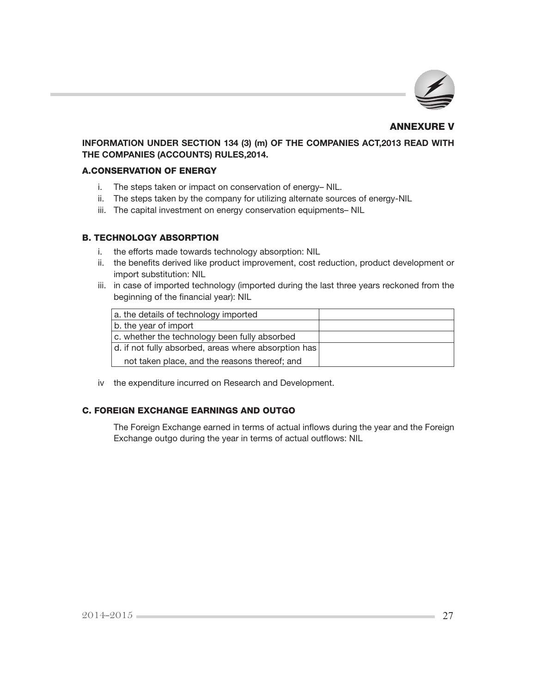

### ANNEXURE V

### INFORMATION UNDER SECTION 134 (3) (m) OF THE COMPANIES ACT,2013 READ WITH THE COMPANIES (ACCOUNTS) RULES,2014.

### A.CONSERVATION OF ENERGY

- i. The steps taken or impact on conservation of energy– NIL.
- ii. The steps taken by the company for utilizing alternate sources of energy-NIL
- iii. The capital investment on energy conservation equipments– NIL

### B. TECHNOLOGY ABSORPTION

- i. the efforts made towards technology absorption: NIL
- ii. the benefits derived like product improvement, cost reduction, product development or import substitution: NIL
- iii. in case of imported technology (imported during the last three years reckoned from the beginning of the financial year): NIL

| a. the details of technology imported                |  |
|------------------------------------------------------|--|
| b. the year of import                                |  |
| c. whether the technology been fully absorbed        |  |
| d. if not fully absorbed, areas where absorption has |  |
| not taken place, and the reasons thereof; and        |  |

iv the expenditure incurred on Research and Development.

### C. FOREIGN EXCHANGE EARNINGS AND OUTGO

The Foreign Exchange earned in terms of actual inflows during the year and the Foreign Exchange outgo during the year in terms of actual outflows: NIL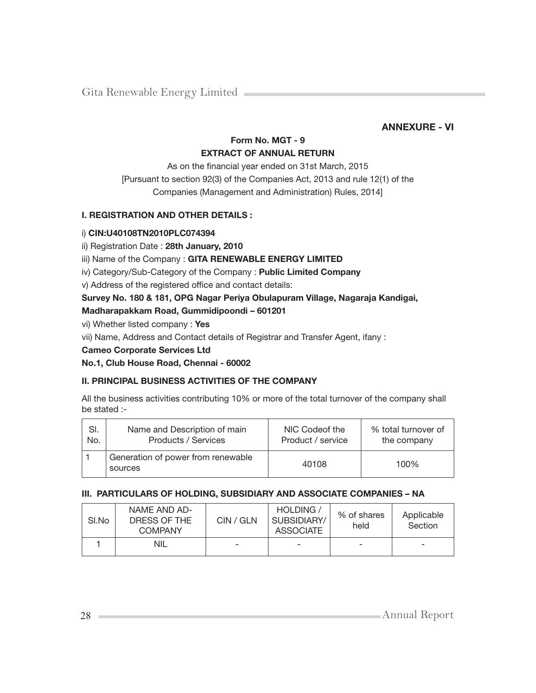### ANNEXURE - VI

### Form No. MGT - 9 EXTRACT OF ANNUAL RETURN

As on the financial year ended on 31st March, 2015 [Pursuant to section 92(3) of the Companies Act, 2013 and rule 12(1) of the Companies (Management and Administration) Rules, 2014]

### I. REGISTRATION AND OTHER DETAILS :

### i) CIN:U40108TN2010PLC074394

ii) Registration Date: 28th January, 2010

iii) Name of the Company : GITA RENEWABLE ENERGY LIMITED

iv) Category/Sub-Category of the Company : Public Limited Company

v) Address of the registered office and contact details:

### Survey No. 180 & 181, OPG Nagar Periya Obulapuram Village, Nagaraja Kandigai,

### Madharapakkam Road, Gummidipoondi – 601201

vi) Whether listed company : Yes

vii) Name, Address and Contact details of Registrar and Transfer Agent, ifany :

### Cameo Corporate Services Ltd

No.1, Club House Road, Chennai - 60002

### II. PRINCIPAL BUSINESS ACTIVITIES OF THE COMPANY

All the business activities contributing 10% or more of the total turnover of the company shall be stated :-

| SI. | Name and Description of main                  | NIC Codeof the    | % total turnover of |
|-----|-----------------------------------------------|-------------------|---------------------|
| No. | Products / Services                           | Product / service | the company         |
|     | Generation of power from renewable<br>sources | 40108             | 100%                |

### III. PARTICULARS OF HOLDING, SUBSIDIARY AND ASSOCIATE COMPANIES – NA

| SI.No | NAME AND AD-<br>DRESS OF THE<br><b>COMPANY</b> | CIN / GLN | HOLDING /<br>SUBSIDIARY/<br><b>ASSOCIATE</b> | % of shares<br>held | Applicable<br>Section    |
|-------|------------------------------------------------|-----------|----------------------------------------------|---------------------|--------------------------|
|       | nil                                            | -         |                                              |                     | $\overline{\phantom{a}}$ |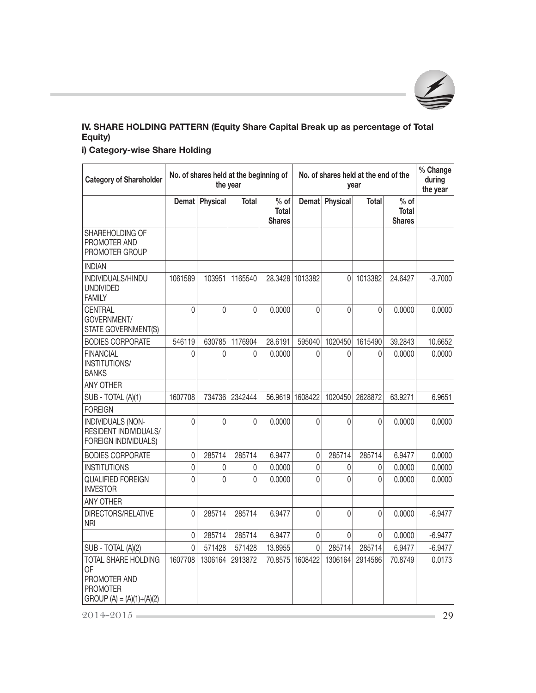

### IV. SHARE HOLDING PATTERN (Equity Share Capital Break up as percentage of Total Equity)

### i) Category-wise Share Holding

| <b>Category of Shareholder</b>                                                                    |                |                | No. of shares held at the beginning of<br>the year |                                         |                 | No. of shares held at the end of the | % Change<br>during<br>the year |                                  |           |
|---------------------------------------------------------------------------------------------------|----------------|----------------|----------------------------------------------------|-----------------------------------------|-----------------|--------------------------------------|--------------------------------|----------------------------------|-----------|
|                                                                                                   |                | Demat Physical | Total                                              | $%$ of<br><b>Total</b><br><b>Shares</b> | <b>Demat</b>    | Physical                             | Total                          | $%$ of<br>Total<br><b>Shares</b> |           |
| SHAREHOLDING OF<br>PROMOTER AND<br>PROMOTER GROUP                                                 |                |                |                                                    |                                         |                 |                                      |                                |                                  |           |
| <b>INDIAN</b>                                                                                     |                |                |                                                    |                                         |                 |                                      |                                |                                  |           |
| INDIVIDUALS/HINDU<br><b>UNDIVIDED</b><br><b>FAMILY</b>                                            | 1061589        | 103951         | 1165540                                            |                                         | 28.3428 1013382 | 0                                    | 1013382                        | 24.6427                          | $-3.7000$ |
| <b>CENTRAL</b><br>GOVERNMENT/<br>STATE GOVERNMENT(S)                                              | $\overline{0}$ | 0              | $\Omega$                                           | 0.0000                                  | $\overline{0}$  | $\Omega$                             | $\Omega$                       | 0.0000                           | 0.0000    |
| <b>BODIES CORPORATE</b>                                                                           | 546119         | 630785         | 1176904                                            | 28.6191                                 | 595040          | 1020450                              | 1615490                        | 39.2843                          | 10.6652   |
| <b>FINANCIAL</b><br>INSTITUTIONS/<br><b>BANKS</b>                                                 | 0              | 0              | $\Omega$                                           | 0.0000                                  | $\Omega$        | 0                                    | $\Omega$                       | 0.0000                           | 0.0000    |
| ANY OTHER                                                                                         |                |                |                                                    |                                         |                 |                                      |                                |                                  |           |
| SUB - TOTAL (A)(1)                                                                                | 1607708        | 734736         | 2342444                                            |                                         | 56.9619 1608422 | 1020450                              | 2628872                        | 63.9271                          | 6.9651    |
| <b>FOREIGN</b>                                                                                    |                |                |                                                    |                                         |                 |                                      |                                |                                  |           |
| <b>INDIVIDUALS (NON-</b><br><b>RESIDENT INDIVIDUALS/</b><br><b>FOREIGN INDIVIDUALS)</b>           | $\Omega$       | 0              | $\mathbf 0$                                        | 0.0000                                  | $\Omega$        | $\Omega$                             | $\Omega$                       | 0.0000                           | 0.0000    |
| <b>BODIES CORPORATE</b>                                                                           | 0              | 285714         | 285714                                             | 6.9477                                  | 0               | 285714                               | 285714                         | 6.9477                           | 0.0000    |
| <b>INSTITUTIONS</b>                                                                               | 0              | 0              | 0                                                  | 0.0000                                  | 0               | 0                                    | 0                              | 0.0000                           | 0.0000    |
| <b>QUALIFIED FOREIGN</b><br><b>INVESTOR</b>                                                       | $\Omega$       | $\Omega$       | $\Omega$                                           | 0.0000                                  | $\Omega$        | $\Omega$                             | $\Omega$                       | 0.0000                           | 0.0000    |
| ANY OTHER                                                                                         |                |                |                                                    |                                         |                 |                                      |                                |                                  |           |
| DIRECTORS/RELATIVE<br><b>NRI</b>                                                                  | 0              | 285714         | 285714                                             | 6.9477                                  | $\Omega$        | 0                                    | 0                              | 0.0000                           | $-6.9477$ |
|                                                                                                   | 0              | 285714         | 285714                                             | 6.9477                                  | $\Omega$        | $\Omega$                             | $\Omega$                       | 0.0000                           | $-6.9477$ |
| SUB - TOTAL (A)(2)                                                                                | $\Omega$       | 571428         | 571428                                             | 13.8955                                 | $\Omega$        | 285714                               | 285714                         | 6.9477                           | $-6.9477$ |
| <b>TOTAL SHARE HOLDING</b><br>OF<br>PROMOTER AND<br><b>PROMOTER</b><br>$GROUP(A) = (A)(1)+(A)(2)$ | 1607708        | 1306164        | 2913872                                            |                                         | 70.8575 1608422 | 1306164                              | 2914586                        | 70.8749                          | 0.0173    |

2014-2015 29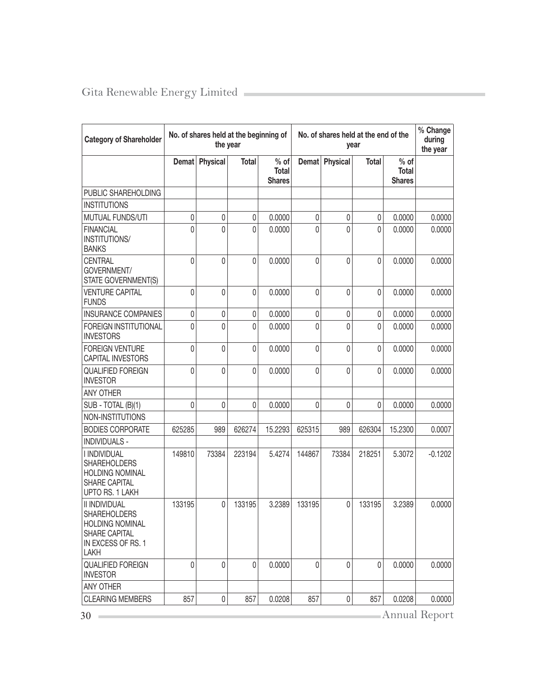| <b>Category of Shareholder</b>                                                                                              |              | No. of shares held at the beginning of<br>the year |              |                                         |              | No. of shares held at the end of the | % Change<br>during<br>the year |                                         |               |
|-----------------------------------------------------------------------------------------------------------------------------|--------------|----------------------------------------------------|--------------|-----------------------------------------|--------------|--------------------------------------|--------------------------------|-----------------------------------------|---------------|
|                                                                                                                             | <b>Demat</b> | <b>Physical</b>                                    | <b>Total</b> | $%$ of<br><b>Total</b><br><b>Shares</b> | <b>Demat</b> | <b>Physical</b>                      | <b>Total</b>                   | $%$ of<br><b>Total</b><br><b>Shares</b> |               |
| PUBLIC SHAREHOLDING                                                                                                         |              |                                                    |              |                                         |              |                                      |                                |                                         |               |
| <b>INSTITUTIONS</b>                                                                                                         |              |                                                    |              |                                         |              |                                      |                                |                                         |               |
| <b>MUTUAL FUNDS/UTI</b>                                                                                                     | 0            | 0                                                  | $\pmb{0}$    | 0.0000                                  | $\pmb{0}$    | 0                                    | 0                              | 0.0000                                  | 0.0000        |
| <b>FINANCIAL</b><br>INSTITUTIONS/<br><b>BANKS</b>                                                                           | 0            | 0                                                  | 0            | 0.0000                                  | 0            | 0                                    | 0                              | 0.0000                                  | 0.0000        |
| CENTRAL<br>GOVERNMENT/<br>STATE GOVERNMENT(S)                                                                               | 0            | 0                                                  | 0            | 0.0000                                  | 0            | 0                                    | 0                              | 0.0000                                  | 0.0000        |
| <b>VENTURE CAPITAL</b><br><b>FUNDS</b>                                                                                      | 0            | 0                                                  | 0            | 0.0000                                  | 0            | 0                                    | 0                              | 0.0000                                  | 0.0000        |
| <b>INSURANCE COMPANIES</b>                                                                                                  | 0            | 0                                                  | $\pmb{0}$    | 0.0000                                  | 0            | 0                                    | 0                              | 0.0000                                  | 0.0000        |
| FOREIGN INSTITUTIONAL<br><b>INVESTORS</b>                                                                                   | 0            | 0                                                  | $\mathbf 0$  | 0.0000                                  | $\Omega$     | $\Omega$                             | 0                              | 0.0000                                  | 0.0000        |
| <b>FOREIGN VENTURE</b><br><b>CAPITAL INVESTORS</b>                                                                          | 0            | $\Omega$                                           | 0            | 0.0000                                  | $\Omega$     | 0                                    | 0                              | 0.0000                                  | 0.0000        |
| <b>QUALIFIED FOREIGN</b><br><b>INVESTOR</b>                                                                                 | 0            | 0                                                  | 0            | 0.0000                                  | 0            | 0                                    | 0                              | 0.0000                                  | 0.0000        |
| ANY OTHER                                                                                                                   |              |                                                    |              |                                         |              |                                      |                                |                                         |               |
| SUB - TOTAL (B)(1)                                                                                                          | 0            | 0                                                  | 0            | 0.0000                                  | 0            | 0                                    | 0                              | 0.0000                                  | 0.0000        |
| NON-INSTITUTIONS                                                                                                            |              |                                                    |              |                                         |              |                                      |                                |                                         |               |
| <b>BODIES CORPORATE</b>                                                                                                     | 625285       | 989                                                | 626274       | 15.2293                                 | 625315       | 989                                  | 626304                         | 15.2300                                 | 0.0007        |
| <b>INDIVIDUALS -</b>                                                                                                        |              |                                                    |              |                                         |              |                                      |                                |                                         |               |
| <b>I INDIVIDUAL</b><br><b>SHAREHOLDERS</b><br><b>HOLDING NOMINAL</b><br><b>SHARE CAPITAL</b><br>UPTO RS. 1 LAKH             | 149810       | 73384                                              | 223194       | 5.4274                                  | 144867       | 73384                                | 218251                         | 5.3072                                  | $-0.1202$     |
| <b>II INDIVIDUAL</b><br><b>SHAREHOLDERS</b><br><b>HOLDING NOMINAL</b><br>SHARE CAPITAL<br>IN EXCESS OF RS. 1<br><b>LAKH</b> | 133195       | 0                                                  | 133195       | 3.2389                                  | 133195       | $\Omega$                             | 133195                         | 3.2389                                  | 0.0000        |
| <b>QUALIFIED FOREIGN</b><br><b>INVESTOR</b>                                                                                 | 0            | 0                                                  | 0            | 0.0000                                  | 0            | 0                                    | 0                              | 0.0000                                  | 0.0000        |
| ANY OTHER                                                                                                                   |              |                                                    |              |                                         |              |                                      |                                |                                         |               |
| <b>CLEARING MEMBERS</b>                                                                                                     | 857          | 0                                                  | 857          | 0.0208                                  | 857          | 0                                    | 857                            | 0.0208                                  | 0.0000        |
| 30                                                                                                                          |              |                                                    |              |                                         |              |                                      |                                |                                         | Annual Report |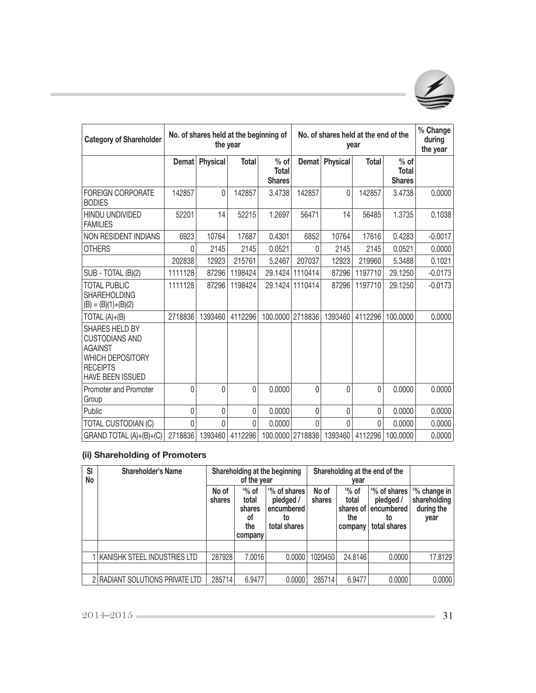

| <b>Category of Shareholder</b>                                                                                              |              |                 | No. of shares held at the beginning of<br>the year |                                         |                 | No. of shares held at the end of the | % Change<br>during<br>the year |                                         |           |
|-----------------------------------------------------------------------------------------------------------------------------|--------------|-----------------|----------------------------------------------------|-----------------------------------------|-----------------|--------------------------------------|--------------------------------|-----------------------------------------|-----------|
|                                                                                                                             | <b>Demat</b> | <b>Physical</b> | <b>Total</b>                                       | $%$ of<br><b>Total</b><br><b>Shares</b> | Demat           | <b>Physical</b>                      | Total                          | $%$ of<br><b>Total</b><br><b>Shares</b> |           |
| <b>FOREIGN CORPORATE</b><br><b>BODIES</b>                                                                                   | 142857       | 0               | 142857                                             | 3.4738                                  | 142857          | $\Omega$                             | 142857                         | 3.4738                                  | 0.0000    |
| <b>HINDU UNDIVIDED</b><br><b>FAMILIES</b>                                                                                   | 52201        | 14              | 52215                                              | 1.2697                                  | 56471           | 14                                   | 56485                          | 1.3735                                  | 0.1038    |
| <b>NON RESIDENT INDIANS</b>                                                                                                 | 6923         | 10764           | 17687                                              | 0.4301                                  | 6852            | 10764                                | 17616                          | 0.4283                                  | $-0.0017$ |
| <b>OTHERS</b>                                                                                                               | 0            | 2145            | 2145                                               | 0.0521                                  | 0               | 2145                                 | 2145                           | 0.0521                                  | 0.0000    |
|                                                                                                                             | 202838       | 12923           | 215761                                             | 5.2467                                  | 207037          | 12923                                | 219960                         | 5.3488                                  | 0.1021    |
| SUB - TOTAL (B)(2)                                                                                                          | 1111128      | 87296           | 1198424                                            |                                         | 29.1424 1110414 | 87296                                | 1197710                        | 29.1250                                 | $-0.0173$ |
| <b>TOTAL PUBLIC</b><br><b>SHAREHOLDING</b><br>$(B) = (B)(1)+(B)(2)$                                                         | 1111128      | 87296           | 1198424                                            |                                         | 29.1424 1110414 | 87296                                | 1197710                        | 29.1250                                 | $-0.0173$ |
| TOTAL $(A)+(B)$                                                                                                             | 2718836      | 1393460         | 4112296                                            | 100.0000 2718836                        |                 | 1393460                              | 4112296                        | 100.0000                                | 0.0000    |
| SHARES HELD BY<br><b>CUSTODIANS AND</b><br><b>AGAINST</b><br>WHICH DEPOSITORY<br><b>RECEIPTS</b><br><b>HAVE BEEN ISSUED</b> |              |                 |                                                    |                                         |                 |                                      |                                |                                         |           |
| Promoter and Promoter<br>Group                                                                                              | $\Omega$     | 0               | $\Omega$                                           | 0.0000                                  | $\Omega$        | $\Omega$                             | $\Omega$                       | 0.0000                                  | 0.0000    |
| Public                                                                                                                      | 0            | 0               | 0                                                  | 0.0000                                  | 0               | 0                                    | 0                              | 0.0000                                  | 0.0000    |
| TOTAL CUSTODIAN (C)                                                                                                         | 0            | 0               | 0                                                  | 0.0000                                  | $\Omega$        | $\Omega$                             | $\Omega$                       | 0.0000                                  | 0.0000    |
| GRAND TOTAL $(A)+(B)+(C)$                                                                                                   | 2718836      | 1393460         | 4112296                                            | 100.0000 2718836                        |                 | 1393460                              | 4112296                        | 100.0000                                | 0.0000    |

### (ii) Shareholding of Promoters

| <b>SI</b><br><b>No</b> | Shareholder's Name              | Shareholding at the beginning<br>of the year |                                                              |                                                               | Shareholding at the end of the |                                              |                                                                         |                                                    |
|------------------------|---------------------------------|----------------------------------------------|--------------------------------------------------------------|---------------------------------------------------------------|--------------------------------|----------------------------------------------|-------------------------------------------------------------------------|----------------------------------------------------|
|                        |                                 | No of<br>shares                              | $\frac{10}{6}$ of<br>total<br>shares<br>οf<br>the<br>company | '% of shares<br>pledged /<br>encumbered<br>to<br>total shares | No of<br>shares                | $\frac{10}{6}$ of<br>total<br>the<br>company | '% of shares<br>pledged /<br>shares of encumbered<br>to<br>total shares | '% change in<br>shareholding<br>during the<br>year |
|                        |                                 |                                              |                                                              |                                                               |                                |                                              |                                                                         |                                                    |
|                        | KANISHK STEEL INDUSTRIES LTD    | 287928                                       | 7.0016                                                       | 0.0000                                                        | 1020450                        | 24.8146                                      | 0.0000                                                                  | 17.8129                                            |
|                        |                                 |                                              |                                                              |                                                               |                                |                                              |                                                                         |                                                    |
|                        | 2 RADIANT SOLUTIONS PRIVATE LTD | 285714                                       | 6.9477                                                       | 0.0000                                                        | 285714                         | 6.9477                                       | 0.0000                                                                  | 0.0000                                             |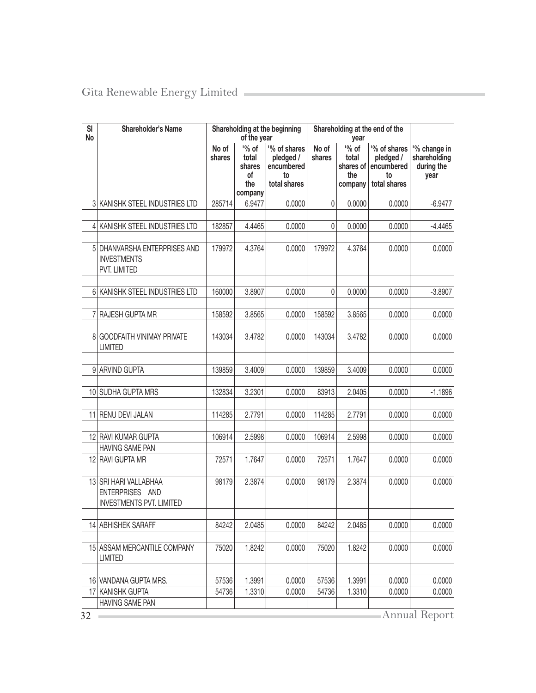| SI<br><b>No</b> | Shareholder's Name                                                       |                 | of the year                                                  | Shareholding at the beginning                                 | Shareholding at the end of the<br>year |                                                           |                                                               |                                                    |  |
|-----------------|--------------------------------------------------------------------------|-----------------|--------------------------------------------------------------|---------------------------------------------------------------|----------------------------------------|-----------------------------------------------------------|---------------------------------------------------------------|----------------------------------------------------|--|
|                 |                                                                          | No of<br>shares | $\frac{10}{6}$ of<br>total<br>shares<br>οf<br>the<br>company | '% of shares<br>pledged /<br>encumbered<br>to<br>total shares | No of<br>shares                        | $\frac{10}{6}$ of<br>total<br>shares of<br>the<br>company | '% of shares<br>pledged /<br>encumbered<br>to<br>total shares | '% change in<br>shareholding<br>during the<br>year |  |
|                 | 3 KANISHK STEEL INDUSTRIES LTD                                           | 285714          | 6.9477                                                       | 0.0000                                                        | 0                                      | 0.0000                                                    | 0.0000                                                        | $-6.9477$                                          |  |
| $\frac{4}{ }$   | KANISHK STEEL INDUSTRIES LTD                                             | 182857          | 4.4465                                                       | 0.0000                                                        | 0                                      | 0.0000                                                    | 0.0000                                                        | $-4.4465$                                          |  |
| 5               | DHANVARSHA ENTERPRISES AND<br><b>INVESTMENTS</b><br>PVT. LIMITED         | 179972          | 4.3764                                                       | 0.0000                                                        | 179972                                 | 4.3764                                                    | 0.0000                                                        | 0.0000                                             |  |
|                 | 6 KANISHK STEEL INDUSTRIES LTD                                           | 160000          | 3.8907                                                       | 0.0000                                                        | 0                                      | 0.0000                                                    | 0.0000                                                        | $-3.8907$                                          |  |
| 7               | RAJESH GUPTA MR                                                          | 158592          | 3.8565                                                       | 0.0000                                                        | 158592                                 | 3.8565                                                    | 0.0000                                                        | 0.0000                                             |  |
| 81              | <b>GOODFAITH VINIMAY PRIVATE</b><br><b>LIMITED</b>                       | 143034          | 3.4782                                                       | 0.0000                                                        | 143034                                 | 3.4782                                                    | 0.0000                                                        | 0.0000                                             |  |
|                 | 9 ARVIND GUPTA                                                           | 139859          | 3.4009                                                       | 0.0000                                                        | 139859                                 | 3.4009                                                    | 0.0000                                                        | 0.0000                                             |  |
|                 | 10 SUDHA GUPTA MRS                                                       | 132834          | 3.2301                                                       | 0.0000                                                        | 83913                                  | 2.0405                                                    | 0.0000                                                        | $-1.1896$                                          |  |
| 11              | RENU DEVI JALAN                                                          | 114285          | 2.7791                                                       | 0.0000                                                        | 114285                                 | 2.7791                                                    | 0.0000                                                        | 0.0000                                             |  |
|                 | 12 RAVI KUMAR GUPTA<br><b>HAVING SAME PAN</b>                            | 106914          | 2.5998                                                       | 0.0000                                                        | 106914                                 | 2.5998                                                    | 0.0000                                                        | 0.0000                                             |  |
|                 | 12 RAVI GUPTA MR                                                         | 72571           | 1.7647                                                       | 0.0000                                                        | 72571                                  | 1.7647                                                    | 0.0000                                                        | 0.0000                                             |  |
| 13              | SRI HARI VALLABHAA<br>ENTERPRISES AND<br><b>INVESTMENTS PVT. LIMITED</b> | 98179           | 2.3874                                                       | 0.0000                                                        | 98179                                  | 2.3874                                                    | 0.0000                                                        | 0.0000                                             |  |
|                 | 14 ABHISHEK SARAFF                                                       | 84242           | 2.0485                                                       | 0.0000                                                        | 84242                                  | 2.0485                                                    | 0.0000                                                        | 0.0000                                             |  |
|                 | 15 ASSAM MERCANTILE COMPANY<br><b>LIMITED</b>                            | 75020           | 1.8242                                                       | 0.0000                                                        | 75020                                  | 1.8242                                                    | 0.0000                                                        | 0.0000                                             |  |
|                 | 16 VANDANA GUPTA MRS.                                                    | 57536           | 1.3991                                                       | 0.0000                                                        | 57536                                  | 1.3991                                                    | 0.0000                                                        | 0.0000                                             |  |
| 17              | KANISHK GUPTA<br>HAVING SAME PAN                                         | 54736           | 1.3310                                                       | 0.0000                                                        | 54736                                  | 1.3310                                                    | 0.0000                                                        | 0.0000                                             |  |
| 32              |                                                                          |                 |                                                              |                                                               |                                        |                                                           |                                                               | Annual Report                                      |  |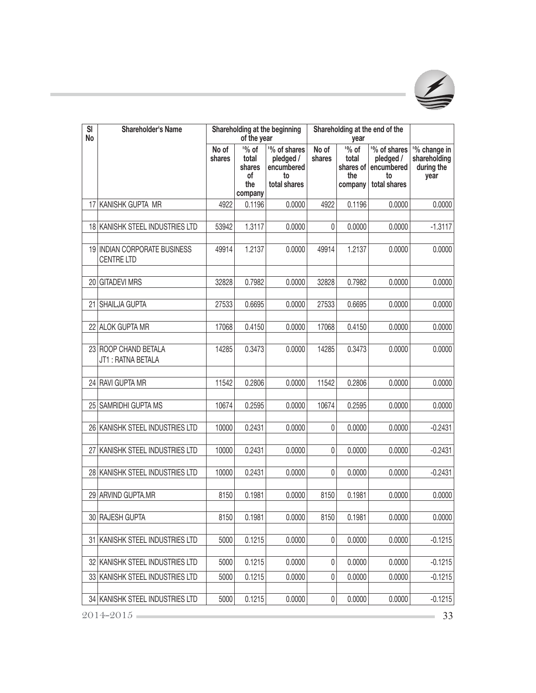

| SI<br>No | Shareholder's Name                                |                 | of the year                                       | Shareholding at the beginning                                 | Shareholding at the end of the<br>year |                                              |                                                                         |                                                    |
|----------|---------------------------------------------------|-----------------|---------------------------------------------------|---------------------------------------------------------------|----------------------------------------|----------------------------------------------|-------------------------------------------------------------------------|----------------------------------------------------|
|          |                                                   | No of<br>shares | $\frac{10}{6}$ of<br>total<br>shares<br>οf<br>the | '% of shares<br>pledged /<br>encumbered<br>to<br>total shares | No of<br>shares                        | $\frac{10}{6}$ of<br>total<br>the<br>company | '% of shares<br>pledged /<br>shares of encumbered<br>to<br>total shares | '% change in<br>shareholding<br>during the<br>year |
| 17       | KANISHK GUPTA MR                                  | 4922            | company<br>0.1196                                 | 0.0000                                                        | 4922                                   | 0.1196                                       | 0.0000                                                                  | 0.0000                                             |
|          | 18 KANISHK STEEL INDUSTRIES LTD                   | 53942           | 1.3117                                            | 0.0000                                                        | 0                                      | 0.0000                                       | 0.0000                                                                  | $-1.3117$                                          |
|          | 19 INDIAN CORPORATE BUSINESS<br><b>CENTRE LTD</b> | 49914           | 1.2137                                            | 0.0000                                                        | 49914                                  | 1.2137                                       | 0.0000                                                                  | 0.0000                                             |
| 20       | <b>GITADEVI MRS</b>                               | 32828           | 0.7982                                            | 0.0000                                                        | 32828                                  | 0.7982                                       | 0.0000                                                                  | 0.0000                                             |
| 21       | <b>SHAILJA GUPTA</b>                              | 27533           | 0.6695                                            | 0.0000                                                        | 27533                                  | 0.6695                                       | 0.0000                                                                  | 0.0000                                             |
| 22       | <b>ALOK GUPTA MR</b>                              | 17068           | 0.4150                                            | 0.0000                                                        | 17068                                  | 0.4150                                       | 0.0000                                                                  | 0.0000                                             |
|          | 23 ROOP CHAND BETALA<br>JT1: RATNA BETALA         | 14285           | 0.3473                                            | 0.0000                                                        | 14285                                  | 0.3473                                       | 0.0000                                                                  | 0.0000                                             |
| 24       | <b>RAVI GUPTA MR</b>                              | 11542           | 0.2806                                            | 0.0000                                                        | 11542                                  | 0.2806                                       | 0.0000                                                                  | 0.0000                                             |
|          | 25 SAMRIDHI GUPTA MS                              | 10674           | 0.2595                                            | 0.0000                                                        | 10674                                  | 0.2595                                       | 0.0000                                                                  | 0.0000                                             |
|          | 26 KANISHK STEEL INDUSTRIES LTD                   | 10000           | 0.2431                                            | 0.0000                                                        | 0                                      | 0.0000                                       | 0.0000                                                                  | $-0.2431$                                          |
| 27       | KANISHK STEEL INDUSTRIES LTD                      | 10000           | 0.2431                                            | 0.0000                                                        | 0                                      | 0.0000                                       | 0.0000                                                                  | $-0.2431$                                          |
|          | 28 KANISHK STEEL INDUSTRIES LTD                   | 10000           | 0.2431                                            | 0.0000                                                        | 0                                      | 0.0000                                       | 0.0000                                                                  | $-0.2431$                                          |
| 29       | ARVIND GUPTA.MR                                   | 8150            | 0.1981                                            | 0.0000                                                        | 8150                                   | 0.1981                                       | 0.0000                                                                  | 0.0000                                             |
|          | 30 RAJESH GUPTA                                   | 8150            | 0.1981                                            | 0.0000                                                        | 8150                                   | 0.1981                                       | 0.0000                                                                  | 0.0000                                             |
| 31       | KANISHK STEEL INDUSTRIES LTD                      | 5000            | 0.1215                                            | 0.0000                                                        | 0                                      | 0.0000                                       | 0.0000                                                                  | $-0.1215$                                          |
|          | 32 KANISHK STEEL INDUSTRIES LTD                   | 5000            | 0.1215                                            | 0.0000                                                        | 0                                      | 0.0000                                       | 0.0000                                                                  | $-0.1215$                                          |
|          | 33 KANISHK STEEL INDUSTRIES LTD                   | 5000            | 0.1215                                            | 0.0000                                                        | 0                                      | 0.0000                                       | 0.0000                                                                  | $-0.1215$                                          |
|          | 34 KANISHK STEEL INDUSTRIES LTD                   | 5000            | 0.1215                                            | 0.0000                                                        | 0                                      | 0.0000                                       | 0.0000                                                                  | $-0.1215$                                          |
|          | $2014 - 2015$                                     |                 |                                                   |                                                               |                                        |                                              |                                                                         | 33                                                 |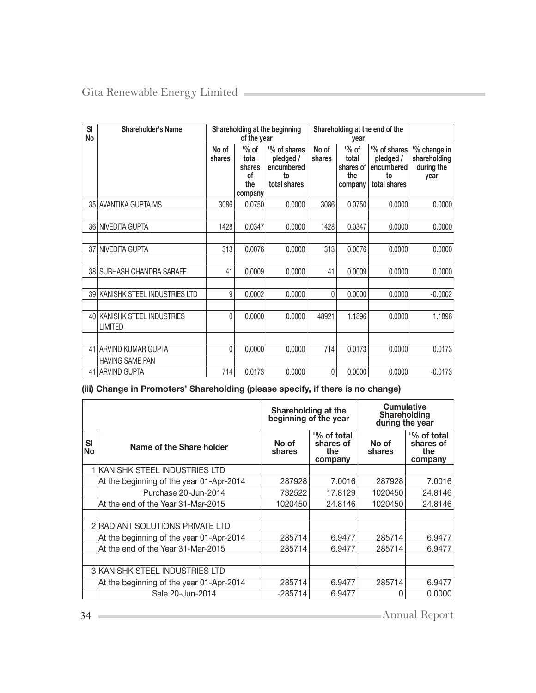| S <sub>l</sub><br>No | Shareholder's Name                         |                 | of the year                                                  | Shareholding at the beginning                                 | Shareholding at the end of the<br>year |                                                           |                                                               |                                                    |
|----------------------|--------------------------------------------|-----------------|--------------------------------------------------------------|---------------------------------------------------------------|----------------------------------------|-----------------------------------------------------------|---------------------------------------------------------------|----------------------------------------------------|
|                      |                                            | No of<br>shares | $\frac{10}{6}$ of<br>total<br>shares<br>οf<br>the<br>company | '% of shares<br>pledged /<br>encumbered<br>to<br>total shares | No of<br>shares                        | $\frac{10}{6}$ of<br>total<br>shares of<br>the<br>company | '% of shares<br>pledged /<br>encumbered<br>to<br>total shares | '% change in<br>shareholding<br>during the<br>year |
| 35                   | AVANTIKA GUPTA MS                          | 3086            | 0.0750                                                       | 0.0000                                                        | 3086                                   | 0.0750                                                    | 0.0000                                                        | 0.0000                                             |
| 36                   | NIVEDITA GUPTA                             | 1428            | 0.0347                                                       | 0.0000                                                        | 1428                                   | 0.0347                                                    | 0.0000                                                        | 0.0000                                             |
| 37                   | NIVEDITA GUPTA                             | 313             | 0.0076                                                       | 0.0000                                                        | 313                                    | 0.0076                                                    | 0.0000                                                        | 0.0000                                             |
| 38                   | SUBHASH CHANDRA SARAFF                     | 41              | 0.0009                                                       | 0.0000                                                        | 41                                     | 0.0009                                                    | 0.0000                                                        | 0.0000                                             |
| 39                   | KANISHK STEEL INDUSTRIES LTD               | 9               | 0.0002                                                       | 0.0000                                                        | 0                                      | 0.0000                                                    | 0.0000                                                        | $-0.0002$                                          |
|                      |                                            |                 |                                                              |                                                               |                                        |                                                           |                                                               |                                                    |
| 40                   | KANISHK STEEL INDUSTRIES<br><b>LIMITED</b> | 0               | 0.0000                                                       | 0.0000                                                        | 48921                                  | 1.1896                                                    | 0.0000                                                        | 1.1896                                             |
|                      |                                            |                 |                                                              |                                                               |                                        |                                                           |                                                               |                                                    |
| 41                   | ARVIND KUMAR GUPTA                         | 0               | 0.0000                                                       | 0.0000                                                        | 714                                    | 0.0173                                                    | 0.0000                                                        | 0.0173                                             |
|                      | <b>HAVING SAME PAN</b>                     |                 |                                                              |                                                               |                                        |                                                           |                                                               |                                                    |
| 41                   | <b>ARVIND GUPTA</b>                        | 714             | 0.0173                                                       | 0.0000                                                        | 0                                      | 0.0000                                                    | 0.0000                                                        | $-0.0173$                                          |

### (iii) Change in Promoters' Shareholding (please specify, if there is no change)

|          |                                          | Shareholding at the<br>beginning of the year |                                            | <b>Cumulative</b><br>Shareholding<br>during the year |                                            |  |
|----------|------------------------------------------|----------------------------------------------|--------------------------------------------|------------------------------------------------------|--------------------------------------------|--|
| SI<br>No | Name of the Share holder                 | No of<br>shares                              | '% of total<br>shares of<br>the<br>company | No of<br><b>shares</b>                               | '% of total<br>shares of<br>the<br>company |  |
|          | 1 KANISHK STEEL INDUSTRIES LTD           |                                              |                                            |                                                      |                                            |  |
|          | At the beginning of the year 01-Apr-2014 | 287928                                       | 7.0016                                     | 287928                                               | 7.0016                                     |  |
|          | Purchase 20-Jun-2014                     | 732522                                       | 17.8129                                    | 1020450                                              | 24.8146                                    |  |
|          | At the end of the Year 31-Mar-2015       | 1020450                                      | 24.8146                                    | 1020450                                              | 24.8146                                    |  |
|          |                                          |                                              |                                            |                                                      |                                            |  |
|          | 2 RADIANT SOLUTIONS PRIVATE LTD          |                                              |                                            |                                                      |                                            |  |
|          | At the beginning of the year 01-Apr-2014 | 285714                                       | 6.9477                                     | 285714                                               | 6.9477                                     |  |
|          | At the end of the Year 31-Mar-2015       | 285714                                       | 6.9477                                     | 285714                                               | 6.9477                                     |  |
|          |                                          |                                              |                                            |                                                      |                                            |  |
|          | <b>3 KANISHK STEEL INDUSTRIES LTD</b>    |                                              |                                            |                                                      |                                            |  |
|          | At the beginning of the year 01-Apr-2014 | 285714                                       | 6.9477                                     | 285714                                               | 6.9477                                     |  |
|          | Sale 20-Jun-2014                         | -285714                                      | 6.9477                                     | 0                                                    | 0.0000                                     |  |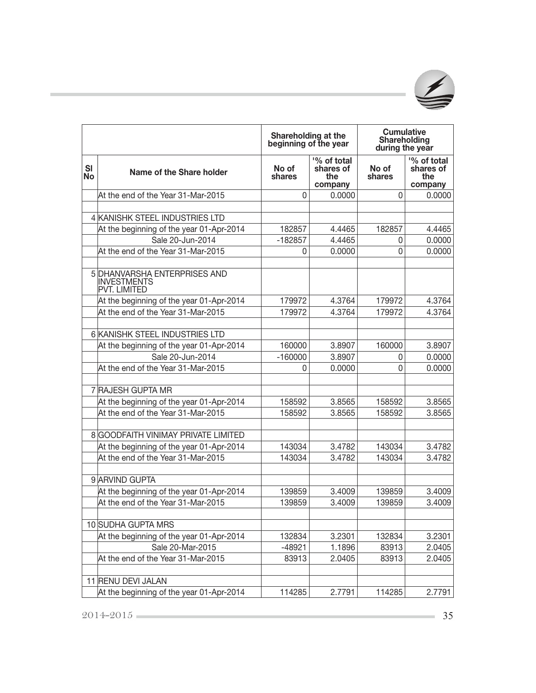

|                 |                                                                    | Shareholding at the<br>beginning of the year |                                            | <b>Cumulative</b><br>Shareholding<br>during the year |                                            |
|-----------------|--------------------------------------------------------------------|----------------------------------------------|--------------------------------------------|------------------------------------------------------|--------------------------------------------|
| SI<br><b>No</b> | Name of the Share holder                                           | No of<br>shares                              | '% of total<br>shares of<br>the<br>company | No of<br>shares                                      | '% of total<br>shares of<br>the<br>company |
|                 | At the end of the Year 31-Mar-2015                                 | 0                                            | 0.0000                                     | 0                                                    | 0.0000                                     |
|                 |                                                                    |                                              |                                            |                                                      |                                            |
|                 | 4 KANISHK STEEL INDUSTRIES LTD                                     |                                              |                                            |                                                      |                                            |
|                 | At the beginning of the year 01-Apr-2014                           | 182857                                       | 4.4465                                     | 182857                                               | 4.4465                                     |
|                 | Sale 20-Jun-2014                                                   | $-182857$                                    | 4.4465                                     | 0                                                    | 0.0000                                     |
|                 | At the end of the Year 31-Mar-2015                                 | 0                                            | 0.0000                                     | 0                                                    | 0.0000                                     |
|                 | 5 DHANVARSHA ENTERPRISES AND<br><b>INVESTMENTS</b><br>PVT. LIMITED |                                              |                                            |                                                      |                                            |
|                 | At the beginning of the year 01-Apr-2014                           | 179972                                       | 4.3764                                     | 179972                                               | 4.3764                                     |
|                 | At the end of the Year 31-Mar-2015                                 | 179972                                       | 4.3764                                     | 179972                                               | 4.3764                                     |
|                 |                                                                    |                                              |                                            |                                                      |                                            |
|                 | 6 KANISHK STEEL INDUSTRIES LTD                                     |                                              |                                            |                                                      |                                            |
|                 | At the beginning of the year 01-Apr-2014                           | 160000                                       | 3.8907                                     | 160000                                               | 3.8907                                     |
|                 | Sale 20-Jun-2014                                                   | $-160000$                                    | 3.8907                                     | 0                                                    | 0.0000                                     |
|                 | At the end of the Year 31-Mar-2015                                 | 0                                            | 0.0000                                     | $\overline{0}$                                       | 0.0000                                     |
|                 | 7 RAJESH GUPTA MR                                                  |                                              |                                            |                                                      |                                            |
|                 | At the beginning of the year 01-Apr-2014                           | 158592                                       | 3.8565                                     | 158592                                               | 3.8565                                     |
|                 | At the end of the Year 31-Mar-2015                                 | 158592                                       | 3.8565                                     | 158592                                               | 3.8565                                     |
|                 |                                                                    |                                              |                                            |                                                      |                                            |
|                 | 8 GOODFAITH VINIMAY PRIVATE LIMITED                                |                                              |                                            |                                                      |                                            |
|                 | At the beginning of the year 01-Apr-2014                           | 143034                                       | 3.4782                                     | 143034                                               | 3.4782                                     |
|                 | At the end of the Year 31-Mar-2015                                 | 143034                                       | 3.4782                                     | 143034                                               | 3.4782                                     |
|                 |                                                                    |                                              |                                            |                                                      |                                            |
|                 | 9 ARVIND GUPTA                                                     |                                              |                                            |                                                      |                                            |
|                 | At the beginning of the year 01-Apr-2014                           | 139859                                       | 3.4009                                     | 139859                                               | 3.4009                                     |
|                 | At the end of the Year 31-Mar-2015                                 | 139859                                       | 3.4009                                     | 139859                                               | 3.4009                                     |
|                 |                                                                    |                                              |                                            |                                                      |                                            |
|                 | 10 SUDHA GUPTA MRS                                                 |                                              |                                            |                                                      |                                            |
|                 | At the beginning of the year 01-Apr-2014                           | 132834                                       | 3.2301                                     | 132834                                               | 3.2301                                     |
|                 | Sale 20-Mar-2015                                                   | $-48921$                                     | 1.1896                                     | 83913                                                | 2.0405                                     |
|                 | At the end of the Year 31-Mar-2015                                 | 83913                                        | 2.0405                                     | 83913                                                | 2.0405                                     |
|                 |                                                                    |                                              |                                            |                                                      |                                            |
|                 | 11 RENU DEVI JALAN                                                 |                                              |                                            |                                                      |                                            |
|                 | At the beginning of the year 01-Apr-2014                           | 114285                                       | 2.7791                                     | 114285                                               | 2.7791                                     |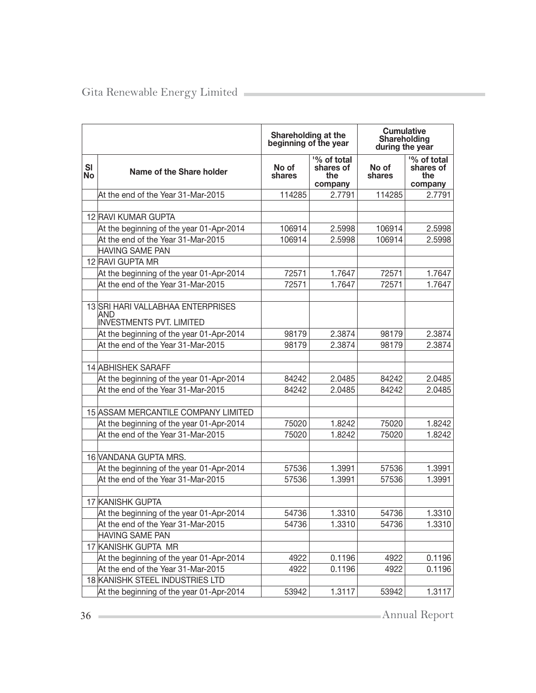|                  |                                                                             | Shareholding at the<br>beginning of the year |                                            | <b>Cumulative</b><br><b>Shareholding</b><br>during the year |                                            |
|------------------|-----------------------------------------------------------------------------|----------------------------------------------|--------------------------------------------|-------------------------------------------------------------|--------------------------------------------|
| <b>SI</b><br>No. | Name of the Share holder                                                    | No of<br>shares                              | '% of total<br>shares of<br>the<br>company | No of<br>shares                                             | '% of total<br>shares of<br>the<br>company |
|                  | At the end of the Year 31-Mar-2015                                          | 114285                                       | 2.7791                                     | 114285                                                      | 2.7791                                     |
|                  |                                                                             |                                              |                                            |                                                             |                                            |
|                  | 12 RAVI KUMAR GUPTA                                                         |                                              |                                            |                                                             |                                            |
|                  | At the beginning of the year 01-Apr-2014                                    | 106914                                       | 2.5998                                     | 106914                                                      | 2.5998                                     |
|                  | At the end of the Year 31-Mar-2015                                          | 106914                                       | 2.5998                                     | 106914                                                      | 2.5998                                     |
|                  | <b>HAVING SAME PAN</b>                                                      |                                              |                                            |                                                             |                                            |
|                  | 12 RAVI GUPTA MR                                                            |                                              |                                            |                                                             |                                            |
|                  | At the beginning of the year 01-Apr-2014                                    | 72571                                        | 1.7647                                     | 72571                                                       | 1.7647                                     |
|                  | At the end of the Year 31-Mar-2015                                          | 72571                                        | 1.7647                                     | 72571                                                       | 1.7647                                     |
|                  | 13 SRI HARI VALLABHAA ENTERPRISES<br>AND<br><b>INVESTMENTS PVT. LIMITED</b> |                                              |                                            |                                                             |                                            |
|                  | At the beginning of the year 01-Apr-2014                                    | 98179                                        | 2.3874                                     | 98179                                                       | 2.3874                                     |
|                  | At the end of the Year 31-Mar-2015                                          | 98179                                        | 2.3874                                     | 98179                                                       | 2.3874                                     |
|                  | <b>14 ABHISHEK SARAFF</b>                                                   |                                              |                                            |                                                             |                                            |
|                  | At the beginning of the year 01-Apr-2014                                    | 84242                                        | 2.0485                                     | 84242                                                       | 2.0485                                     |
|                  | At the end of the Year 31-Mar-2015                                          | 84242                                        | 2.0485                                     | 84242                                                       | 2.0485                                     |
|                  |                                                                             |                                              |                                            |                                                             |                                            |
|                  | 15 ASSAM MERCANTILE COMPANY LIMITED                                         |                                              |                                            |                                                             |                                            |
|                  | At the beginning of the year 01-Apr-2014                                    | 75020                                        | 1.8242                                     | 75020                                                       | 1.8242                                     |
|                  | At the end of the Year 31-Mar-2015                                          | 75020                                        | 1.8242                                     | 75020                                                       | 1.8242                                     |
|                  | 16 VANDANA GUPTA MRS.                                                       |                                              |                                            |                                                             |                                            |
|                  | At the beginning of the year 01-Apr-2014                                    | 57536                                        | 1.3991                                     | 57536                                                       | 1.3991                                     |
|                  | At the end of the Year 31-Mar-2015                                          | 57536                                        | 1.3991                                     | 57536                                                       | 1.3991                                     |
|                  |                                                                             |                                              |                                            |                                                             |                                            |
|                  | 17 KANISHK GUPTA                                                            |                                              |                                            |                                                             |                                            |
|                  | At the beginning of the year 01-Apr-2014                                    | 54736                                        | 1.3310                                     | 54736                                                       | 1.3310                                     |
|                  | At the end of the Year 31-Mar-2015                                          | 54736                                        | 1.3310                                     | 54736                                                       | 1.3310                                     |
|                  | HAVING SAME PAN                                                             |                                              |                                            |                                                             |                                            |
|                  | 17 KANISHK GUPTA MR                                                         |                                              |                                            |                                                             |                                            |
|                  | At the beginning of the year 01-Apr-2014                                    | 4922                                         | 0.1196                                     | 4922                                                        | 0.1196                                     |
|                  | At the end of the Year 31-Mar-2015                                          | 4922                                         | 0.1196                                     | 4922                                                        | 0.1196                                     |
|                  | 18 KANISHK STEEL INDUSTRIES LTD                                             |                                              |                                            |                                                             |                                            |
|                  | At the beginning of the year 01-Apr-2014                                    | 53942                                        | 1.3117                                     | 53942                                                       | 1.3117                                     |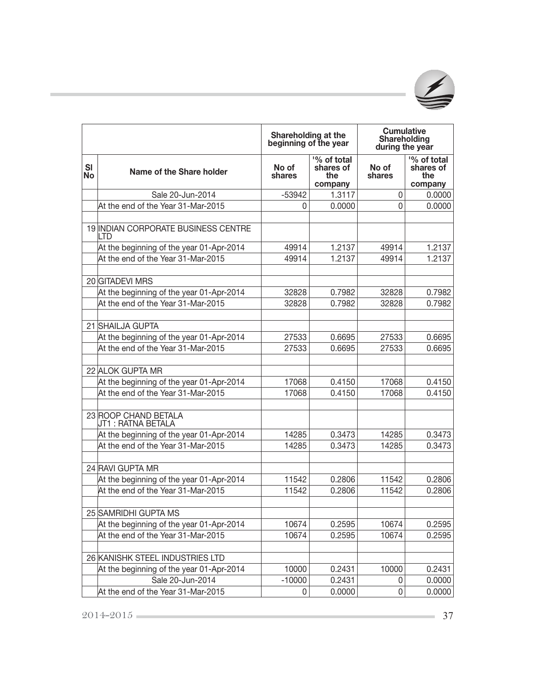

|                 |                                            | Shareholding at the<br>beginning of the year |                                            | <b>Cumulative</b><br>Shareholding<br>during the year |                                            |
|-----------------|--------------------------------------------|----------------------------------------------|--------------------------------------------|------------------------------------------------------|--------------------------------------------|
| SI<br><b>No</b> | Name of the Share holder                   | No of<br>shares                              | '% of total<br>shares of<br>the<br>company | No of<br>shares                                      | '% of total<br>shares of<br>the<br>company |
|                 | Sale 20-Jun-2014                           | $-53942$                                     | 1.3117                                     | 0                                                    | 0.0000                                     |
|                 | At the end of the Year 31-Mar-2015         | 0                                            | 0.0000                                     | 0                                                    | 0.0000                                     |
|                 | 19 INDIAN CORPORATE BUSINESS CENTRE<br>LTD |                                              |                                            |                                                      |                                            |
|                 | At the beginning of the year 01-Apr-2014   | 49914                                        | 1.2137                                     | 49914                                                | 1.2137                                     |
|                 | At the end of the Year 31-Mar-2015         | 49914                                        | 1.2137                                     | 49914                                                | 1.2137                                     |
|                 | 20 GITADEVI MRS                            |                                              |                                            |                                                      |                                            |
|                 | At the beginning of the year 01-Apr-2014   | 32828                                        | 0.7982                                     | 32828                                                | 0.7982                                     |
|                 | At the end of the Year 31-Mar-2015         | 32828                                        | 0.7982                                     | 32828                                                | 0.7982                                     |
|                 | 21 SHAILJA GUPTA                           |                                              |                                            |                                                      |                                            |
|                 | At the beginning of the year 01-Apr-2014   | 27533                                        | 0.6695                                     | 27533                                                | 0.6695                                     |
|                 | At the end of the Year 31-Mar-2015         | 27533                                        | 0.6695                                     | 27533                                                | 0.6695                                     |
|                 | 22 ALOK GUPTA MR                           |                                              |                                            |                                                      |                                            |
|                 | At the beginning of the year 01-Apr-2014   | 17068                                        | 0.4150                                     | 17068                                                | 0.4150                                     |
|                 | At the end of the Year 31-Mar-2015         | 17068                                        | 0.4150                                     | 17068                                                | 0.4150                                     |
|                 | 23 ROOP CHAND BETALA<br>JT1: RATNA BETALA  |                                              |                                            |                                                      |                                            |
|                 | At the beginning of the year 01-Apr-2014   | 14285                                        | 0.3473                                     | 14285                                                | 0.3473                                     |
|                 | At the end of the Year 31-Mar-2015         | 14285                                        | 0.3473                                     | 14285                                                | 0.3473                                     |
|                 | 24 RAVI GUPTA MR                           |                                              |                                            |                                                      |                                            |
|                 | At the beginning of the year 01-Apr-2014   | 11542                                        | 0.2806                                     | 11542                                                | 0.2806                                     |
|                 | At the end of the Year 31-Mar-2015         | 11542                                        | 0.2806                                     | 11542                                                | 0.2806                                     |
|                 | 25 SAMRIDHI GUPTA MS                       |                                              |                                            |                                                      |                                            |
|                 | At the beginning of the year 01-Apr-2014   | 10674                                        | 0.2595                                     | 10674                                                | 0.2595                                     |
|                 | At the end of the Year 31-Mar-2015         | 10674                                        | 0.2595                                     | 10674                                                | 0.2595                                     |
|                 | 26 KANISHK STEEL INDUSTRIES LTD            |                                              |                                            |                                                      |                                            |
|                 | At the beginning of the year 01-Apr-2014   | 10000                                        | 0.2431                                     | 10000                                                | 0.2431                                     |
|                 | Sale 20-Jun-2014                           | $-10000$                                     | 0.2431                                     | 0                                                    | 0.0000                                     |
|                 | At the end of the Year 31-Mar-2015         | 0                                            | 0.0000                                     | 0                                                    | 0.0000                                     |

i.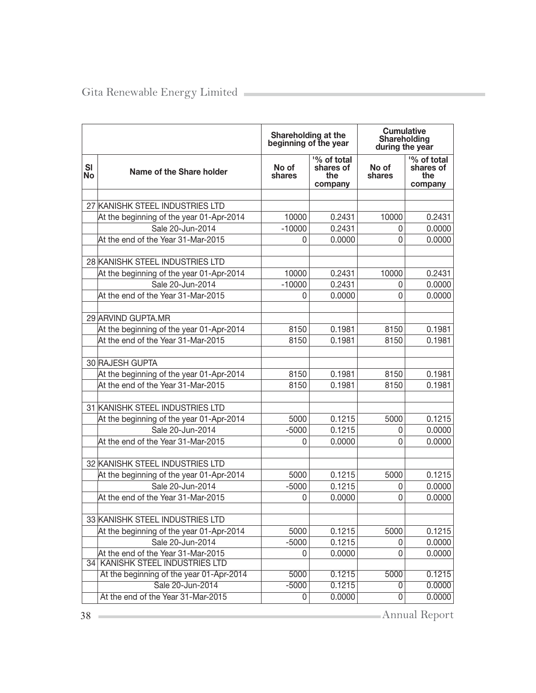|                 |                                          |                 | Shareholding at the<br>beginning of the year |                 | <b>Cumulative</b><br><b>Shareholding</b><br>during the year |
|-----------------|------------------------------------------|-----------------|----------------------------------------------|-----------------|-------------------------------------------------------------|
| SI<br><b>No</b> | Name of the Share holder                 | No of<br>shares | '% of total<br>shares of<br>the<br>company   | No of<br>shares | '% of total<br>shares of<br>the<br>company                  |
|                 | 27 KANISHK STEEL INDUSTRIES LTD          |                 |                                              |                 |                                                             |
|                 | At the beginning of the year 01-Apr-2014 | 10000           | 0.2431                                       | 10000           | 0.2431                                                      |
|                 | Sale 20-Jun-2014                         | $-10000$        | 0.2431                                       | $\mathbf{0}$    | 0.0000                                                      |
|                 | At the end of the Year 31-Mar-2015       | 0               | 0.0000                                       | $\Omega$        | 0.0000                                                      |
|                 |                                          |                 |                                              |                 |                                                             |
|                 | 28 KANISHK STEEL INDUSTRIES LTD          |                 |                                              |                 |                                                             |
|                 | At the beginning of the year 01-Apr-2014 | 10000           | 0.2431                                       | 10000           | 0.2431                                                      |
|                 | Sale 20-Jun-2014                         | $-10000$        | 0.2431                                       | 0               | 0.0000                                                      |
|                 | At the end of the Year 31-Mar-2015       | 0               | 0.0000                                       | $\mathbf{0}$    | 0.0000                                                      |
|                 | 29 ARVIND GUPTA.MR                       |                 |                                              |                 |                                                             |
|                 | At the beginning of the year 01-Apr-2014 | 8150            | 0.1981                                       | 8150            | 0.1981                                                      |
|                 | At the end of the Year 31-Mar-2015       | 8150            | 0.1981                                       | 8150            | 0.1981                                                      |
|                 |                                          |                 |                                              |                 |                                                             |
|                 | <b>30 RAJESH GUPTA</b>                   |                 |                                              |                 |                                                             |
|                 | At the beginning of the year 01-Apr-2014 | 8150            | 0.1981                                       | 8150            | 0.1981                                                      |
|                 | At the end of the Year 31-Mar-2015       | 8150            | 0.1981                                       | 8150            | 0.1981                                                      |
|                 | 31 KANISHK STEEL INDUSTRIES LTD          |                 |                                              |                 |                                                             |
|                 | At the beginning of the year 01-Apr-2014 | 5000            | 0.1215                                       | 5000            | 0.1215                                                      |
|                 | Sale 20-Jun-2014                         | $-5000$         | 0.1215                                       | 0               | 0.0000                                                      |
|                 | At the end of the Year 31-Mar-2015       | 0               | 0.0000                                       | $\mathbf{0}$    | 0.0000                                                      |
|                 |                                          |                 |                                              |                 |                                                             |
|                 | 32 KANISHK STEEL INDUSTRIES LTD          |                 |                                              |                 |                                                             |
|                 | At the beginning of the year 01-Apr-2014 | 5000            | 0.1215                                       | 5000            | 0.1215                                                      |
|                 | Sale 20-Jun-2014                         | $-5000$         | 0.1215                                       | 0               | 0.0000                                                      |
|                 | At the end of the Year 31-Mar-2015       | 0               | 0.0000                                       | $\Omega$        | 0.0000                                                      |
|                 | 33 KANISHK STEEL INDUSTRIES LTD          |                 |                                              |                 |                                                             |
|                 | At the beginning of the year 01-Apr-2014 | 5000            | 0.1215                                       | 5000            | 0.1215                                                      |
|                 | Sale 20-Jun-2014                         | $-5000$         | 0.1215                                       | 0               | 0.0000                                                      |
|                 | At the end of the Year 31-Mar-2015       | 0               | 0.0000                                       | 0               | 0.0000                                                      |
|                 | <b>34 KANISHK STEEL INDUSTRIES LTD</b>   |                 |                                              |                 |                                                             |
|                 | At the beginning of the year 01-Apr-2014 | 5000            | 0.1215                                       | 5000            | 0.1215                                                      |
|                 | Sale 20-Jun-2014                         | $-5000$         | 0.1215                                       | 0               | 0.0000                                                      |
|                 | At the end of the Year 31-Mar-2015       | 0               | 0.0000                                       | $\overline{0}$  | 0.0000                                                      |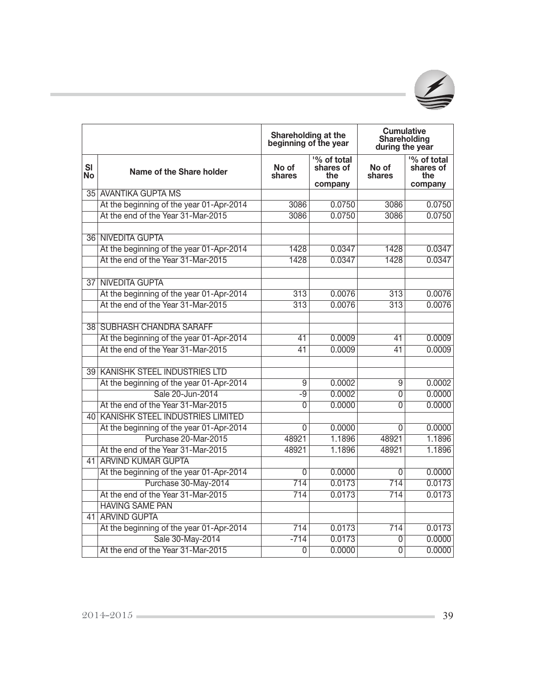

|                 |                                          | Shareholding at the<br>beginning of the year |                                            | <b>Cumulative</b><br><b>Shareholding</b><br>during the year |                                            |
|-----------------|------------------------------------------|----------------------------------------------|--------------------------------------------|-------------------------------------------------------------|--------------------------------------------|
| SI<br>No        | Name of the Share holder                 | No of<br>shares                              | '% of total<br>shares of<br>the<br>company | No of<br>shares                                             | '% of total<br>shares of<br>the<br>company |
| $\overline{35}$ | <b>AVANTIKA GUPTA MS</b>                 |                                              |                                            |                                                             |                                            |
|                 | At the beginning of the year 01-Apr-2014 | 3086                                         | 0.0750                                     | 3086                                                        | 0.0750                                     |
|                 | At the end of the Year 31-Mar-2015       | 3086                                         | 0.0750                                     | 3086                                                        | 0.0750                                     |
|                 | <b>36 NIVEDITA GUPTA</b>                 |                                              |                                            |                                                             |                                            |
|                 | At the beginning of the year 01-Apr-2014 | 1428                                         | 0.0347                                     | 1428                                                        | 0.0347                                     |
|                 | At the end of the Year 31-Mar-2015       | 1428                                         | 0.0347                                     | 1428                                                        | 0.0347                                     |
|                 | <b>37 NIVEDITA GUPTA</b>                 |                                              |                                            |                                                             |                                            |
|                 | At the beginning of the year 01-Apr-2014 | 313                                          | 0.0076                                     | 313                                                         | 0.0076                                     |
|                 | At the end of the Year 31-Mar-2015       | $\overline{313}$                             | 0.0076                                     | $\overline{313}$                                            | 0.0076                                     |
|                 | <b>38 SUBHASH CHANDRA SARAFF</b>         |                                              |                                            |                                                             |                                            |
|                 | At the beginning of the year 01-Apr-2014 | 41                                           | 0.0009                                     | 41                                                          | 0.0009                                     |
|                 | At the end of the Year 31-Mar-2015       | 41                                           | 0.0009                                     | 41                                                          | 0.0009                                     |
|                 | <b>39 KANISHK STEEL INDUSTRIES LTD</b>   |                                              |                                            |                                                             |                                            |
|                 | At the beginning of the year 01-Apr-2014 | $\overline{9}$                               | 0.0002                                     | $\overline{9}$                                              | 0.0002                                     |
|                 | Sale 20-Jun-2014                         | $-9$                                         | 0.0002                                     | $\overline{0}$                                              | 0.0000                                     |
|                 | At the end of the Year 31-Mar-2015       | 0                                            | 0.0000                                     | 0                                                           | 0.0000                                     |
| 40              | <b>KANISHK STEEL INDUSTRIES LIMITED</b>  |                                              |                                            |                                                             |                                            |
|                 | At the beginning of the year 01-Apr-2014 | 0                                            | 0.0000                                     | 0                                                           | 0.0000                                     |
|                 | Purchase 20-Mar-2015                     | 48921                                        | 1.1896                                     | 48921                                                       | 1.1896                                     |
|                 | At the end of the Year 31-Mar-2015       | 48921                                        | 1.1896                                     | 48921                                                       | 1.1896                                     |
|                 | <b>41 ARVIND KUMAR GUPTA</b>             |                                              |                                            |                                                             |                                            |
|                 | At the beginning of the year 01-Apr-2014 | 0                                            | 0.0000                                     | 0                                                           | 0.0000                                     |
|                 | Purchase 30-May-2014                     | 714                                          | 0.0173                                     | 714                                                         | 0.0173                                     |
|                 | At the end of the Year 31-Mar-2015       | 714                                          | 0.0173                                     | 714                                                         | 0.0173                                     |
|                 | <b>HAVING SAME PAN</b>                   |                                              |                                            |                                                             |                                            |
| 41              | <b>ARVIND GUPTA</b>                      |                                              |                                            |                                                             |                                            |
|                 | At the beginning of the year 01-Apr-2014 | 714                                          | 0.0173                                     | 714                                                         | 0.0173                                     |
|                 | Sale 30-May-2014                         | $-714$                                       | 0.0173                                     | 0                                                           | 0.0000                                     |
|                 | At the end of the Year 31-Mar-2015       | $\overline{0}$                               | 0.0000                                     | $\overline{0}$                                              | 0.0000                                     |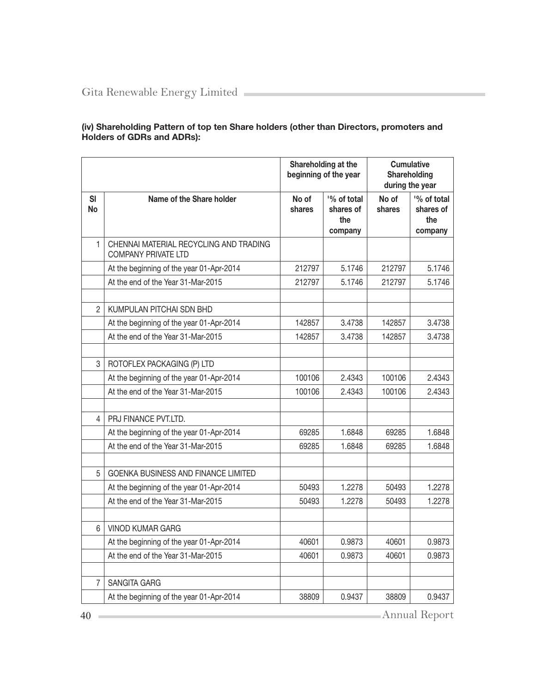### (iv) Shareholding Pattern of top ten Share holders (other than Directors, promoters and Holders of GDRs and ADRs):

|                        |                                                                      |                  | Shareholding at the<br>beginning of the year |                 | <b>Cumulative</b><br>Shareholding<br>during the year |
|------------------------|----------------------------------------------------------------------|------------------|----------------------------------------------|-----------------|------------------------------------------------------|
| <b>SI</b><br><b>No</b> | Name of the Share holder                                             | No of<br>shares  | '% of total<br>shares of<br>the<br>company   | No of<br>shares | '% of total<br>shares of<br>the<br>company           |
| 1                      | CHENNAI MATERIAL RECYCLING AND TRADING<br><b>COMPANY PRIVATE LTD</b> |                  |                                              |                 |                                                      |
|                        | At the beginning of the year 01-Apr-2014                             | 212797           | 5.1746                                       | 212797          | 5.1746                                               |
|                        | At the end of the Year 31-Mar-2015                                   | 212797           | 5.1746                                       | 212797          | 5.1746                                               |
| 2                      | KUMPULAN PITCHAI SDN BHD                                             |                  |                                              |                 |                                                      |
|                        | At the beginning of the year 01-Apr-2014                             | 142857           | 3.4738                                       | 142857          | 3.4738                                               |
|                        | At the end of the Year 31-Mar-2015                                   | 142857<br>3.4738 |                                              | 142857          | 3.4738                                               |
| 3                      | ROTOFLEX PACKAGING (P) LTD                                           |                  |                                              |                 |                                                      |
|                        | At the beginning of the year 01-Apr-2014                             | 100106           | 2.4343                                       | 100106          | 2.4343                                               |
|                        | At the end of the Year 31-Mar-2015                                   | 100106           | 2.4343                                       | 100106          | 2.4343                                               |
| 4                      | PRJ FINANCE PVT.LTD.                                                 |                  |                                              |                 |                                                      |
|                        | At the beginning of the year 01-Apr-2014                             | 69285            | 1.6848                                       | 69285           | 1.6848                                               |
|                        | At the end of the Year 31-Mar-2015                                   | 69285            | 1.6848                                       | 69285           | 1.6848                                               |
| 5                      | GOENKA BUSINESS AND FINANCE LIMITED                                  |                  |                                              |                 |                                                      |
|                        | At the beginning of the year 01-Apr-2014                             | 50493            | 1.2278                                       | 50493           | 1.2278                                               |
|                        | At the end of the Year 31-Mar-2015                                   | 50493            | 1.2278                                       | 50493           | 1.2278                                               |
| 6                      | <b>VINOD KUMAR GARG</b>                                              |                  |                                              |                 |                                                      |
|                        | At the beginning of the year 01-Apr-2014                             | 40601            | 0.9873                                       | 40601           | 0.9873                                               |
|                        | At the end of the Year 31-Mar-2015                                   | 40601            | 0.9873                                       | 40601           | 0.9873                                               |
| 7                      | <b>SANGITA GARG</b>                                                  |                  |                                              |                 |                                                      |
|                        | At the beginning of the year 01-Apr-2014                             | 38809            | 0.9437                                       | 38809           | 0.9437                                               |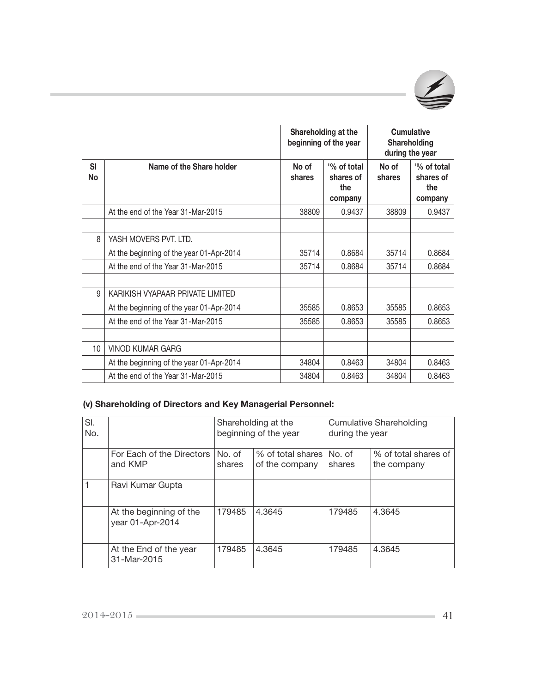

|                 |                                          | Shareholding at the<br>beginning of the year |                                                         |                 | <b>Cumulative</b><br><b>Shareholding</b><br>during the year |
|-----------------|------------------------------------------|----------------------------------------------|---------------------------------------------------------|-----------------|-------------------------------------------------------------|
| <b>SI</b><br>No | Name of the Share holder                 | No of<br>shares                              | <sup>10</sup> % of total<br>shares of<br>the<br>company | No of<br>shares | '% of total<br>shares of<br>the<br>company                  |
|                 | At the end of the Year 31-Mar-2015       | 38809                                        | 0.9437                                                  | 38809           | 0.9437                                                      |
| 8               | YASH MOVERS PVT. LTD.                    |                                              |                                                         |                 |                                                             |
|                 | At the beginning of the year 01-Apr-2014 | 35714                                        | 0.8684                                                  | 35714           | 0.8684                                                      |
|                 | At the end of the Year 31-Mar-2015       | 35714                                        | 0.8684                                                  | 35714           | 0.8684                                                      |
| 9               | KARIKISH VYAPAAR PRIVATE LIMITED         |                                              |                                                         |                 |                                                             |
|                 | At the beginning of the year 01-Apr-2014 | 35585                                        | 0.8653                                                  | 35585           | 0.8653                                                      |
|                 | At the end of the Year 31-Mar-2015       | 35585                                        | 0.8653                                                  | 35585           | 0.8653                                                      |
|                 |                                          |                                              |                                                         |                 |                                                             |
| 10 <sup>1</sup> | <b>VINOD KUMAR GARG</b>                  |                                              |                                                         |                 |                                                             |
|                 | At the beginning of the year 01-Apr-2014 | 34804                                        | 0.8463                                                  | 34804           | 0.8463                                                      |
|                 | At the end of the Year 31-Mar-2015       | 34804                                        | 0.8463                                                  | 34804           | 0.8463                                                      |

### (v) Shareholding of Directors and Key Managerial Personnel:

| SI.<br>No. |                                             | Shareholding at the<br>beginning of the year |                                     |                  | Cumulative Shareholding<br>during the year |  |  |  |
|------------|---------------------------------------------|----------------------------------------------|-------------------------------------|------------------|--------------------------------------------|--|--|--|
|            | For Each of the Directors<br>and KMP        | No. of<br>shares                             | % of total shares<br>of the company | No. of<br>shares | % of total shares of<br>the company        |  |  |  |
|            | Ravi Kumar Gupta                            |                                              |                                     |                  |                                            |  |  |  |
|            | At the beginning of the<br>year 01-Apr-2014 | 179485                                       | 4.3645                              | 179485           | 4.3645                                     |  |  |  |
|            | At the End of the year<br>31-Mar-2015       | 179485                                       | 4.3645                              | 179485           | 4.3645                                     |  |  |  |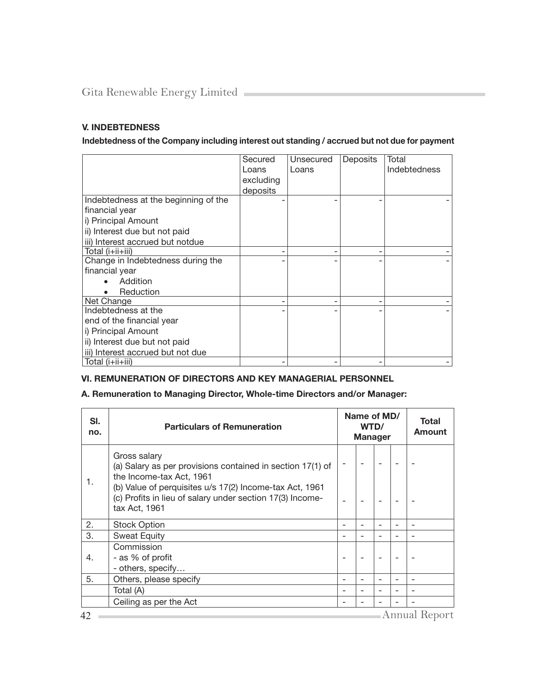### V. INDEBTEDNESS

Indebtedness of the Company including interest out standing / accrued but not due for payment

|                                      | Secured   | Unsecured | Deposits | Total               |
|--------------------------------------|-----------|-----------|----------|---------------------|
|                                      | Loans     | Loans     |          | <b>Indebtedness</b> |
|                                      | excluding |           |          |                     |
|                                      | deposits  |           |          |                     |
| Indebtedness at the beginning of the |           |           |          |                     |
| financial year                       |           |           |          |                     |
| i) Principal Amount                  |           |           |          |                     |
| ii) Interest due but not paid        |           |           |          |                     |
| iii) Interest accrued but notdue     |           |           |          |                     |
| Total (i+ii+iii)                     |           |           |          |                     |
| Change in Indebtedness during the    |           |           |          |                     |
| financial year                       |           |           |          |                     |
| Addition                             |           |           |          |                     |
| Reduction                            |           |           |          |                     |
| Net Change                           |           |           |          |                     |
| Indebtedness at the                  |           |           |          |                     |
| end of the financial year            |           |           |          |                     |
| i) Principal Amount                  |           |           |          |                     |
| ii) Interest due but not paid        |           |           |          |                     |
| iii) Interest accrued but not due    |           |           |          |                     |
| Total (i+ii+iii)                     |           |           |          |                     |

### VI. REMUNERATION OF DIRECTORS AND KEY MANAGERIAL PERSONNEL

### A. Remuneration to Managing Director, Whole-time Directors and/or Manager:

| SI.<br>no. | <b>Particulars of Remuneration</b>                                                                                                                                |   | Name of MD/<br>WTD/<br><b>Manager</b> |  | <b>Total</b><br><b>Amount</b> |                          |
|------------|-------------------------------------------------------------------------------------------------------------------------------------------------------------------|---|---------------------------------------|--|-------------------------------|--------------------------|
| 1.         | Gross salary<br>(a) Salary as per provisions contained in section 17(1) of<br>the Income-tax Act, 1961<br>(b) Value of perquisites u/s 17(2) Income-tax Act, 1961 |   |                                       |  |                               |                          |
|            | (c) Profits in lieu of salary under section 17(3) Income-<br>tax Act, 1961                                                                                        |   |                                       |  |                               |                          |
| 2.         | <b>Stock Option</b>                                                                                                                                               |   |                                       |  |                               |                          |
| 3.         | <b>Sweat Equity</b>                                                                                                                                               |   |                                       |  |                               |                          |
| 4.         | Commission<br>- as % of profit<br>- others, specify                                                                                                               |   |                                       |  |                               |                          |
| 5.         | Others, please specify                                                                                                                                            |   |                                       |  |                               | $\overline{\phantom{0}}$ |
|            | Total (A)                                                                                                                                                         | ۰ |                                       |  |                               |                          |
|            | Ceiling as per the Act                                                                                                                                            |   |                                       |  |                               |                          |
| 42         |                                                                                                                                                                   |   |                                       |  |                               | Annual Report            |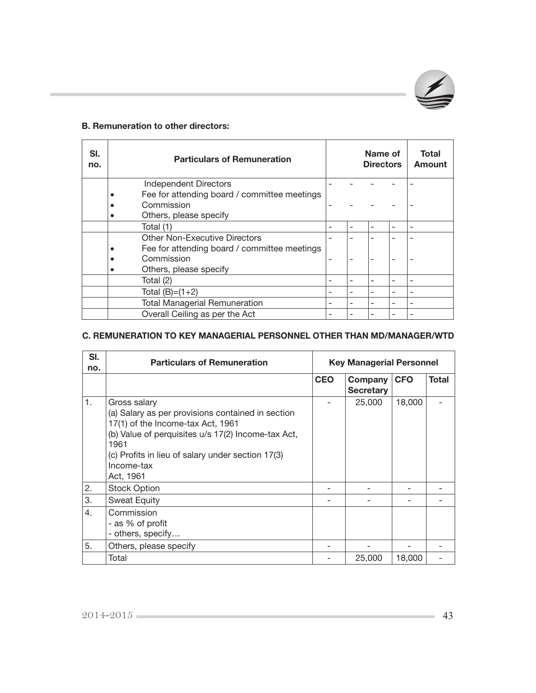

### B. Remuneration to other directors:

| SI.<br>no. | <b>Particulars of Remuneration</b>           |                          | Name of<br><b>Directors</b> |   | Total<br>Amount          |
|------------|----------------------------------------------|--------------------------|-----------------------------|---|--------------------------|
|            | <b>Independent Directors</b>                 |                          |                             |   |                          |
|            | Fee for attending board / committee meetings |                          |                             |   |                          |
|            | Commission                                   |                          |                             |   |                          |
|            | Others, please specify                       |                          |                             |   |                          |
|            | Total (1)                                    |                          | ۰                           |   | -                        |
|            | <b>Other Non-Executive Directors</b>         |                          |                             |   |                          |
|            | Fee for attending board / committee meetings |                          |                             |   |                          |
|            | Commission                                   | $\overline{\phantom{0}}$ | ۰                           | ۰ |                          |
|            | Others, please specify                       |                          |                             |   |                          |
|            | Total (2)                                    |                          | $\overline{\phantom{0}}$    |   | -                        |
|            | Total $(B)=(1+2)$                            |                          | $\overline{\phantom{0}}$    |   | $\overline{\phantom{0}}$ |
|            | <b>Total Managerial Remuneration</b>         |                          |                             |   | -                        |
|            | Overall Ceiling as per the Act               |                          |                             |   |                          |

### C. REMUNERATION TO KEY MANAGERIAL PERSONNEL OTHER THAN MD/MANAGER/WTD

| SI.<br>no. | <b>Particulars of Remuneration</b>                                                                                                                                                                                                                   | <b>Key Managerial Personnel</b> |                             |            |              |  |
|------------|------------------------------------------------------------------------------------------------------------------------------------------------------------------------------------------------------------------------------------------------------|---------------------------------|-----------------------------|------------|--------------|--|
|            |                                                                                                                                                                                                                                                      | <b>CEO</b>                      | Company<br><b>Secretary</b> | <b>CFO</b> | <b>Total</b> |  |
| 1.         | Gross salary<br>(a) Salary as per provisions contained in section<br>17(1) of the Income-tax Act, 1961<br>(b) Value of perquisites u/s 17(2) Income-tax Act,<br>1961<br>(c) Profits in lieu of salary under section 17(3)<br>Income-tax<br>Act, 1961 |                                 | 25,000                      | 18,000     |              |  |
| 2.         | <b>Stock Option</b>                                                                                                                                                                                                                                  |                                 |                             |            |              |  |
| 3.         | <b>Sweat Equity</b>                                                                                                                                                                                                                                  |                                 |                             |            |              |  |
| 4.         | Commission<br>- as % of profit<br>- others, specify                                                                                                                                                                                                  |                                 |                             |            |              |  |
| 5.         | Others, please specify                                                                                                                                                                                                                               |                                 |                             |            |              |  |
|            | Total                                                                                                                                                                                                                                                |                                 | 25,000                      | 18,000     |              |  |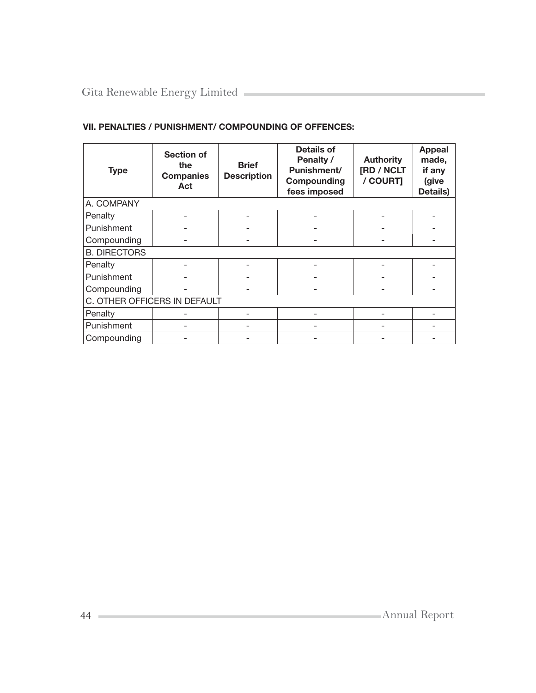| <b>Type</b>         | <b>Section of</b><br>the<br><b>Companies</b><br>Act | <b>Brief</b><br><b>Description</b> | Details of<br><b>Penalty /</b><br>Punishment/<br>Compounding<br>fees imposed | <b>Authority</b><br><b>[RD / NCLT</b><br>/ COURT] | <b>Appeal</b><br>made,<br>if any<br>(give<br>Details) |  |  |
|---------------------|-----------------------------------------------------|------------------------------------|------------------------------------------------------------------------------|---------------------------------------------------|-------------------------------------------------------|--|--|
| A. COMPANY          |                                                     |                                    |                                                                              |                                                   |                                                       |  |  |
| Penalty             |                                                     |                                    |                                                                              |                                                   |                                                       |  |  |
| Punishment          |                                                     |                                    |                                                                              |                                                   |                                                       |  |  |
| Compounding         |                                                     |                                    |                                                                              |                                                   |                                                       |  |  |
| <b>B. DIRECTORS</b> |                                                     |                                    |                                                                              |                                                   |                                                       |  |  |
| Penalty             |                                                     |                                    |                                                                              |                                                   |                                                       |  |  |
| Punishment          |                                                     |                                    |                                                                              |                                                   |                                                       |  |  |
| Compounding         |                                                     |                                    |                                                                              |                                                   |                                                       |  |  |
|                     | C. OTHER OFFICERS IN DEFAULT                        |                                    |                                                                              |                                                   |                                                       |  |  |
| Penalty             |                                                     |                                    |                                                                              |                                                   |                                                       |  |  |
| Punishment          |                                                     |                                    |                                                                              |                                                   |                                                       |  |  |
| Compounding         |                                                     |                                    |                                                                              |                                                   |                                                       |  |  |

### VII. PENALTIES / PUNISHMENT/ COMPOUNDING OF OFFENCES: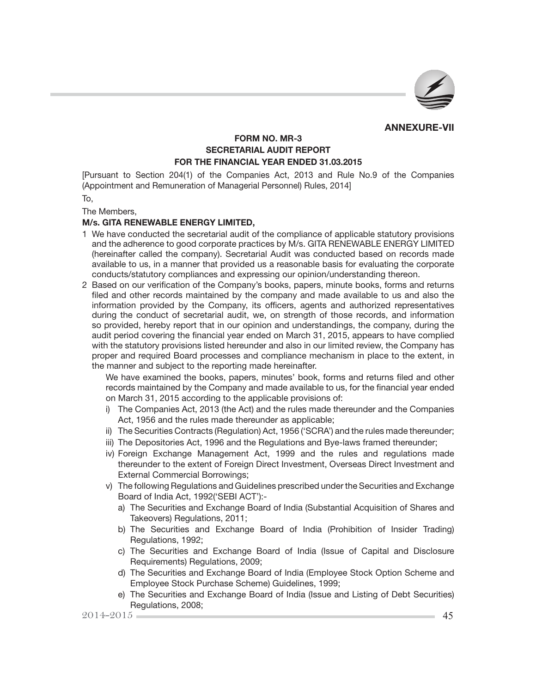

ANNEXURE-VII

### FORM NO. MR-3 SECRETARIAL AUDIT REPORT FOR THE FINANCIAL YEAR ENDED 31.03.2015

[Pursuant to Section 204(1) of the Companies Act, 2013 and Rule No.9 of the Companies (Appointment and Remuneration of Managerial Personnel) Rules, 2014]

To,

The Members,

### M/s. GITA RENEWABLE ENERGY LIMITED,

- 1 We have conducted the secretarial audit of the compliance of applicable statutory provisions and the adherence to good corporate practices by M/s. GITA RENEWABLE ENERGY LIMITED (hereinafter called the company). Secretarial Audit was conducted based on records made available to us, in a manner that provided us a reasonable basis for evaluating the corporate conducts/statutory compliances and expressing our opinion/understanding thereon.
- 2 Based on our verification of the Company's books, papers, minute books, forms and returns filed and other records maintained by the company and made available to us and also the information provided by the Company, its officers, agents and authorized representatives during the conduct of secretarial audit, we, on strength of those records, and information so provided, hereby report that in our opinion and understandings, the company, during the audit period covering the financial year ended on March 31, 2015, appears to have complied with the statutory provisions listed hereunder and also in our limited review, the Company has proper and required Board processes and compliance mechanism in place to the extent, in the manner and subject to the reporting made hereinafter.

We have examined the books, papers, minutes' book, forms and returns filed and other records maintained by the Company and made available to us, for the financial year ended on March 31, 2015 according to the applicable provisions of:

- i) The Companies Act, 2013 (the Act) and the rules made thereunder and the Companies Act, 1956 and the rules made thereunder as applicable;
- ii) The Securities Contracts (Regulation) Act, 1956 ('SCRA') and the rules made thereunder;
- iii) The Depositories Act, 1996 and the Regulations and Bye-laws framed thereunder;
- iv) Foreign Exchange Management Act, 1999 and the rules and regulations made thereunder to the extent of Foreign Direct Investment, Overseas Direct Investment and External Commercial Borrowings;
- v) The following Regulations and Guidelines prescribed under the Securities and Exchange Board of India Act, 1992('SEBI ACT'):
	- a) The Securities and Exchange Board of India (Substantial Acquisition of Shares and Takeovers) Regulations, 2011;
	- b) The Securities and Exchange Board of India (Prohibition of Insider Trading) Regulations, 1992;
	- c) The Securities and Exchange Board of India (Issue of Capital and Disclosure Requirements) Regulations, 2009;
	- d) The Securities and Exchange Board of India (Employee Stock Option Scheme and Employee Stock Purchase Scheme) Guidelines, 1999;
	- e) The Securities and Exchange Board of India (Issue and Listing of Debt Securities) Regulations, 2008;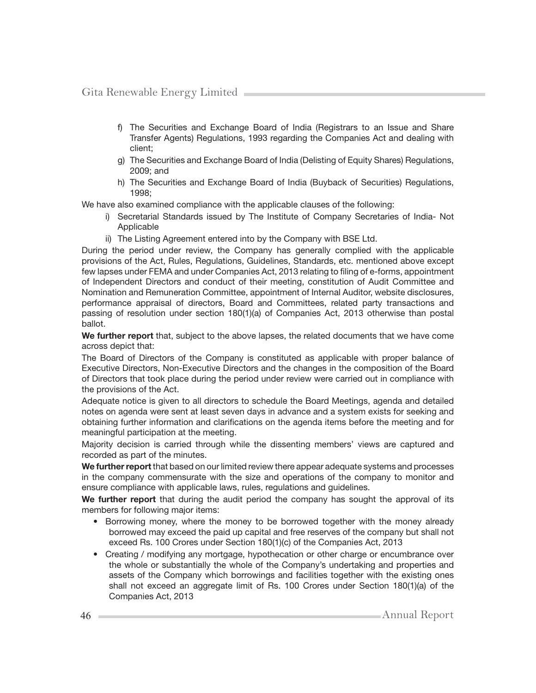- f) The Securities and Exchange Board of India (Registrars to an Issue and Share Transfer Agents) Regulations, 1993 regarding the Companies Act and dealing with client;
- g) The Securities and Exchange Board of India (Delisting of Equity Shares) Regulations, 2009; and
- h) The Securities and Exchange Board of India (Buyback of Securities) Regulations, 1998;

We have also examined compliance with the applicable clauses of the following:

- i) Secretarial Standards issued by The Institute of Company Secretaries of India- Not Applicable
- ii) The Listing Agreement entered into by the Company with BSE Ltd.

During the period under review, the Company has generally complied with the applicable provisions of the Act, Rules, Regulations, Guidelines, Standards, etc. mentioned above except few lapses under FEMA and under Companies Act, 2013 relating to filing of e-forms, appointment of Independent Directors and conduct of their meeting, constitution of Audit Committee and Nomination and Remuneration Committee, appointment of Internal Auditor, website disclosures, performance appraisal of directors, Board and Committees, related party transactions and passing of resolution under section 180(1)(a) of Companies Act, 2013 otherwise than postal ballot.

We further report that, subject to the above lapses, the related documents that we have come across depict that:

The Board of Directors of the Company is constituted as applicable with proper balance of Executive Directors, Non-Executive Directors and the changes in the composition of the Board of Directors that took place during the period under review were carried out in compliance with the provisions of the Act.

Adequate notice is given to all directors to schedule the Board Meetings, agenda and detailed notes on agenda were sent at least seven days in advance and a system exists for seeking and obtaining further information and clarifications on the agenda items before the meeting and for meaningful participation at the meeting.

Majority decision is carried through while the dissenting members' views are captured and recorded as part of the minutes.

We further report that based on our limited review there appear adequate systems and processes in the company commensurate with the size and operations of the company to monitor and ensure compliance with applicable laws, rules, regulations and guidelines.

We further report that during the audit period the company has sought the approval of its members for following major items:

- Borrowing money, where the money to be borrowed together with the money already borrowed may exceed the paid up capital and free reserves of the company but shall not exceed Rs. 100 Crores under Section 180(1)(c) of the Companies Act, 2013
- Creating / modifying any mortgage, hypothecation or other charge or encumbrance over the whole or substantially the whole of the Company's undertaking and properties and assets of the Company which borrowings and facilities together with the existing ones shall not exceed an aggregate limit of Rs. 100 Crores under Section 180(1)(a) of the Companies Act, 2013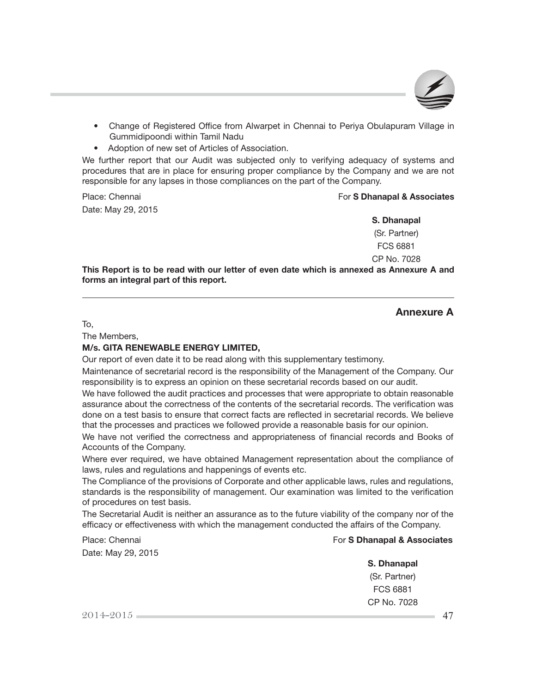

- Change of Registered Office from Alwarpet in Chennai to Periya Obulapuram Village in Gummidipoondi within Tamil Nadu
- Adoption of new set of Articles of Association.

We further report that our Audit was subjected only to verifying adequacy of systems and procedures that are in place for ensuring proper compliance by the Company and we are not responsible for any lapses in those compliances on the part of the Company.

Date: May 29, 2015

Place: Chennai **For S Dhanapal & Associates** 

S. Dhanapal (Sr. Partner) FCS 6881 CP No. 7028

This Report is to be read with our letter of even date which is annexed as Annexure A and forms an integral part of this report.

### Annexure A

To,

The Members,

#### M/s. GITA RENEWABLE ENERGY LIMITED,

Our report of even date it to be read along with this supplementary testimony.

Maintenance of secretarial record is the responsibility of the Management of the Company. Our responsibility is to express an opinion on these secretarial records based on our audit.

We have followed the audit practices and processes that were appropriate to obtain reasonable assurance about the correctness of the contents of the secretarial records. The verification was done on a test basis to ensure that correct facts are reflected in secretarial records. We believe that the processes and practices we followed provide a reasonable basis for our opinion.

We have not verified the correctness and appropriateness of financial records and Books of Accounts of the Company.

Where ever required, we have obtained Management representation about the compliance of laws, rules and regulations and happenings of events etc.

The Compliance of the provisions of Corporate and other applicable laws, rules and regulations, standards is the responsibility of management. Our examination was limited to the verification of procedures on test basis.

The Secretarial Audit is neither an assurance as to the future viability of the company nor of the efficacy or effectiveness with which the management conducted the affairs of the Company.

Date: May 29, 2015

#### Place: Chennai **For S Dhanapal & Associates**

S. Dhanapal (Sr. Partner) FCS 6881 CP No. 7028

2014-2015 47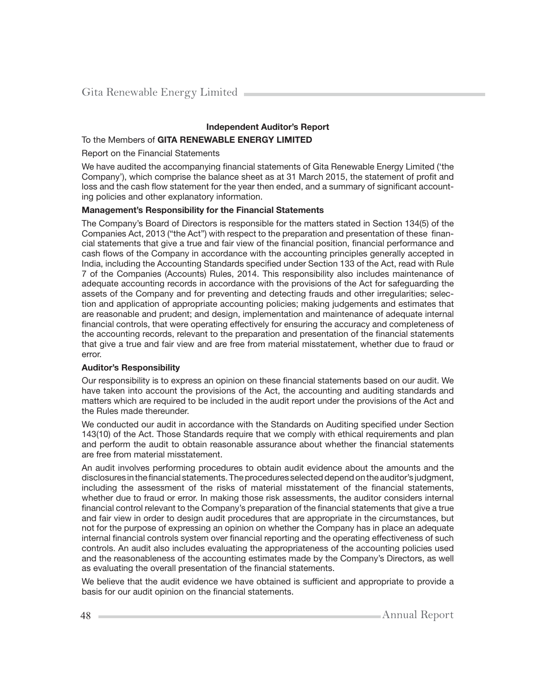### Independent Auditor's Report

### To the Members of GITA RENEWABLE ENERGY LIMITED

Report on the Financial Statements

We have audited the accompanying financial statements of Gita Renewable Energy Limited ('the Company'), which comprise the balance sheet as at 31 March 2015, the statement of profit and loss and the cash flow statement for the year then ended, and a summary of significant accounting policies and other explanatory information.

#### Management's Responsibility for the Financial Statements

The Company's Board of Directors is responsible for the matters stated in Section 134(5) of the Companies Act, 2013 ("the Act") with respect to the preparation and presentation of these financial statements that give a true and fair view of the financial position, financial performance and cash flows of the Company in accordance with the accounting principles generally accepted in India, including the Accounting Standards specified under Section 133 of the Act, read with Rule 7 of the Companies (Accounts) Rules, 2014. This responsibility also includes maintenance of adequate accounting records in accordance with the provisions of the Act for safeguarding the assets of the Company and for preventing and detecting frauds and other irregularities; selection and application of appropriate accounting policies; making judgements and estimates that are reasonable and prudent; and design, implementation and maintenance of adequate internal financial controls, that were operating effectively for ensuring the accuracy and completeness of the accounting records, relevant to the preparation and presentation of the financial statements that give a true and fair view and are free from material misstatement, whether due to fraud or error.

#### Auditor's Responsibility

Our responsibility is to express an opinion on these financial statements based on our audit. We have taken into account the provisions of the Act, the accounting and auditing standards and matters which are required to be included in the audit report under the provisions of the Act and the Rules made thereunder.

We conducted our audit in accordance with the Standards on Auditing specified under Section 143(10) of the Act. Those Standards require that we comply with ethical requirements and plan and perform the audit to obtain reasonable assurance about whether the financial statements are free from material misstatement.

An audit involves performing procedures to obtain audit evidence about the amounts and the disclosures in the financial statements. The procedures selected depend on the auditor's judgment, including the assessment of the risks of material misstatement of the financial statements, whether due to fraud or error. In making those risk assessments, the auditor considers internal financial control relevant to the Company's preparation of the financial statements that give a true and fair view in order to design audit procedures that are appropriate in the circumstances, but not for the purpose of expressing an opinion on whether the Company has in place an adequate internal financial controls system over financial reporting and the operating effectiveness of such controls. An audit also includes evaluating the appropriateness of the accounting policies used and the reasonableness of the accounting estimates made by the Company's Directors, as well as evaluating the overall presentation of the financial statements.

We believe that the audit evidence we have obtained is sufficient and appropriate to provide a basis for our audit opinion on the financial statements.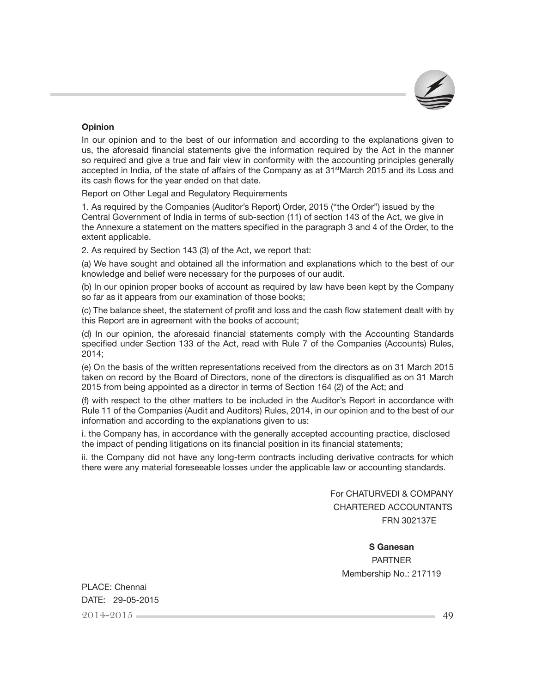

#### **Opinion**

In our opinion and to the best of our information and according to the explanations given to us, the aforesaid financial statements give the information required by the Act in the manner so required and give a true and fair view in conformity with the accounting principles generally accepted in India, of the state of affairs of the Company as at 31<sup>st</sup>March 2015 and its Loss and its cash flows for the year ended on that date.

Report on Other Legal and Regulatory Requirements

1. As required by the Companies (Auditor's Report) Order, 2015 ("the Order") issued by the Central Government of India in terms of sub-section (11) of section 143 of the Act, we give in the Annexure a statement on the matters specified in the paragraph 3 and 4 of the Order, to the extent applicable.

2. As required by Section 143 (3) of the Act, we report that:

(a) We have sought and obtained all the information and explanations which to the best of our knowledge and belief were necessary for the purposes of our audit.

(b) In our opinion proper books of account as required by law have been kept by the Company so far as it appears from our examination of those books;

(c) The balance sheet, the statement of profit and loss and the cash flow statement dealt with by this Report are in agreement with the books of account;

(d) In our opinion, the aforesaid financial statements comply with the Accounting Standards specified under Section 133 of the Act, read with Rule 7 of the Companies (Accounts) Rules, 2014;

(e) On the basis of the written representations received from the directors as on 31 March 2015 taken on record by the Board of Directors, none of the directors is disqualified as on 31 March 2015 from being appointed as a director in terms of Section 164 (2) of the Act; and

(f) with respect to the other matters to be included in the Auditor's Report in accordance with Rule 11 of the Companies (Audit and Auditors) Rules, 2014, in our opinion and to the best of our information and according to the explanations given to us:

i. the Company has, in accordance with the generally accepted accounting practice, disclosed the impact of pending litigations on its financial position in its financial statements;

ii. the Company did not have any long-term contracts including derivative contracts for which there were any material foreseeable losses under the applicable law or accounting standards.

> For CHATURVEDI & COMPANY CHARTERED ACCOUNTANTS FRN 302137E

S Ganesan PARTNER Membership No.: 217119

2014-2015 49 PLACE: Chennai DATE: 29-05-2015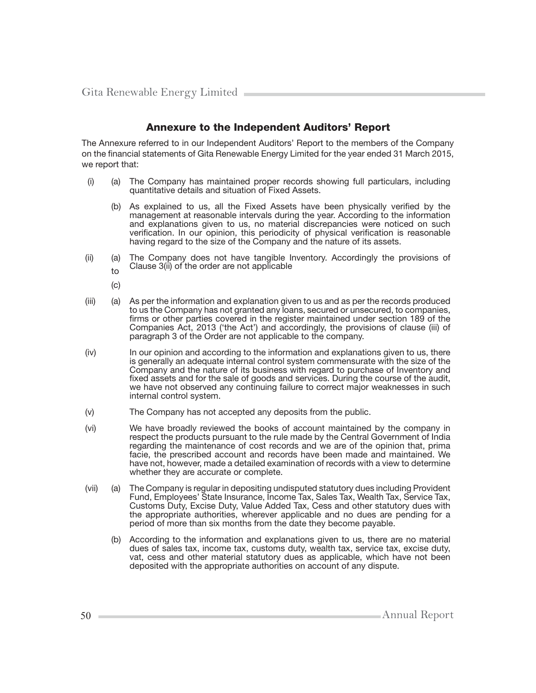### Annexure to the Independent Auditors' Report

The Annexure referred to in our Independent Auditors' Report to the members of the Company on the financial statements of Gita Renewable Energy Limited for the year ended 31 March 2015, we report that:

- (i) (a) The Company has maintained proper records showing full particulars, including quantitative details and situation of Fixed Assets.
	- (b) As explained to us, all the Fixed Assets have been physically verified by the management at reasonable intervals during the year. According to the information and explanations given to us, no material discrepancies were noticed on such verification. In our opinion, this periodicity of physical verification is reasonable having regard to the size of the Company and the nature of its assets.
- (ii) (a) to The Company does not have tangible Inventory. Accordingly the provisions of Clause 3(ii) of the order are not applicable
	- (c)
- (iii) (a) As per the information and explanation given to us and as per the records produced to us the Company has not granted any loans, secured or unsecured, to companies, firms or other parties covered in the register maintained under section 189 of the Companies Act, 2013 ('the Act') and accordingly, the provisions of clause (iii) of paragraph 3 of the Order are not applicable to the company.
- (iv) In our opinion and according to the information and explanations given to us, there is generally an adequate internal control system commensurate with the size of the Company and the nature of its business with regard to purchase of Inventory and fixed assets and for the sale of goods and services. During the course of the audit, we have not observed any continuing failure to correct major weaknesses in such internal control system.
- (v) The Company has not accepted any deposits from the public.
- (vi) We have broadly reviewed the books of account maintained by the company in respect the products pursuant to the rule made by the Central Government of India regarding the maintenance of cost records and we are of the opinion that, prima facie, the prescribed account and records have been made and maintained. We have not, however, made a detailed examination of records with a view to determine whether they are accurate or complete.
- (vii) (a) The Company is regular in depositing undisputed statutory dues including Provident Fund, Employees' State Insurance, Income Tax, Sales Tax, Wealth Tax, Service Tax, Customs Duty, Excise Duty, Value Added Tax, Cess and other statutory dues with the appropriate authorities, wherever applicable and no dues are pending for a period of more than six months from the date they become payable.
	- (b) According to the information and explanations given to us, there are no material dues of sales tax, income tax, customs duty, wealth tax, service tax, excise duty, vat, cess and other material statutory dues as applicable, which have not been deposited with the appropriate authorities on account of any dispute.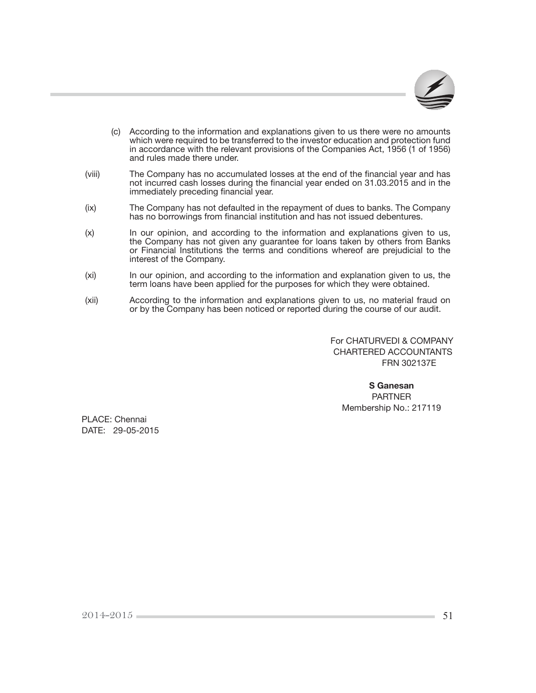

- (c) According to the information and explanations given to us there were no amounts which were required to be transferred to the investor education and protection fund in accordance with the relevant provisions of the Companies Act, 1956 (1 of 1956) and rules made there under.
- (viii) The Company has no accumulated losses at the end of the financial year and has not incurred cash losses during the financial year ended on 31.03.2015 and in the immediately preceding financial year.
- (ix) The Company has not defaulted in the repayment of dues to banks. The Company has no borrowings from financial institution and has not issued debentures.
- (x) In our opinion, and according to the information and explanations given to us, the Company has not given any guarantee for loans taken by others from Banks or Financial Institutions the terms and conditions whereof are prejudicial to the interest of the Company.
- (xi) In our opinion, and according to the information and explanation given to us, the term loans have been applied for the purposes for which they were obtained.
- (xii) According to the information and explanations given to us, no material fraud on or by the Company has been noticed or reported during the course of our audit.

For CHATURVEDI & COMPANY CHARTERED ACCOUNTANTS FRN 302137E

S Ganesan PARTNER Membership No.: 217119

PLACE: Chennai DATE: 29-05-2015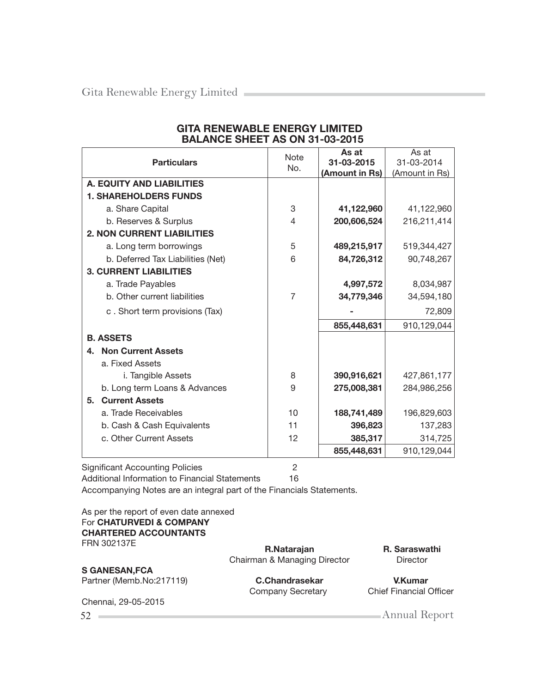|                                   | Note           | As at          | As at          |
|-----------------------------------|----------------|----------------|----------------|
| <b>Particulars</b>                | No.            | 31-03-2015     | 31-03-2014     |
|                                   |                | (Amount in Rs) | (Amount in Rs) |
| <b>A. EQUITY AND LIABILITIES</b>  |                |                |                |
| <b>1. SHAREHOLDERS FUNDS</b>      |                |                |                |
| a. Share Capital                  | 3              | 41,122,960     | 41,122,960     |
| b. Reserves & Surplus             | 4              | 200,606,524    | 216,211,414    |
| <b>2. NON CURRENT LIABILITIES</b> |                |                |                |
| a. Long term borrowings           | 5              | 489,215,917    | 519,344,427    |
| b. Deferred Tax Liabilities (Net) | 6              | 84,726,312     | 90,748,267     |
| <b>3. CURRENT LIABILITIES</b>     |                |                |                |
| a. Trade Payables                 |                | 4,997,572      | 8,034,987      |
| b. Other current liabilities      | $\overline{7}$ | 34,779,346     | 34,594,180     |
| c. Short term provisions (Tax)    |                |                | 72,809         |
|                                   |                | 855,448,631    | 910,129,044    |
| <b>B. ASSETS</b>                  |                |                |                |
| <b>Non Current Assets</b><br>4.   |                |                |                |
| a. Fixed Assets                   |                |                |                |
| i. Tangible Assets                | 8              | 390,916,621    | 427,861,177    |
| b. Long term Loans & Advances     | 9              | 275,008,381    | 284,986,256    |
| <b>Current Assets</b><br>5.       |                |                |                |
| a. Trade Receivables              | 10             | 188,741,489    | 196,829,603    |
| b. Cash & Cash Equivalents        | 11             | 396,823        | 137,283        |
| c. Other Current Assets           | 12             | 385,317        | 314,725        |
|                                   |                | 855,448,631    | 910,129,044    |

### GITA RENEWABLE ENERGY LIMITED BALANCE SHEET AS ON 31-03-2015

Significant Accounting Policies 2

Additional Information to Financial Statements 16

Accompanying Notes are an integral part of the Financials Statements.

As per the report of even date annexed For CHATURVEDI & COMPANY CHARTERED ACCOUNTANTS FRN 302137E

R.Natarajan R. Saraswathi Chairman & Managing Director Director

### S GANESAN,FCA

Partner (Memb.No:217119) **C.Chandrasekar** V.Kumar Company Secretary Chief Financial Officer

Chennai, 29-05-2015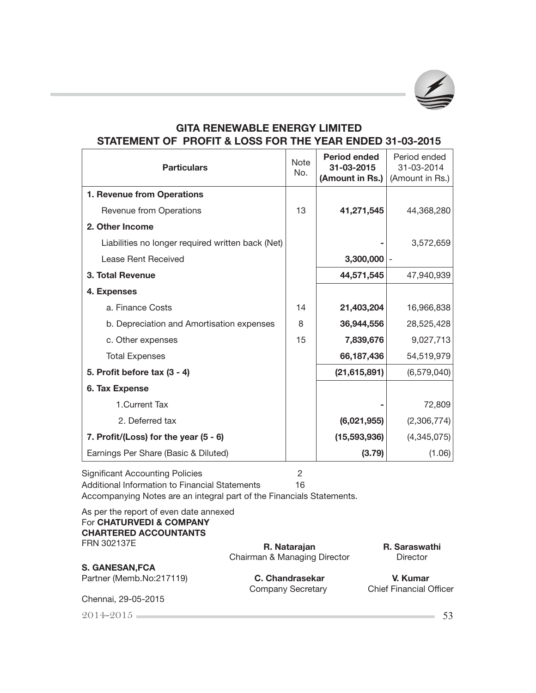

### GITA RENEWABLE ENERGY LIMITED STATEMENT OF PROFIT & LOSS FOR THE YEAR ENDED 31-03-2015

| <b>Particulars</b>                                | <b>Note</b><br>No. | <b>Period ended</b><br>31-03-2015<br>(Amount in Rs.) | Period ended<br>31-03-2014<br>(Amount in Rs.) |
|---------------------------------------------------|--------------------|------------------------------------------------------|-----------------------------------------------|
| 1. Revenue from Operations                        |                    |                                                      |                                               |
| Revenue from Operations                           | 13                 | 41,271,545                                           | 44,368,280                                    |
| 2. Other Income                                   |                    |                                                      |                                               |
| Liabilities no longer required written back (Net) |                    |                                                      | 3,572,659                                     |
| Lease Rent Received                               |                    | 3,300,000                                            |                                               |
| 3. Total Revenue                                  |                    | 44,571,545                                           | 47,940,939                                    |
| 4. Expenses                                       |                    |                                                      |                                               |
| a. Finance Costs                                  | 14                 | 21,403,204                                           | 16,966,838                                    |
| b. Depreciation and Amortisation expenses         | 8                  | 36,944,556                                           | 28,525,428                                    |
| c. Other expenses                                 | 15                 | 7,839,676                                            | 9,027,713                                     |
| <b>Total Expenses</b>                             |                    | 66,187,436                                           | 54,519,979                                    |
| 5. Profit before tax (3 - 4)                      |                    | (21, 615, 891)                                       | (6, 579, 040)                                 |
| 6. Tax Expense                                    |                    |                                                      |                                               |
| 1. Current Tax                                    |                    |                                                      | 72,809                                        |
| 2. Deferred tax                                   |                    | (6,021,955)                                          | (2,306,774)                                   |
| 7. Profit/(Loss) for the year (5 - 6)             |                    | (15,593,936)                                         | (4,345,075)                                   |
| Earnings Per Share (Basic & Diluted)              |                    | (3.79)                                               | (1.06)                                        |

Significant Accounting Policies 2

Additional Information to Financial Statements 16

Accompanying Notes are an integral part of the Financials Statements.

As per the report of even date annexed For CHATURVEDI & COMPANY CHARTERED ACCOUNTANTS

FRN 302137E **R. Natarajan R. Saraswathi** Chairman & Managing Director Director

Company Secretary

Partner (Memb.No:217119) **C. Chandrasekar C. Chandrasekar** V. Kumar<br>Company Secretary Chief Financial Officer

Chennai, 29-05-2015

S. GANESAN,FCA

2014-2015 53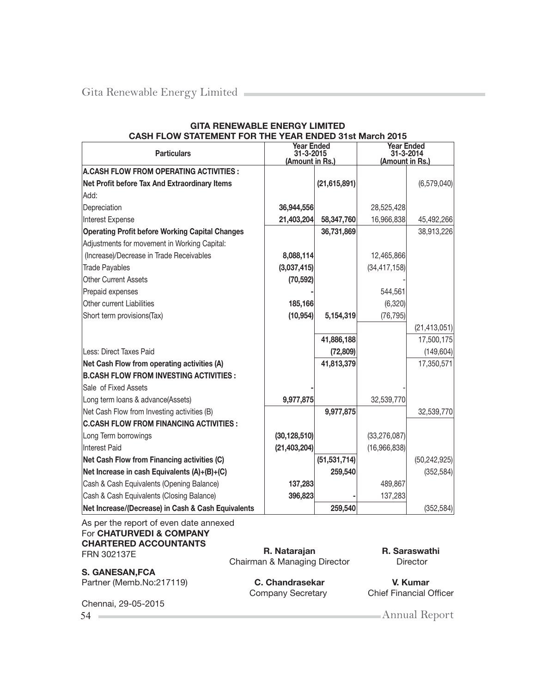| <b>Particulars</b>                                     | <b>Year Ended</b><br>31-3-2015<br>(Amount in Rs.) |                | <b>Year Ended</b><br>31-3-2014<br>(Amount in Rs.) |                |
|--------------------------------------------------------|---------------------------------------------------|----------------|---------------------------------------------------|----------------|
| <b>A.CASH FLOW FROM OPERATING ACTIVITIES:</b>          |                                                   |                |                                                   |                |
| Net Profit before Tax And Extraordinary Items          |                                                   | (21, 615, 891) |                                                   | (6, 579, 040)  |
| Add:                                                   |                                                   |                |                                                   |                |
| Depreciation                                           | 36,944,556                                        |                | 28,525,428                                        |                |
| Interest Expense                                       | 21,403,204                                        | 58,347,760     | 16,966,838                                        | 45,492,266     |
| <b>Operating Profit before Working Capital Changes</b> |                                                   | 36,731,869     |                                                   | 38,913,226     |
| Adjustments for movement in Working Capital:           |                                                   |                |                                                   |                |
| (Increase)/Decrease in Trade Receivables               | 8,088,114                                         |                | 12,465,866                                        |                |
| <b>Trade Payables</b>                                  | (3,037,415)                                       |                | (34, 417, 158)                                    |                |
| <b>Other Current Assets</b>                            | (70, 592)                                         |                |                                                   |                |
| Prepaid expenses                                       |                                                   |                | 544,561                                           |                |
| Other current Liabilities                              | 185,166                                           |                | (6, 320)                                          |                |
| Short term provisions(Tax)                             | (10, 954)                                         | 5,154,319      | (76, 795)                                         |                |
|                                                        |                                                   |                |                                                   | (21, 413, 051) |
|                                                        |                                                   | 41,886,188     |                                                   | 17,500,175     |
| Less: Direct Taxes Paid                                |                                                   | (72, 809)      |                                                   | (149, 604)     |
| Net Cash Flow from operating activities (A)            |                                                   | 41,813,379     |                                                   | 17,350,571     |
| <b>B.CASH FLOW FROM INVESTING ACTIVITIES:</b>          |                                                   |                |                                                   |                |
| Sale of Fixed Assets                                   |                                                   |                |                                                   |                |
| Long term loans & advance(Assets)                      | 9,977,875                                         |                | 32,539,770                                        |                |
| Net Cash Flow from Investing activities (B)            |                                                   | 9,977,875      |                                                   | 32,539,770     |
| <b>C.CASH FLOW FROM FINANCING ACTIVITIES:</b>          |                                                   |                |                                                   |                |
| Long Term borrowings                                   | (30, 128, 510)                                    |                | (33, 276, 087)                                    |                |
| Interest Paid                                          | (21, 403, 204)                                    |                | (16,966,838)                                      |                |
| Net Cash Flow from Financing activities (C)            |                                                   | (51, 531, 714) |                                                   | (50, 242, 925) |
| Net Increase in cash Equivalents (A)+(B)+(C)           |                                                   | 259,540        |                                                   | (352, 584)     |
| Cash & Cash Equivalents (Opening Balance)              | 137,283                                           |                | 489,867                                           |                |
| Cash & Cash Equivalents (Closing Balance)              | 396,823                                           |                | 137,283                                           |                |
| Net Increase/(Decrease) in Cash & Cash Equivalents     |                                                   | 259,540        |                                                   | (352, 584)     |

#### GITA RENEWABLE ENERGY LIMITED CASH FLOW STATEMENT FOR THE YEAR ENDED 31st March 2015

As per the report of even date annexed For CHATURVEDI & COMPANY CHARTERED ACCOUNTANTS

ERN 302137E CHARLET ACCOUNTANTER R. Natarajan R. Saraswathi<br>Chairman & Managing Director Director Director Chairman & Managing Director

Partner (Memb.No:217119) **C. Chandrasekar V. Kumar** Company Secretary Chief Financial Officer

Chennai, 29-05-2015

S. GANESAN,FCA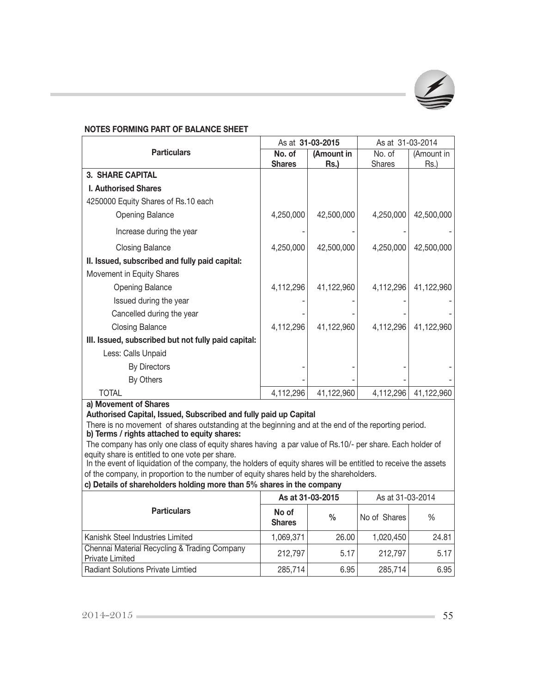

### NOTES FORMING PART OF BALANCE SHEET

|                                                     |               | As at 31-03-2015 | As at 31-03-2014 |                |
|-----------------------------------------------------|---------------|------------------|------------------|----------------|
| <b>Particulars</b>                                  | No. of        | (Amount in       | No. of           | (Amount in     |
|                                                     | <b>Shares</b> | Rs.)             | <b>Shares</b>    | $\mathsf{Rs.}$ |
| <b>3. SHARE CAPITAL</b>                             |               |                  |                  |                |
| <b>I. Authorised Shares</b>                         |               |                  |                  |                |
| 4250000 Equity Shares of Rs.10 each                 |               |                  |                  |                |
| <b>Opening Balance</b>                              | 4,250,000     | 42,500,000       | 4,250,000        | 42,500,000     |
| Increase during the year                            |               |                  |                  |                |
| <b>Closing Balance</b>                              | 4,250,000     | 42,500,000       | 4,250,000        | 42,500,000     |
| II. Issued, subscribed and fully paid capital:      |               |                  |                  |                |
| Movement in Equity Shares                           |               |                  |                  |                |
| <b>Opening Balance</b>                              | 4,112,296     | 41,122,960       | 4,112,296        | 41,122,960     |
| Issued during the year                              |               |                  |                  |                |
| Cancelled during the year                           |               |                  |                  |                |
| <b>Closing Balance</b>                              | 4,112,296     | 41,122,960       | 4,112,296        | 41,122,960     |
| III. Issued, subscribed but not fully paid capital: |               |                  |                  |                |
| Less: Calls Unpaid                                  |               |                  |                  |                |
| <b>By Directors</b>                                 |               |                  |                  |                |
| By Others                                           |               |                  |                  |                |
| <b>TOTAL</b>                                        | 4,112,296     | 41,122,960       | 4,112,296        | 41,122,960     |

#### a) Movement of Shares

### Authorised Capital, Issued, Subscribed and fully paid up Capital

 There is no movement of shares outstanding at the beginning and at the end of the reporting period. b) Terms / rights attached to equity shares:

 The company has only one class of equity shares having a par value of Rs.10/- per share. Each holder of equity share is entitled to one vote per share.

In the event of liquidation of the company, the holders of equity shares will be entitled to receive the assets of the company, in proportion to the number of equity shares held by the shareholders.

### c) Details of shareholders holding more than 5% shares in the company

|                                                                        |                        | As at 31-03-2015 | As at 31-03-2014 |       |
|------------------------------------------------------------------------|------------------------|------------------|------------------|-------|
| <b>Particulars</b>                                                     | No of<br><b>Shares</b> | $\frac{0}{0}$    | No of Shares     | %     |
| Kanishk Steel Industries Limited                                       | 1,069,371              | 26.00            | 1,020,450        | 24.81 |
| Chennai Material Recycling & Trading Company<br><b>Private Limited</b> | 212,797                | 5.17             | 212,797          | 5.17  |
| <b>Radiant Solutions Private Limtied</b>                               | 285,714                | 6.95             | 285,714          | 6.95  |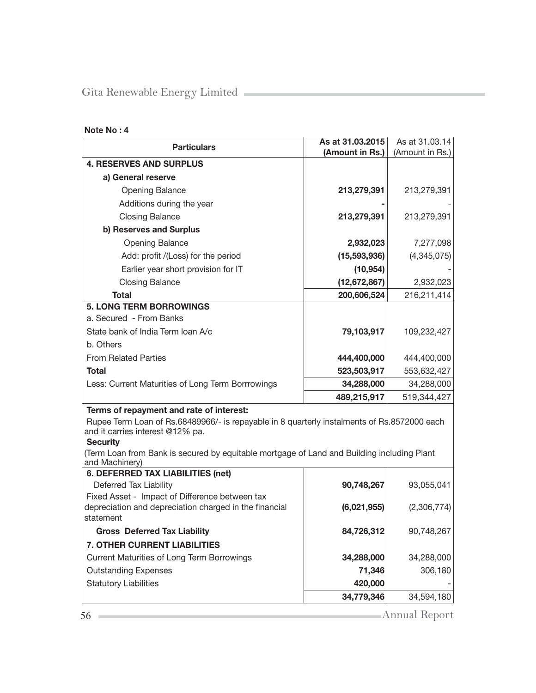### Note No : 4

| Note No: 4                                                                                                                                                                                                                                                                                                     |                                     |                                   |
|----------------------------------------------------------------------------------------------------------------------------------------------------------------------------------------------------------------------------------------------------------------------------------------------------------------|-------------------------------------|-----------------------------------|
| <b>Particulars</b>                                                                                                                                                                                                                                                                                             | As at 31.03.2015<br>(Amount in Rs.) | As at 31.03.14<br>(Amount in Rs.) |
| <b>4. RESERVES AND SURPLUS</b>                                                                                                                                                                                                                                                                                 |                                     |                                   |
| a) General reserve                                                                                                                                                                                                                                                                                             |                                     |                                   |
| <b>Opening Balance</b>                                                                                                                                                                                                                                                                                         | 213,279,391                         | 213,279,391                       |
| Additions during the year                                                                                                                                                                                                                                                                                      |                                     |                                   |
| <b>Closing Balance</b>                                                                                                                                                                                                                                                                                         | 213,279,391                         | 213,279,391                       |
| b) Reserves and Surplus                                                                                                                                                                                                                                                                                        |                                     |                                   |
| <b>Opening Balance</b>                                                                                                                                                                                                                                                                                         | 2,932,023                           | 7,277,098                         |
| Add: profit /(Loss) for the period                                                                                                                                                                                                                                                                             | (15,593,936)                        | (4,345,075)                       |
| Earlier year short provision for IT                                                                                                                                                                                                                                                                            | (10, 954)                           |                                   |
| <b>Closing Balance</b>                                                                                                                                                                                                                                                                                         | (12, 672, 867)                      | 2,932,023                         |
| <b>Total</b>                                                                                                                                                                                                                                                                                                   | 200,606,524                         | 216,211,414                       |
| <b>5. LONG TERM BORROWINGS</b>                                                                                                                                                                                                                                                                                 |                                     |                                   |
| a. Secured - From Banks                                                                                                                                                                                                                                                                                        |                                     |                                   |
| State bank of India Term Ioan A/c                                                                                                                                                                                                                                                                              | 79,103,917                          | 109,232,427                       |
| b. Others                                                                                                                                                                                                                                                                                                      |                                     |                                   |
| <b>From Related Parties</b>                                                                                                                                                                                                                                                                                    | 444,400,000                         | 444,400,000                       |
| <b>Total</b>                                                                                                                                                                                                                                                                                                   | 523,503,917                         | 553,632,427                       |
| Less: Current Maturities of Long Term Borrrowings                                                                                                                                                                                                                                                              | 34,288,000                          | 34,288,000                        |
|                                                                                                                                                                                                                                                                                                                | 489,215,917                         | 519,344,427                       |
| Terms of repayment and rate of interest:<br>Rupee Term Loan of Rs.68489966/- is repayable in 8 quarterly instalments of Rs.8572000 each<br>and it carries interest @12% pa.<br><b>Security</b><br>(Term Loan from Bank is secured by equitable mortgage of Land and Building including Plant<br>and Machinery) |                                     |                                   |
| <b>6. DEFERRED TAX LIABILITIES (net)</b>                                                                                                                                                                                                                                                                       |                                     |                                   |
| Deferred Tax Liability<br>Fixed Asset - Impact of Difference between tax                                                                                                                                                                                                                                       | 90,748,267                          | 93,055,041                        |
| depreciation and depreciation charged in the financial<br>statement                                                                                                                                                                                                                                            | (6,021,955)                         | (2,306,774)                       |
| <b>Gross Deferred Tax Liability</b>                                                                                                                                                                                                                                                                            | 84,726,312                          | 90,748,267                        |
| <b>7. OTHER CURRENT LIABILITIES</b>                                                                                                                                                                                                                                                                            |                                     |                                   |
| Current Maturities of Long Term Borrowings                                                                                                                                                                                                                                                                     | 34,288,000                          | 34,288,000                        |
| <b>Outstanding Expenses</b>                                                                                                                                                                                                                                                                                    | 71,346                              | 306,180                           |
| <b>Statutory Liabilities</b>                                                                                                                                                                                                                                                                                   | 420,000                             |                                   |
|                                                                                                                                                                                                                                                                                                                | 34,779,346                          | 34,594,180                        |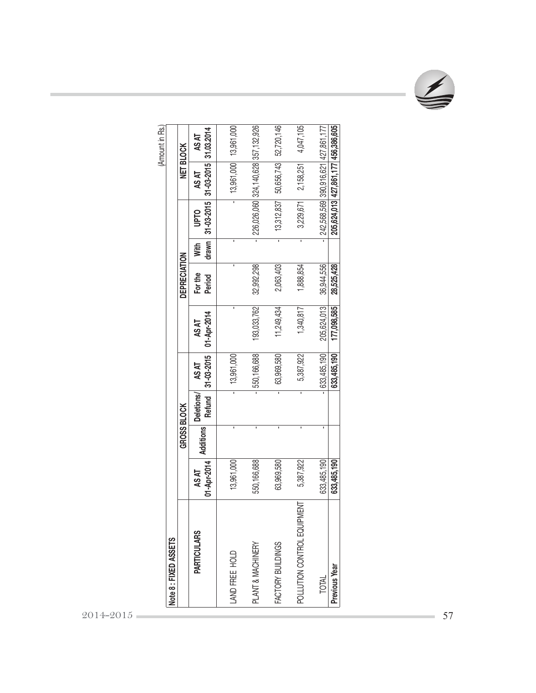

| Note 8: FIXED ASSETS        |                      |                    |                             |                           |                      |                     |               |                           |                                           | (Amount in Rs.)     |
|-----------------------------|----------------------|--------------------|-----------------------------|---------------------------|----------------------|---------------------|---------------|---------------------------|-------------------------------------------|---------------------|
|                             |                      | <b>GROSS BLOCK</b> |                             |                           |                      | <b>DEPRECIATION</b> |               |                           |                                           | <b>NET BLOCK</b>    |
| <b>PARTICULARS</b>          | 01-Apr-2014<br>AS AT | <b>Additions</b>   | Deletions/<br><b>Refund</b> | $31 - 03 - 2015$<br>AS AT | 01-Apr-2014<br>AS AT | For the<br>Period   | drawn<br>With | 31-03-2015<br><b>UPTO</b> | $31 - 03 - 2015$<br>AS AT                 | 31.03.2014<br>AS AT |
| LAND FREE HOLD              | 13,961,000           | I,                 | T                           | 13,961,000                |                      | ı                   | I,            |                           | 13,961,000 13,961,000                     |                     |
| PLANT & MACHINERY           | 550,166,688          | J.                 |                             | 550,166,688               | 193,033,762          | 32,992,298          | Ŧ             |                           | 226,026,060 324,140,628 357,132,926       |                     |
| FACTORY BUILDINGS           | 63,969,580           | I.                 | T                           | 63,969,580                | 11,249,434           | 2,063,403           | Ŧ             | 13,312,837                | 50,656,743                                | 52,720,146          |
| POLLUTION CONTROL EQUIPMENT | 5,387,922            | ı,                 | T                           | 5,387,922                 | 1,340,817            | 1,888,854           | T             | 3,229,671                 | 2,158,251                                 | 4,047,105           |
| <b>TOTAL</b>                | 633,485,190          | $\blacksquare$     |                             | 633,485,190               | 205,624,013          | 36,944,556          | T             |                           | 242,568,569 390,916,621 427,861,177       |                     |
| Previous Year               | 633,485,190          |                    |                             | 633,485,190               | 177,098,585          | 28,525,428          |               |                           | 205, 624, 013 427, 861, 177 456, 386, 605 |                     |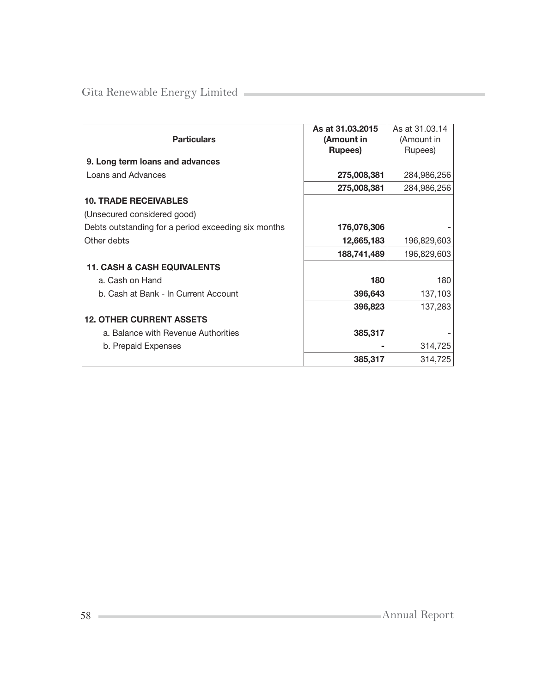|                                                     | As at 31.03.2015 | As at 31.03.14 |
|-----------------------------------------------------|------------------|----------------|
| <b>Particulars</b>                                  | (Amount in       | (Amount in     |
|                                                     | <b>Rupees)</b>   | Rupees)        |
| 9. Long term loans and advances                     |                  |                |
| Loans and Advances                                  | 275,008,381      | 284,986,256    |
|                                                     | 275,008,381      | 284,986,256    |
| <b>10. TRADE RECEIVABLES</b>                        |                  |                |
| (Unsecured considered good)                         |                  |                |
| Debts outstanding for a period exceeding six months | 176,076,306      |                |
| Other debts                                         | 12,665,183       | 196,829,603    |
|                                                     | 188,741,489      | 196,829,603    |
| <b>11. CASH &amp; CASH EQUIVALENTS</b>              |                  |                |
| a. Cash on Hand                                     | 180              | 180            |
| b. Cash at Bank - In Current Account                | 396,643          | 137,103        |
|                                                     | 396,823          | 137,283        |
| <b>12. OTHER CURRENT ASSETS</b>                     |                  |                |
| a. Balance with Revenue Authorities                 | 385,317          |                |
| b. Prepaid Expenses                                 |                  | 314,725        |
|                                                     | 385,317          | 314,725        |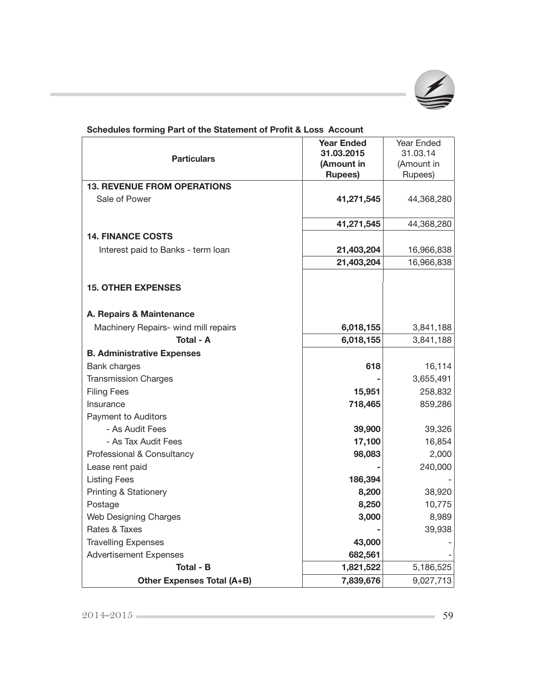

### **Particulars** Year Ended 31.03.2015 (Amount in Rupees) Year Ended 31.03.14 (Amount in Rupees) 13. REVENUE FROM OPERATIONS Sale of Power 2012 2020 2020 2020 2020 2020 2030 2041, 271, 545 2030 44, 368, 280 41,271,545 44,368,280 14. FINANCE COSTS Interest paid to Banks - term loan 21,403,204 16,966,838 21,403,204 16,966,838 15. OTHER EXPENSES A. Repairs & Maintenance Machinery Repairs- wind mill repairs **6,018,155** 6,018,155 Total - A 6,018,155 3,841,188 B. Administrative Expenses Bank charges **618** 16,114 Transmission Charges - 3,655,491 Filing Fees 258,832 Insurance 859,286 859,286 Payment to Auditors - As Audit Fees 39,900 39,326 - As Tax Audit Fees 17,100 16,854 Professional & Consultancy **2,000 98,083** 2,000 Lease rent paid  $\vert$  240,000 Listing Fees **186,394** Printing & Stationery **8,200** 38,920 38,920 Postage 8,250 10,775 Web Designing Charges **3,000** 8,989 Rates & Taxes - 39,938 Travelling Expenses **43,000** Advertisement Expenses **682,561** Total - B 1,821,522 5,186,525 **Other Expenses Total (A+B)** 7,839,676 9,027,713

#### Schedules forming Part of the Statement of Profit & Loss Account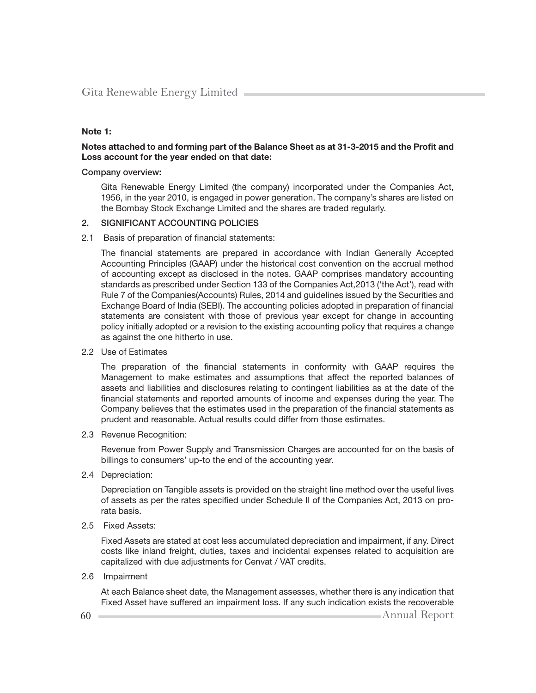#### Note 1:

### Notes attached to and forming part of the Balance Sheet as at 31-3-2015 and the Profit and Loss account for the year ended on that date:

#### Company overview:

 Gita Renewable Energy Limited (the company) incorporated under the Companies Act, 1956, in the year 2010, is engaged in power generation. The company's shares are listed on the Bombay Stock Exchange Limited and the shares are traded regularly.

### 2. SIGNIFICANT ACCOUNTING POLICIES

2.1 Basis of preparation of financial statements:

The financial statements are prepared in accordance with Indian Generally Accepted Accounting Principles (GAAP) under the historical cost convention on the accrual method of accounting except as disclosed in the notes. GAAP comprises mandatory accounting standards as prescribed under Section 133 of the Companies Act,2013 ('the Act'), read with Rule 7 of the Companies(Accounts) Rules, 2014 and guidelines issued by the Securities and Exchange Board of India (SEBI). The accounting policies adopted in preparation of financial statements are consistent with those of previous year except for change in accounting policy initially adopted or a revision to the existing accounting policy that requires a change as against the one hitherto in use.

2.2 Use of Estimates

The preparation of the financial statements in conformity with GAAP requires the Management to make estimates and assumptions that affect the reported balances of assets and liabilities and disclosures relating to contingent liabilities as at the date of the financial statements and reported amounts of income and expenses during the year. The Company believes that the estimates used in the preparation of the financial statements as prudent and reasonable. Actual results could differ from those estimates.

2.3 Revenue Recognition:

 Revenue from Power Supply and Transmission Charges are accounted for on the basis of billings to consumers' up-to the end of the accounting year.

2.4 Depreciation:

 Depreciation on Tangible assets is provided on the straight line method over the useful lives of assets as per the rates specified under Schedule II of the Companies Act, 2013 on prorata basis.

2.5 Fixed Assets:

 Fixed Assets are stated at cost less accumulated depreciation and impairment, if any. Direct costs like inland freight, duties, taxes and incidental expenses related to acquisition are capitalized with due adjustments for Cenvat / VAT credits.

2.6 Impairment

 At each Balance sheet date, the Management assesses, whether there is any indication that Fixed Asset have suffered an impairment loss. If any such indication exists the recoverable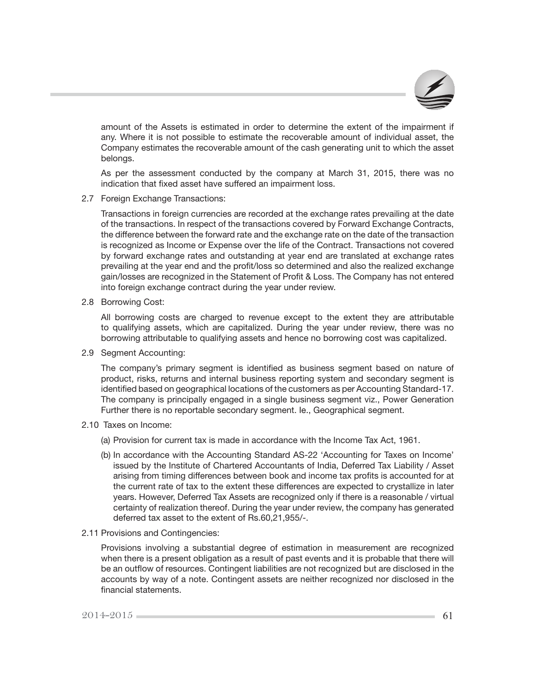

amount of the Assets is estimated in order to determine the extent of the impairment if any. Where it is not possible to estimate the recoverable amount of individual asset, the Company estimates the recoverable amount of the cash generating unit to which the asset belongs.

 As per the assessment conducted by the company at March 31, 2015, there was no indication that fixed asset have suffered an impairment loss.

2.7 Foreign Exchange Transactions:

 Transactions in foreign currencies are recorded at the exchange rates prevailing at the date of the transactions. In respect of the transactions covered by Forward Exchange Contracts, the difference between the forward rate and the exchange rate on the date of the transaction is recognized as Income or Expense over the life of the Contract. Transactions not covered by forward exchange rates and outstanding at year end are translated at exchange rates prevailing at the year end and the profit/loss so determined and also the realized exchange gain/losses are recognized in the Statement of Profit & Loss. The Company has not entered into foreign exchange contract during the year under review.

2.8 Borrowing Cost:

 All borrowing costs are charged to revenue except to the extent they are attributable to qualifying assets, which are capitalized. During the year under review, there was no borrowing attributable to qualifying assets and hence no borrowing cost was capitalized.

2.9 Segment Accounting:

The company's primary segment is identified as business segment based on nature of product, risks, returns and internal business reporting system and secondary segment is identified based on geographical locations of the customers as per Accounting Standard-17. The company is principally engaged in a single business segment viz., Power Generation Further there is no reportable secondary segment. Ie., Geographical segment.

- 2.10 Taxes on Income:
	- (a) Provision for current tax is made in accordance with the Income Tax Act, 1961.
	- (b) In accordance with the Accounting Standard AS-22 'Accounting for Taxes on Income' issued by the Institute of Chartered Accountants of India, Deferred Tax Liability / Asset arising from timing differences between book and income tax profits is accounted for at the current rate of tax to the extent these differences are expected to crystallize in later years. However, Deferred Tax Assets are recognized only if there is a reasonable / virtual certainty of realization thereof. During the year under review, the company has generated deferred tax asset to the extent of Rs.60,21,955/-.
- 2.11 Provisions and Contingencies:

 Provisions involving a substantial degree of estimation in measurement are recognized when there is a present obligation as a result of past events and it is probable that there will be an outflow of resources. Contingent liabilities are not recognized but are disclosed in the accounts by way of a note. Contingent assets are neither recognized nor disclosed in the financial statements.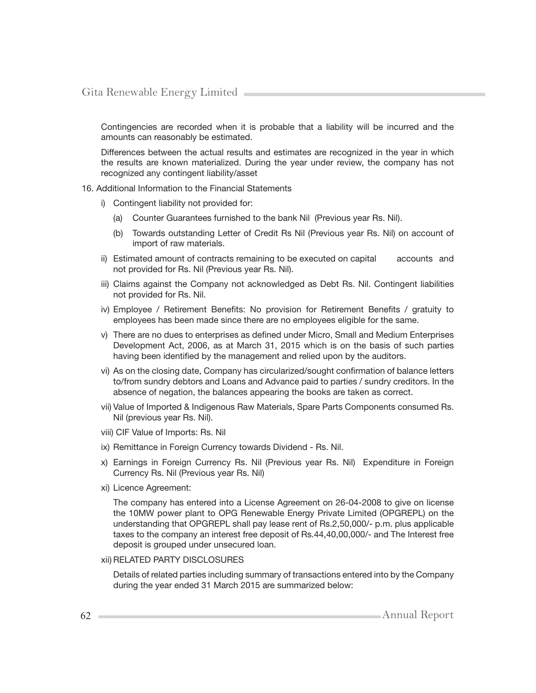Contingencies are recorded when it is probable that a liability will be incurred and the amounts can reasonably be estimated.

 Differences between the actual results and estimates are recognized in the year in which the results are known materialized. During the year under review, the company has not recognized any contingent liability/asset

#### 16. Additional Information to the Financial Statements

- i) Contingent liability not provided for:
	- (a) Counter Guarantees furnished to the bank Nil (Previous year Rs. Nil).
	- (b) Towards outstanding Letter of Credit Rs Nil (Previous year Rs. Nil) on account of import of raw materials.
- ii) Estimated amount of contracts remaining to be executed on capital accounts and not provided for Rs. Nil (Previous year Rs. Nil).
- iii) Claims against the Company not acknowledged as Debt Rs. Nil. Contingent liabilities not provided for Rs. Nil.
- iv) Employee / Retirement Benefits: No provision for Retirement Benefits / gratuity to employees has been made since there are no employees eligible for the same.
- v) There are no dues to enterprises as defined under Micro, Small and Medium Enterprises Development Act, 2006, as at March 31, 2015 which is on the basis of such parties having been identified by the management and relied upon by the auditors.
- vi) As on the closing date, Company has circularized/sought confirmation of balance letters to/from sundry debtors and Loans and Advance paid to parties / sundry creditors. In the absence of negation, the balances appearing the books are taken as correct.
- vii) Value of Imported & Indigenous Raw Materials, Spare Parts Components consumed Rs. Nil (previous year Rs. Nil).
- viii) CIF Value of Imports: Rs. Nil
- ix) Remittance in Foreign Currency towards Dividend Rs. Nil.
- x) Earnings in Foreign Currency Rs. Nil (Previous year Rs. Nil) Expenditure in Foreign Currency Rs. Nil (Previous year Rs. Nil)
- xi) Licence Agreement:

 The company has entered into a License Agreement on 26-04-2008 to give on license the 10MW power plant to OPG Renewable Energy Private Limited (OPGREPL) on the understanding that OPGREPL shall pay lease rent of Rs.2,50,000/- p.m. plus applicable taxes to the company an interest free deposit of Rs.44,40,00,000/- and The Interest free deposit is grouped under unsecured loan.

xii) RELATED PARTY DISCLOSURES

 Details of related parties including summary of transactions entered into by the Company during the year ended 31 March 2015 are summarized below: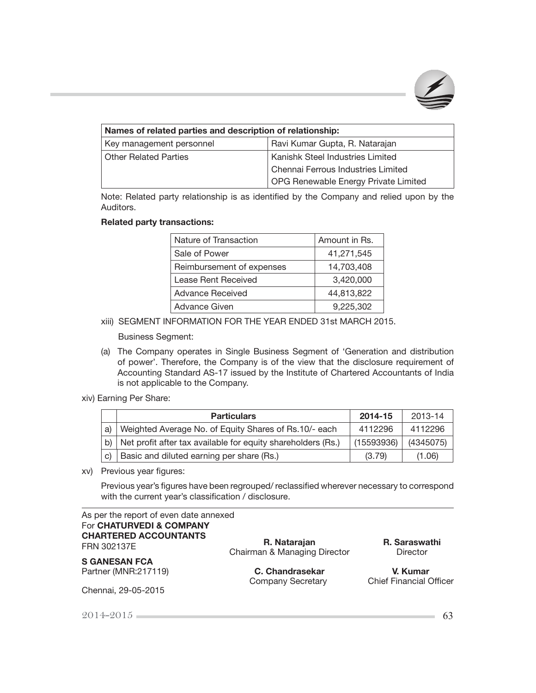

| Names of related parties and description of relationship: |                                      |
|-----------------------------------------------------------|--------------------------------------|
| Key management personnel                                  | Ravi Kumar Gupta, R. Natarajan       |
| <b>Other Related Parties</b>                              | Kanishk Steel Industries Limited     |
|                                                           | Chennai Ferrous Industries Limited   |
|                                                           | OPG Renewable Energy Private Limited |

Note: Related party relationship is as identified by the Company and relied upon by the Auditors.

### Related party transactions:

| Nature of Transaction     | Amount in Rs. |
|---------------------------|---------------|
| Sale of Power             | 41,271,545    |
| Reimbursement of expenses | 14,703,408    |
| Lease Rent Received       | 3,420,000     |
| Advance Received          | 44,813,822    |
| <b>Advance Given</b>      | 9,225,302     |

xiii) SEGMENT INFORMATION FOR THE YEAR ENDED 31st MARCH 2015.

Business Segment:

- (a) The Company operates in Single Business Segment of 'Generation and distribution of power'. Therefore, the Company is of the view that the disclosure requirement of Accounting Standard AS-17 issued by the Institute of Chartered Accountants of India is not applicable to the Company.
- xiv) Earning Per Share:

|    | <b>Particulars</b>                                           | 2014-15    | 2013-14   |
|----|--------------------------------------------------------------|------------|-----------|
| a) | Weighted Average No. of Equity Shares of Rs.10/- each        | 4112296    | 4112296   |
| b) | Net profit after tax available for equity shareholders (Rs.) | (15593936) | (4345075) |
| C) | Basic and diluted earning per share (Rs.)                    | (3.79)     | (1.06)    |

xv) Previous year figures:

Previous year's figures have been regrouped/ reclassified wherever necessary to correspond with the current year's classification / disclosure.

| As per the report of even date annexed             |                                              |                                            |
|----------------------------------------------------|----------------------------------------------|--------------------------------------------|
| For CHATURVEDI & COMPANY                           |                                              |                                            |
| <b>CHARTERED ACCOUNTANTS</b><br><b>FRN 302137E</b> | R. Natarajan<br>Chairman & Managing Director | R. Saraswathi<br><b>Director</b>           |
| <b>S GANESAN FCA</b>                               |                                              |                                            |
| Partner (MNR: 217119)                              | C. Chandrasekar<br>Company Secretary         | V. Kumar<br><b>Chief Financial Officer</b> |
| Chennai, 29-05-2015                                |                                              |                                            |

2014-2015 63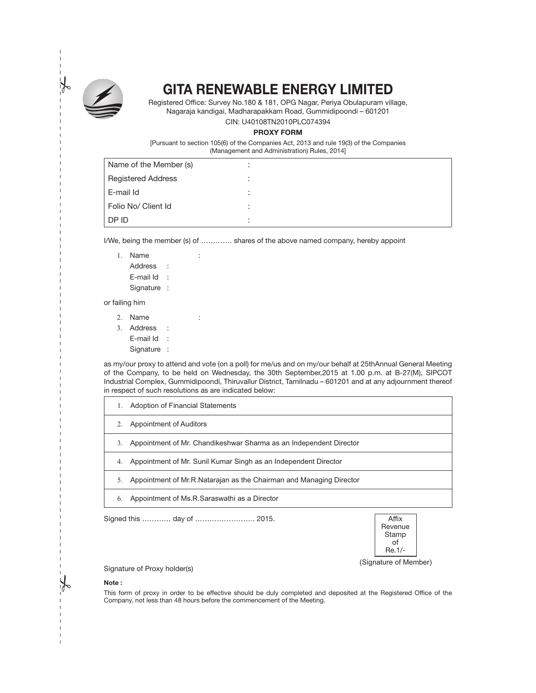

## GITA RENEWABLE ENERGY LIMITED

Registered Office: Survey No.180 & 181, OPG Nagar, Periya Obulapuram village, Nagaraja kandigai, Madharapakkam Road, Gummidipoondi – 601201

CIN: U40108TN2010PLC074394

#### PROXY FORM

[Pursuant to section 105(6) of the Companies Act, 2013 and rule 19(3) of the Companies (Management and Administration) Rules, 2014]

| Name of the Member (s)    | ٠<br>٠ |  |
|---------------------------|--------|--|
| <b>Registered Address</b> | ٠<br>٠ |  |
| E-mail Id                 | ٠      |  |
| Folio No/ Client Id       | ٠<br>٠ |  |
| DP ID                     | ٠      |  |

I/We, being the member (s) of …………. shares of the above named company, hereby appoint

- 1. Name :
	- Address : E-mail Id : Signature :

or failing him

- 2. Name :
- 3. Address :
	- E-mail Id :
	- Signature :

as my/our proxy to attend and vote (on a poll) for me/us and on my/our behalf at 25thAnnual General Meeting of the Company, to be held on Wednesday, the 30th September,2015 at 1 .00 p.m. at B-27(M), SIPCOT Industrial Complex, Gummidipoondi, Thiruvallur District, Tamilnadu – 601201 and at any adjournment thereof in respect of such resolutions as are indicated below:

| 1.                                                 | Adoption of Financial Statements                                    |       |  |  |
|----------------------------------------------------|---------------------------------------------------------------------|-------|--|--|
| 2.                                                 | Appointment of Auditors                                             |       |  |  |
| 3.                                                 | Appointment of Mr. Chandikeshwar Sharma as an Independent Director  |       |  |  |
| 4.                                                 | Appointment of Mr. Sunil Kumar Singh as an Independent Director     |       |  |  |
| 5.                                                 | Appointment of Mr.R.Natarajan as the Chairman and Managing Director |       |  |  |
| Appointment of Ms.R.Saraswathi as a Director<br>6. |                                                                     |       |  |  |
|                                                    | Signed this  day of  2015.                                          | Affix |  |  |

Revenue Stamp of Re.1/-

(Signature of Member)

#### Signature of Proxy holder(s)

#### Note :

١ď

This form of proxy in order to be effective should be duly completed and deposited at the Registered Office of the Company, not less than 48 hours before the commencement of the Meeting.